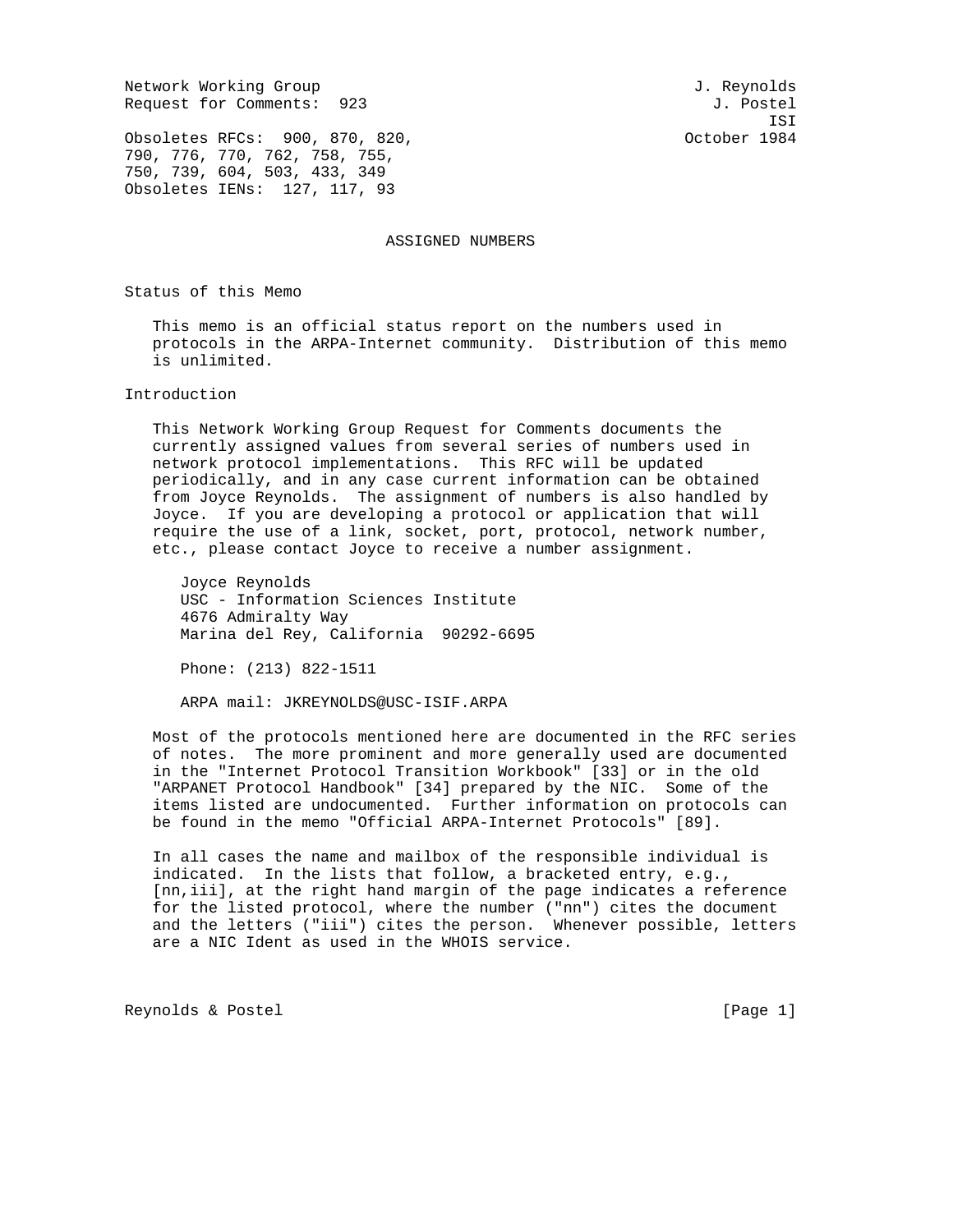Network Working Group and Services and Services and J. Reynolds Request for Comments: 923 J. Postel

ISI

Obsoletes RFCs: 900, 870, 820, Cobsoletes RFCs: 900, 870, 820, 790, 776, 770, 762, 758, 755, 750, 739, 604, 503, 433, 349 Obsoletes IENs: 127, 117, 93

ASSIGNED NUMBERS

Status of this Memo

 This memo is an official status report on the numbers used in protocols in the ARPA-Internet community. Distribution of this memo is unlimited.

### Introduction

 This Network Working Group Request for Comments documents the currently assigned values from several series of numbers used in network protocol implementations. This RFC will be updated periodically, and in any case current information can be obtained from Joyce Reynolds. The assignment of numbers is also handled by Joyce. If you are developing a protocol or application that will require the use of a link, socket, port, protocol, network number, etc., please contact Joyce to receive a number assignment.

 Joyce Reynolds USC - Information Sciences Institute 4676 Admiralty Way Marina del Rey, California 90292-6695

Phone: (213) 822-1511

ARPA mail: JKREYNOLDS@USC-ISIF.ARPA

 Most of the protocols mentioned here are documented in the RFC series of notes. The more prominent and more generally used are documented in the "Internet Protocol Transition Workbook" [33] or in the old "ARPANET Protocol Handbook" [34] prepared by the NIC. Some of the items listed are undocumented. Further information on protocols can be found in the memo "Official ARPA-Internet Protocols" [89].

 In all cases the name and mailbox of the responsible individual is indicated. In the lists that follow, a bracketed entry, e.g., [nn,iii], at the right hand margin of the page indicates a reference for the listed protocol, where the number ("nn") cites the document and the letters ("iii") cites the person. Whenever possible, letters are a NIC Ident as used in the WHOIS service.

Reynolds & Postel [Page 1]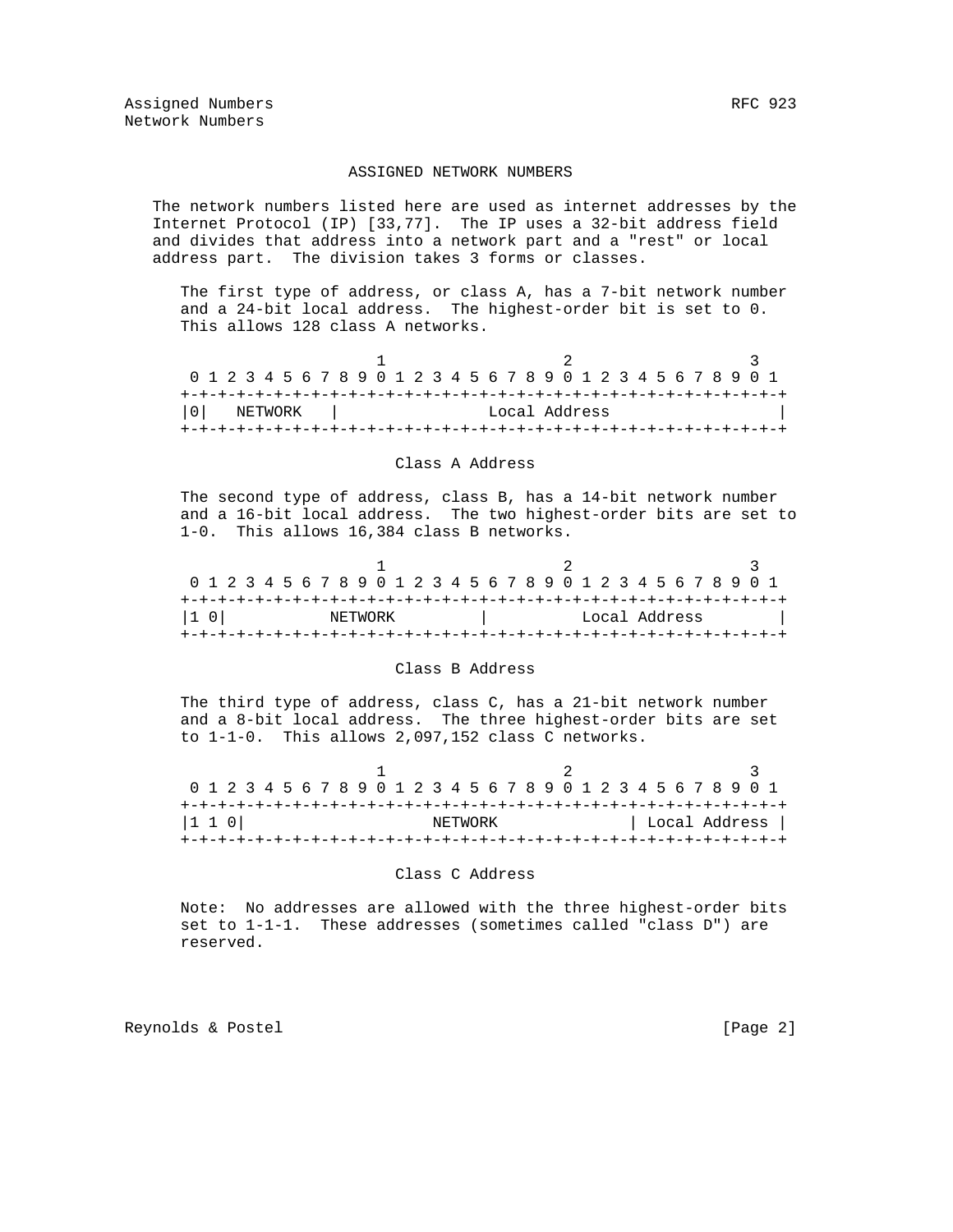#### ASSIGNED NETWORK NUMBERS

 The network numbers listed here are used as internet addresses by the Internet Protocol (IP) [33,77]. The IP uses a 32-bit address field and divides that address into a network part and a "rest" or local address part. The division takes 3 forms or classes.

 The first type of address, or class A, has a 7-bit network number and a 24-bit local address. The highest-order bit is set to 0. This allows 128 class A networks.

| 0 1 2 3 4 5 6 7 8 9 0 1 2 3 4 5 6 7 8 9 0 1 2 3 4 5 6 7 8 9 0 1 |         |  |  |  |  |  |  |  |  |               |  |  |  |  |  |  |
|-----------------------------------------------------------------|---------|--|--|--|--|--|--|--|--|---------------|--|--|--|--|--|--|
|                                                                 |         |  |  |  |  |  |  |  |  |               |  |  |  |  |  |  |
| l 0 l                                                           | NETWORK |  |  |  |  |  |  |  |  | Local Address |  |  |  |  |  |  |
|                                                                 |         |  |  |  |  |  |  |  |  |               |  |  |  |  |  |  |

#### Class A Address

 The second type of address, class B, has a 14-bit network number and a 16-bit local address. The two highest-order bits are set to 1-0. This allows 16,384 class B networks.

| 0 1 2 3 4 5 6 7 8 9 0 1 2 3 4 5 6 7 8 9 0 1 2 3 4 5 6 7 8 9 0 1 |  |  |  |  |  |  |  |               |  |  |  |  |  |  |  |  |  |  |
|-----------------------------------------------------------------|--|--|--|--|--|--|--|---------------|--|--|--|--|--|--|--|--|--|--|
|                                                                 |  |  |  |  |  |  |  |               |  |  |  |  |  |  |  |  |  |  |
| I1 OI<br>NETWORK                                                |  |  |  |  |  |  |  | Local Address |  |  |  |  |  |  |  |  |  |  |
|                                                                 |  |  |  |  |  |  |  |               |  |  |  |  |  |  |  |  |  |  |

#### Class B Address

 The third type of address, class C, has a 21-bit network number and a 8-bit local address. The three highest-order bits are set to 1-1-0. This allows 2,097,152 class C networks.

| 0 1 2 3 4 5 6 7 8 9 0 1 2 3 4 5 6 7 8 9 0 1 2 3 4 5 6 7 8 9 0 1 |  |  |  |  |  |  |         |  |  |  |  |  |  |  |  |               |
|-----------------------------------------------------------------|--|--|--|--|--|--|---------|--|--|--|--|--|--|--|--|---------------|
|                                                                 |  |  |  |  |  |  |         |  |  |  |  |  |  |  |  |               |
| 1 1 0                                                           |  |  |  |  |  |  | NETWORK |  |  |  |  |  |  |  |  | Local Address |
|                                                                 |  |  |  |  |  |  |         |  |  |  |  |  |  |  |  |               |

#### Class C Address

 Note: No addresses are allowed with the three highest-order bits set to 1-1-1. These addresses (sometimes called "class D") are reserved.

Reynolds & Postel **Example 2** 2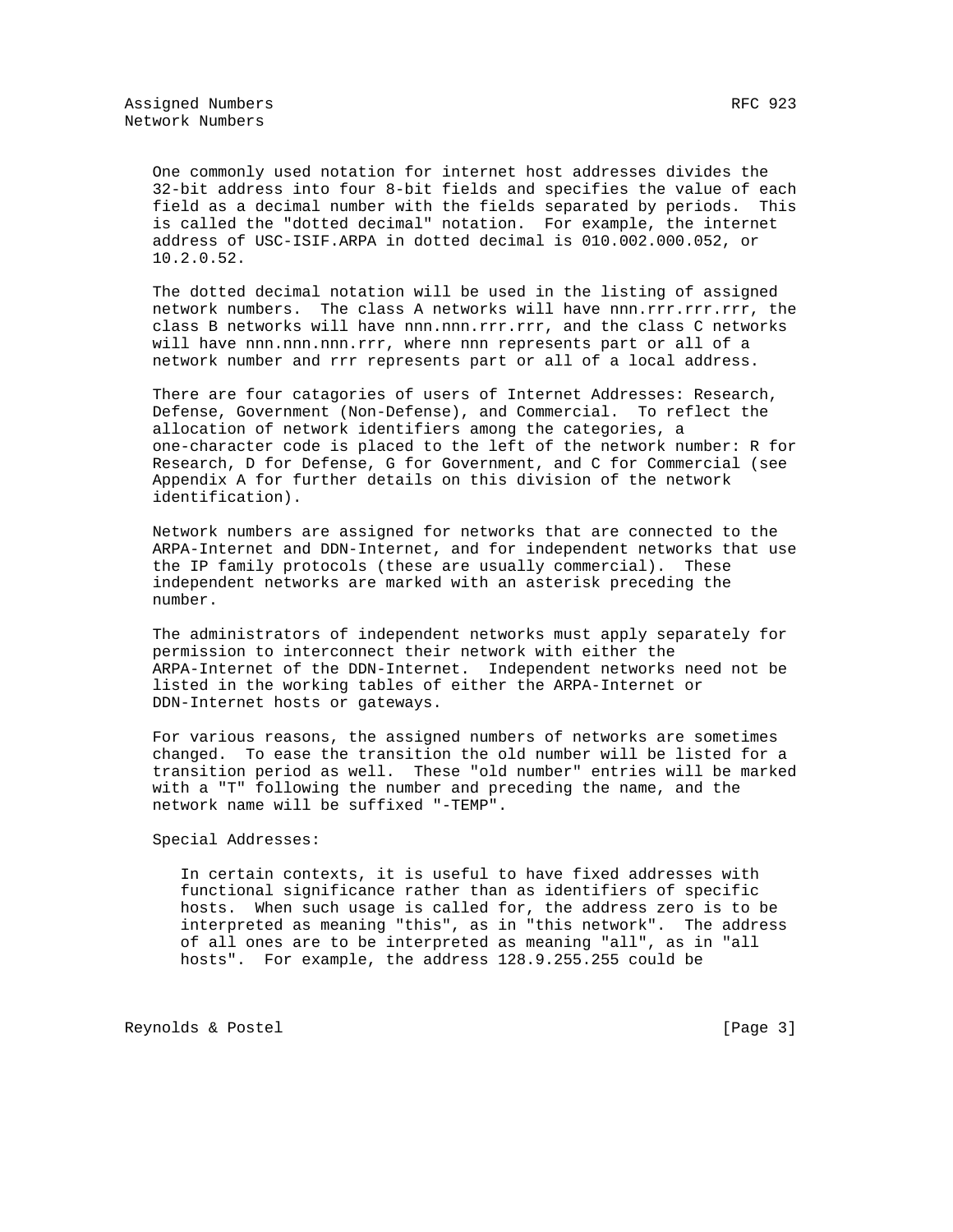One commonly used notation for internet host addresses divides the 32-bit address into four 8-bit fields and specifies the value of each field as a decimal number with the fields separated by periods. This is called the "dotted decimal" notation. For example, the internet address of USC-ISIF.ARPA in dotted decimal is 010.002.000.052, or 10.2.0.52.

 The dotted decimal notation will be used in the listing of assigned network numbers. The class A networks will have nnn.rrr.rrr.rrr, the class B networks will have nnn.nnn.rrr.rrr, and the class C networks will have nnn.nnn.nnn.rrr, where nnn represents part or all of a network number and rrr represents part or all of a local address.

 There are four catagories of users of Internet Addresses: Research, Defense, Government (Non-Defense), and Commercial. To reflect the allocation of network identifiers among the categories, a one-character code is placed to the left of the network number: R for Research, D for Defense, G for Government, and C for Commercial (see Appendix A for further details on this division of the network identification).

 Network numbers are assigned for networks that are connected to the ARPA-Internet and DDN-Internet, and for independent networks that use the IP family protocols (these are usually commercial). These independent networks are marked with an asterisk preceding the number.

 The administrators of independent networks must apply separately for permission to interconnect their network with either the ARPA-Internet of the DDN-Internet. Independent networks need not be listed in the working tables of either the ARPA-Internet or DDN-Internet hosts or gateways.

 For various reasons, the assigned numbers of networks are sometimes changed. To ease the transition the old number will be listed for a transition period as well. These "old number" entries will be marked with a "T" following the number and preceding the name, and the network name will be suffixed "-TEMP".

Special Addresses:

 In certain contexts, it is useful to have fixed addresses with functional significance rather than as identifiers of specific hosts. When such usage is called for, the address zero is to be interpreted as meaning "this", as in "this network". The address of all ones are to be interpreted as meaning "all", as in "all hosts". For example, the address 128.9.255.255 could be

Reynolds & Postel [Page 3]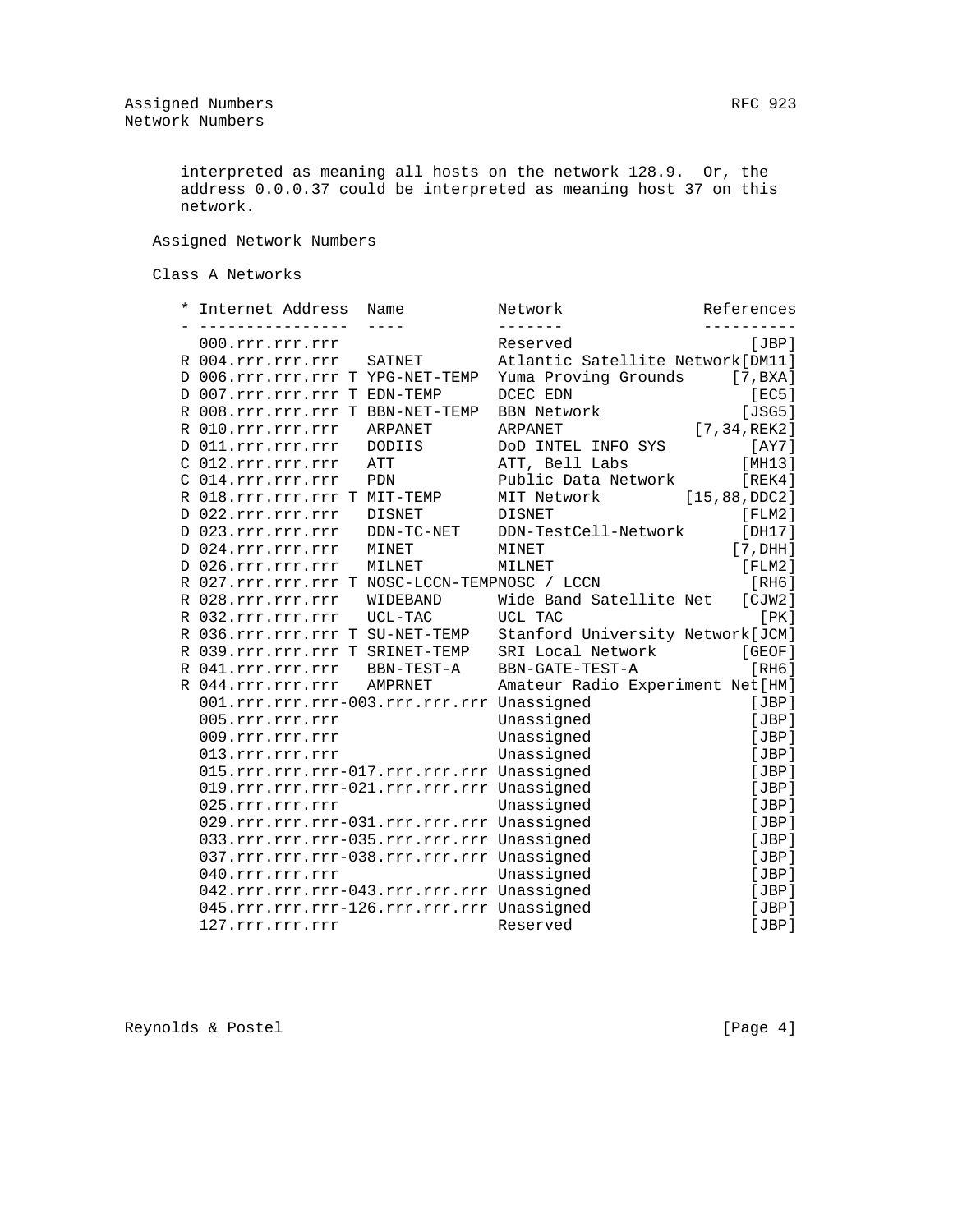interpreted as meaning all hosts on the network 128.9. Or, the address 0.0.0.37 could be interpreted as meaning host 37 on this network.

Assigned Network Numbers

Class A Networks

|  | Internet Address                              | Name           | Network                           | References      |
|--|-----------------------------------------------|----------------|-----------------------------------|-----------------|
|  | 000.rrr.rrr.rrr                               |                | Reserved                          | [JBP]           |
|  | R 004.rrr.rrr.rrr                             | SATNET         | Atlantic Satellite Network [DM11] |                 |
|  | D 006.rrr.rrr.rrr T YPG-NET-TEMP              |                | Yuma Proving Grounds              | [7, BXA]        |
|  | D 007.rrr.rrr.rrr T EDN-TEMP                  |                | DCEC EDN                          | [EC5]           |
|  | R 008.rrr.rrr.rrr T BBN-NET-TEMP              |                | <b>BBN Network</b>                | [JSG5]          |
|  | R 010.rrr.rrr.rrr                             | ARPANET        | ARPANET                           | [7, 34, REK2]   |
|  | D 011.rrr.rrr.rrr                             | DODIIS         | DOD INTEL INFO SYS                | [AY7]           |
|  | C 012.rrr.rrr.rrr                             | ATT            | ATT, Bell Labs                    | [MH13]          |
|  | C 014.rrr.rrr.rrr                             | PDN            | Public Data Network               | [REK4]          |
|  | R 018.rrr.rrr.rrr T MIT-TEMP                  |                | MIT Network                       | [15, 88, DDC2]  |
|  | D 022.rrr.rrr.rrr                             | <b>DISNET</b>  | <b>DISNET</b>                     | $[$ FLM $2$ $]$ |
|  | D 023.rrr.rrr.rrr                             | DDN-TC-NET     | DDN-TestCell-Network              | [DH17]          |
|  | D 024.rrr.rrr.rrr                             | MINET          | MINET                             | [7, DHH]        |
|  | D 026.rrr.rrr.rrr                             | MILNET         | MILNET                            | $[$ FLM $2$ ]   |
|  | R 027.rrr.rrr.rrr T NOSC-LCCN-TEMPNOSC / LCCN |                |                                   | [RH6]           |
|  | R 028.rrr.rrr.rrr                             | WIDEBAND       | Wide Band Satellite Net           | [CIW2]          |
|  | R 032.rrr.rrr.rrr                             | UCL-TAC        | UCL TAC                           | [PK]            |
|  | R 036.rrr.rrr.rrr T SU-NET-TEMP               |                | Stanford University Network[JCM]  |                 |
|  | R 039.rrr.rrr.rrr T SRINET-TEMP               |                | SRI Local Network                 | [GEOF]          |
|  | R 041.rrr.rrr.rrr                             | BBN-TEST-A     | BBN-GATE-TEST-A                   | [RH6]           |
|  | R 044.rrr.rrr.rrr                             | <b>AMPRNET</b> | Amateur Radio Experiment Net[HM]  |                 |
|  | 001.rrr.rrr.rrr-003.rrr.rrr.rrr Unassigned    |                |                                   | [JBP]           |
|  | 005.rrr.rrr.rrr                               |                | Unassigned                        | [JBP]           |
|  | 009.rrr.rrr.rrr                               |                | Unassigned                        | [JBP]           |
|  | 013.rrr.rrr.rrr                               |                | Unassigned                        | [JBP]           |
|  | 015.rrr.rrr.rrr-017.rrr.rrr.rrr Unassigned    |                |                                   | [JBP]           |
|  | 019.rrr.rrr.rrr-021.rrr.rrr.rrr Unassigned    |                |                                   | [JBP]           |
|  | 025.rrr.rrr.rrr                               |                | Unassigned                        | [JBP]           |
|  | 029.rrr.rrr.rrr-031.rrr.rrr.rrr Unassigned    |                |                                   | [JBP]           |
|  | 033.rrr.rrr.rrr-035.rrr.rrr.rrr Unassigned    |                |                                   | [JBP]           |
|  | 037.rrr.rrr.rrr-038.rrr.rrr.rrr Unassigned    |                |                                   | [JBP]           |
|  | 040.rrr.rrr.rrr                               |                | Unassigned                        | [JBP]           |
|  | 042.rrr.rrr.rrr-043.rrr.rrr.rrr Unassigned    |                |                                   | [JBP]           |
|  | 045.rrr.rrr.rrr-126.rrr.rrr.rrr Unassigned    |                |                                   | [JBP]           |
|  | 127.rrr.rrr.rrr                               |                | Reserved                          | [JBP]           |

Reynolds & Postel [Page 4]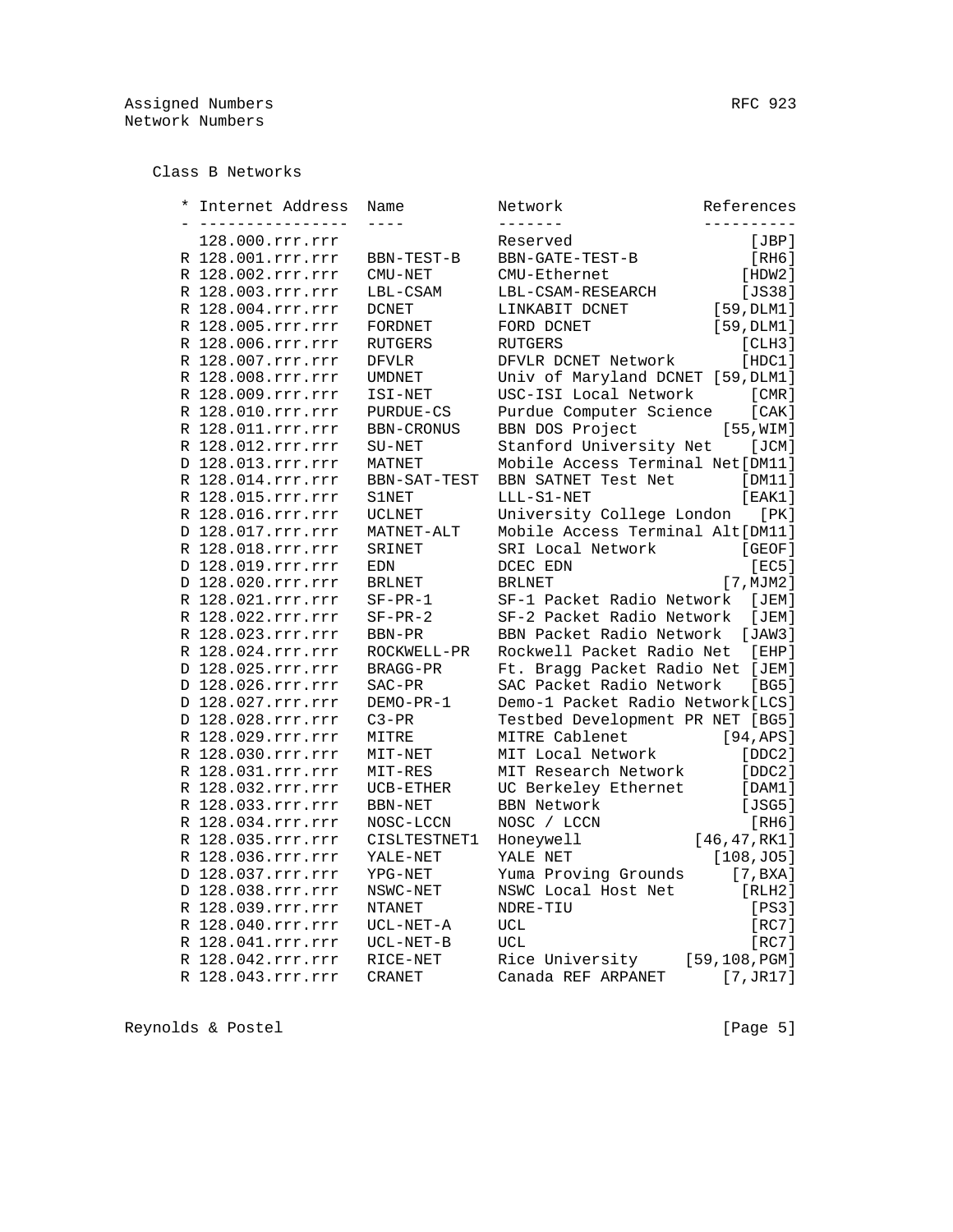Class B Networks

| $^\star$ | Internet Address<br>------------- | Name            | Network<br>-------                | References    |
|----------|-----------------------------------|-----------------|-----------------------------------|---------------|
|          | 128.000.rrr.rrr                   |                 | Reserved                          | [JBP]         |
|          | R 128.001.rrr.rrr                 | BBN-TEST-B      | BBN-GATE-TEST-B                   | [RH6]         |
|          | R 128.002.rrr.rrr                 | CMU-NET         | CMU-Ethernet                      | [HDW2]        |
|          | R 128.003.rrr.rrr                 | LBL-CSAM        | LBL-CSAM-RESEARCH                 | [JSS8]        |
|          | R 128.004.rrr.rrr                 | <b>DCNET</b>    | LINKABIT DCNET                    | [59, DLM1]    |
|          | R 128.005.rrr.rrr                 | FORDNET         | FORD DCNET                        | [59, DLM1]    |
|          | R 128.006.rrr.rrr                 | RUTGERS         | RUTGERS                           | [CLH3]        |
|          | R 128.007.rrr.rrr                 | <b>DFVLR</b>    | DFVLR DCNET Network               | [HDC1]        |
|          | R 128.008.rrr.rrr                 | <b>UMDNET</b>   | Univ of Maryland DCNET [59, DLM1] |               |
|          | R 128.009.rrr.rrr                 | ISI-NET         | USC-ISI Local Network             | [CMR]         |
|          | R 128.010.rrr.rrr                 | PURDUE-CS       | Purdue Computer Science           | [CAK]         |
|          | R 128.011.rrr.rrr                 | BBN-CRONUS      | BBN DOS Project                   | [55, WIM]     |
|          | R 128.012.rrr.rrr                 | SU-NET          | Stanford University Net           | [JCM]         |
|          | D 128.013.rrr.rrr                 | MATNET          | Mobile Access Terminal Net [DM11] |               |
|          | R 128.014.rrr.rrr                 | BBN-SAT-TEST    | BBN SATNET Test Net               | [DM11]        |
|          | R 128.015.rrr.rrr                 | <b>S1NET</b>    | LLL-S1-NET                        | [EAK1]        |
|          | R 128.016.rrr.rrr                 | <b>UCLNET</b>   | University College London         | [PK]          |
|          | D 128.017.rrr.rrr                 | MATNET-ALT      | Mobile Access Terminal Alt[DM11]  |               |
|          | R 128.018.rrr.rrr                 | SRINET          | SRI Local Network                 | [GEOF]        |
|          | D 128.019.rrr.rrr                 | <b>EDN</b>      | DCEC EDN                          | [EC5]         |
|          | D 128.020.rrr.rrr                 | <b>BRLNET</b>   | <b>BRLNET</b>                     | [7, MJM2]     |
|          | R 128.021.rrr.rrr                 | $SF-PR-1$       | SF-1 Packet Radio Network         | [JEM]         |
|          | R 128.022.rrr.rrr                 | $SF-PR-2$       | SF-2 Packet Radio Network         | [JEM]         |
|          | R 128.023.rrr.rrr                 | BBN-PR          | BBN Packet Radio Network          | JAW31         |
|          | R 128.024.rrr.rrr                 | ROCKWELL-PR     | Rockwell Packet Radio Net         | $[$ EHP $]$   |
|          | D 128.025.rrr.rrr                 | <b>BRAGG-PR</b> | Ft. Bragg Packet Radio Net [JEM]  |               |
|          | D 128.026.rrr.rrr                 | SAC-PR          | SAC Packet Radio Network          | [BG5]         |
|          | D 128.027.rrr.rrr                 | DEMO-PR-1       | Demo-1 Packet Radio Network [LCS] |               |
|          | D 128.028.rrr.rrr                 | $C3-PR$         | Testbed Development PR NET [BG5]  |               |
|          | R 128.029.rrr.rrr                 | MITRE           | MITRE Cablenet                    | [94, APS]     |
|          | R 128.030.rrr.rrr                 | MIT-NET         | MIT Local Network                 | [DDC2]        |
|          | R 128.031.rrr.rrr                 | MIT-RES         | MIT Research Network              | [DDC2]        |
|          | R 128.032.rrr.rrr                 | UCB-ETHER       | UC Berkeley Ethernet              | [DAM1]        |
|          | R 128.033.rrr.rrr                 | BBN-NET         | <b>BBN Network</b>                | [JSG5]        |
|          | R 128.034.rrr.rrr                 | NOSC-LCCN       | NOSC / LCCN                       | [RH6]         |
|          | R 128.035.rrr.rrr                 | CISLTESTNET1    | Honeywell                         | [46, 47, RK1] |
|          | R 128.036.rrr.rrr                 | YALE-NET        | YALE NET                          | [108, J05]    |
|          | D 128.037.rrr.rrr                 | YPG-NET         | Yuma Proving Grounds              | [7, BXA]      |
|          | D 128.038.rrr.rrr                 | NSWC-NET        | NSWC Local Host Net               | [RLH2]        |
|          | R 128.039.rrr.rrr                 | NTANET          | NDRE-TIU                          | [PS3]         |
|          | R 128.040.rrr.rrr                 | UCL-NET-A       | UCL                               | [RC7]         |
|          | R 128.041.rrr.rrr                 | $UCL-NET-B$     | <b>UCL</b>                        | [RC7]         |
|          | R 128.042.rrr.rrr                 | RICE-NET        | Rice University                   | [59,108, PGM] |
|          |                                   |                 |                                   |               |
|          | R 128.043.rrr.rrr                 | <b>CRANET</b>   | Canada REF ARPANET                | [7, JR17]     |

Reynolds & Postel (Page 5)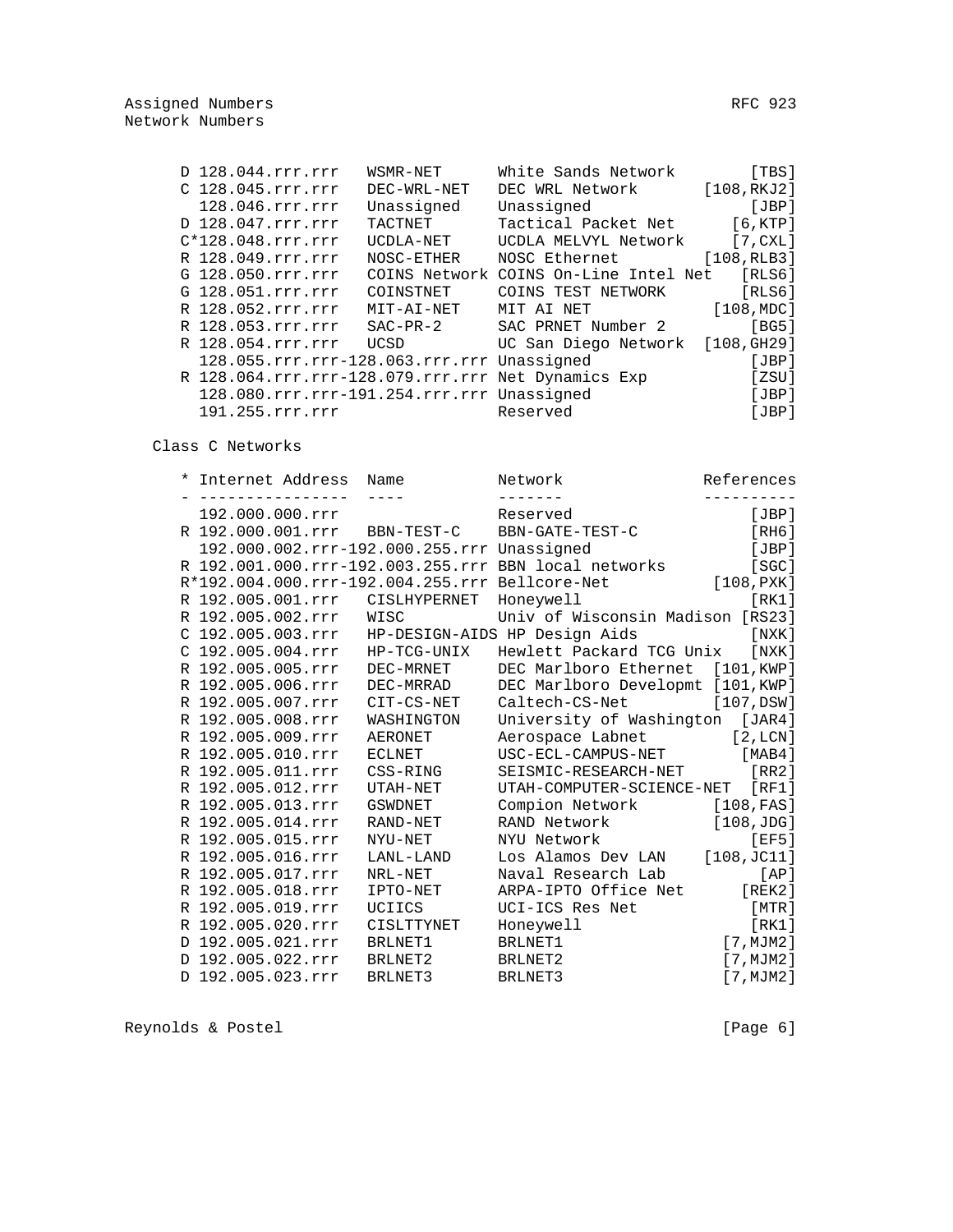|  | D 128.044.rrr.rrr                                  | WSMR-NET    | White Sands Network                   | [TBS]         |
|--|----------------------------------------------------|-------------|---------------------------------------|---------------|
|  | C 128.045.rrr.rrr                                  | DEC-WRL-NET | DEC WRL Network                       | [108, RKJ2]   |
|  | 128.046.rrr.rrr                                    | Unassigned  | Unassigned                            | [JBP]         |
|  | D 128.047.rrr.rrr                                  | TACTNET     | Tactical Packet Net                   | [6, KTP]      |
|  | $C*128.048.rrr.rrr$                                | UCDLA-NET   | UCDLA MELVYL Network                  | [7, CXL]      |
|  | R 128.049.rrr.rrr                                  | NOSC-ETHER  | NOSC Ethernet                         | [108, RLB3]   |
|  | G 128.050.rrr.rrr                                  |             | COINS Network COINS On-Line Intel Net | [RLS6]        |
|  | G 128.051.rrr.rrr                                  | COINSTNET   | COINS TEST NETWORK                    | [RLS6]        |
|  | R 128.052.rrr.rrr                                  | MIT-AI-NET  | MIT AI NET                            | [108, MDC]    |
|  | R 128.053.rrr.rrr                                  | SAC-PR-2    | SAC PRNET Number 2                    | [BG5]         |
|  | R 128.054.rrr.rrr                                  | UCSD        | UC San Diego Network                  | [108, G H 29] |
|  | 128.055.rrr.rrr-128.063.rrr.rrr Unassigned         |             |                                       | [JBP]         |
|  | R 128.064.rrr.rrr-128.079.rrr.rrr Net Dynamics Exp |             |                                       | [ZSU]         |
|  | 128.080.rrr.rrr-191.254.rrr.rrr Unassigned         |             |                                       | [JBP]         |
|  | 191.255.rrr.rrr                                    |             | Reserved                              | [JBP]         |
|  |                                                    |             |                                       |               |

Class C Networks

|  | * Internet Address Name                        |                | Network                                              | References |
|--|------------------------------------------------|----------------|------------------------------------------------------|------------|
|  | 192.000.000.rrr                                |                | Reserved                                             | [JBP]      |
|  | R 192.000.001.rrr BBN-TEST-C                   |                | BBN-GATE-TEST-C                                      | [RH6]      |
|  | 192.000.002.rrr-192.000.255.rrr Unassigned     |                |                                                      | [JBP]      |
|  |                                                |                | R 192.001.000.rrr-192.003.255.rrr BBN local networks | [SGC]      |
|  | R*192.004.000.rrr-192.004.255.rrr Bellcore-Net |                |                                                      | [108, PXX] |
|  | R 192.005.001.rrr                              | CISLHYPERNET   | Honeywell                                            | [RK1]      |
|  | R 192.005.002.rrr                              | WISC           | Univ of Wisconsin Madison [RS23]                     |            |
|  |                                                |                | C 192.005.003.rrr HP-DESIGN-AIDS HP Design Aids      | [NXK]      |
|  | $C$ 192.005.004.rrr HP-TCG-UNIX                |                | Hewlett Packard TCG Unix                             | [NXK]      |
|  | R 192.005.005.rrr                              | DEC-MRNET      | DEC Marlboro Ethernet                                | [101,KWP]  |
|  | R 192.005.006.rrr                              | DEC-MRRAD      | DEC Marlboro Developmt [101, KWP]                    |            |
|  | R 192.005.007.rrr                              | CIT-CS-NET     | Caltech-CS-Net                                       | [107,DSW]  |
|  | R 192.005.008.rrr                              | WASHINGTON     | University of Washington [JAR4]                      |            |
|  | R 192.005.009.rrr                              | <b>AERONET</b> | Aerospace Labnet [2, LCN]                            |            |
|  | R 192.005.010.rrr                              | ECLNET         | USC-ECL-CAMPUS-NET                                   | [MAB4]     |
|  | R 192.005.011.rrr                              | CSS-RING       | SEISMIC-RESEARCH-NET                                 | IRR21      |
|  | R 192.005.012.rrr                              | UTAH-NET       | UTAH-COMPUTER-SCIENCE-NET [RF1]                      |            |
|  | R 192.005.013.rrr                              | <b>GSWDNET</b> | Compion Network                                      | [108, FAS] |
|  | R 192.005.014.rrr                              | RAND-NET       | RAND Network                                         | [108,JDG]  |
|  | R 192.005.015.rrr                              | NYU-NET        | NYU Network                                          | [EF5]      |
|  | R 192.005.016.rrr                              | LANL-LAND      | Los Alamos Dev LAN [108, JC11]                       |            |
|  | R 192.005.017.rrr                              | NRL-NET        | Naval Research Lab                                   | [AP]       |
|  | R 192.005.018.rrr                              | IPTO-NET       | ARPA-IPTO Office Net [REK2]                          |            |
|  | R 192.005.019.rrr                              | UCIICS         | UCI-ICS Res Net                                      | [MTR]      |
|  | R 192.005.020.rrr                              | CISLTTYNET     | Honeywell                                            | [RK1]      |
|  | D 192.005.021.rrr                              | BRLNET1        | BRLNET1                                              | [7, MJM2]  |
|  | D 192.005.022.rrr                              | BRLNET2        | BRLNET2                                              | [7, MJM2]  |
|  | D 192.005.023.rrr                              | BRLNET3        | BRLNET3                                              | [7, MJM2]  |

Reynolds & Postel (Page 6)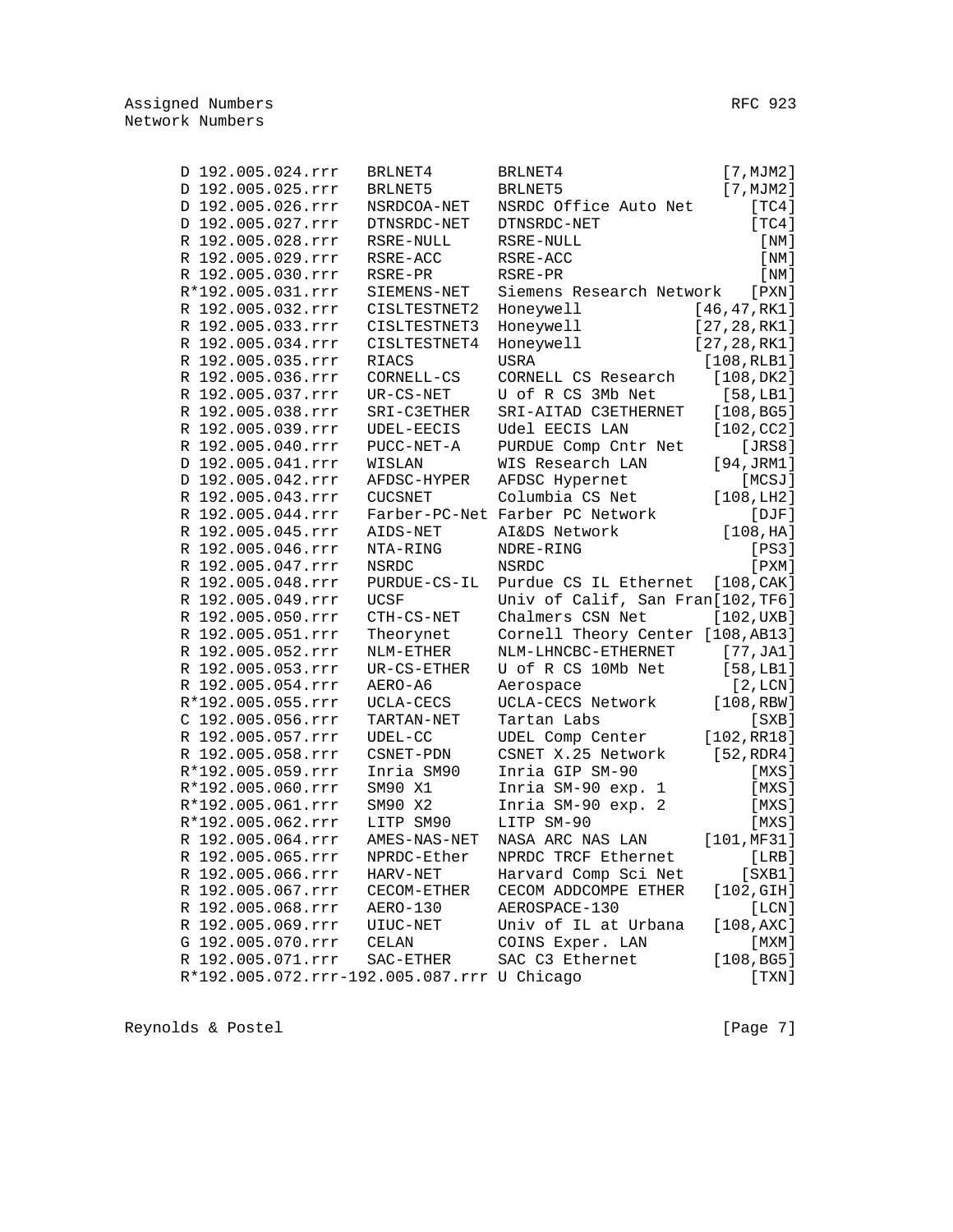| D 192.005.024.rrr | BRLNET4                                     | BRLNET4                                                   | [7, MJM2]     |
|-------------------|---------------------------------------------|-----------------------------------------------------------|---------------|
| D 192.005.025.rrr | BRLNET5                                     | BRLNET5                                                   | [7, MJM2]     |
| D 192.005.026.rrr | NSRDCOA-NET                                 | NSRDC Office Auto Net                                     | [TC4]         |
| D 192.005.027.rrr | DTNSRDC-NET                                 | DTNSRDC-NET                                               | [TC4]         |
| R 192.005.028.rrr | RSRE-NULL                                   | RSRE-NULL                                                 | [NM]          |
| R 192.005.029.rrr | RSRE-ACC                                    | RSRE-ACC                                                  | [NM]          |
| R 192.005.030.rrr | RSRE-PR                                     | RSRE-PR                                                   | [NM]          |
| R*192.005.031.rrr | SIEMENS-NET                                 | Siemens Research Network                                  | $[$ PXN $]$   |
| R 192.005.032.rrr | CISLTESTNET2                                | Honeywell                                                 | [46, 47, RK1] |
| R 192.005.033.rrr | CISLTESTNET3                                | Honeywell                                                 | [27, 28, RK1] |
| R 192.005.034.rrr | CISLTESTNET4                                | Honeywell                                                 | [27, 28, RK1] |
| R 192.005.035.rrr | RIACS                                       | USRA                                                      | [108, RLB1]   |
| R 192.005.036.rrr | CORNELL-CS                                  | CORNELL CS Research                                       | [108, DK2]    |
| R 192.005.037.rrr | $UR-CS-NET$                                 | U of R CS 3Mb Net                                         | [58, LB1]     |
| R 192.005.038.rrr | SRI-C3ETHER                                 | SRI-AITAD C3ETHERNET                                      | [108, BG5]    |
| R 192.005.039.rrr | UDEL-EECIS                                  | Udel EECIS LAN                                            | [102, CC2]    |
| R 192.005.040.rrr | PUCC-NET-A                                  | PURDUE Comp Cntr Net                                      | [JRS8]        |
| D 192.005.041.rrr | WISLAN                                      | WIS Research LAN                                          | [94, JRM1]    |
| D 192.005.042.rrr | AFDSC-HYPER                                 | AFDSC Hypernet                                            | [MCSJ]        |
| R 192.005.043.rrr | <b>CUCSNET</b>                              | Columbia CS Net                                           | [108, LH2]    |
| R 192.005.044.rrr |                                             | Farber-PC-Net Farber PC Network                           | $[$ $DJF]$    |
| R 192.005.045.rrr | AIDS-NET                                    | AI&DS Network                                             | [108, HA]     |
| R 192.005.046.rrr | NTA-RING                                    | NDRE-RING                                                 | [PS3]         |
| R 192.005.047.rrr |                                             | <b>NSRDC</b>                                              | $[$ PXM $]$   |
| R 192.005.048.rrr | NSRDC<br>PURDUE-CS-IL                       |                                                           | [108, CAK]    |
| R 192.005.049.rrr | <b>UCSF</b>                                 | Purdue CS IL Ethernet<br>Univ of Calif, San Fran[102,TF6] |               |
|                   |                                             |                                                           |               |
| R 192.005.050.rrr | CTH-CS-NET                                  | Chalmers CSN Net                                          | [102,UXB]     |
| R 192.005.051.rrr | Theorynet                                   | Cornell Theory Center [108, AB13]                         |               |
| R 192.005.052.rrr | NLM-ETHER                                   | NLM-LHNCBC-ETHERNET                                       | [77, JA1]     |
| R 192.005.053.rrr | UR-CS-ETHER                                 | U of R CS 10Mb Net                                        | [58, LB1]     |
| R 192.005.054.rrr | AERO-A6                                     | Aerospace                                                 | [2,LCN]       |
| R*192.005.055.rrr | UCLA-CECS                                   | UCLA-CECS Network                                         | [108, RBW]    |
| C 192.005.056.rrr | TARTAN-NET                                  | Tartan Labs                                               | [SXB]         |
| R 192.005.057.rrr | $UDEL-CC$                                   | UDEL Comp Center                                          | [102, RR18]   |
| R 192.005.058.rrr | CSNET-PDN                                   | CSNET X.25 Network                                        | [52, RDR4]    |
| R*192.005.059.rrr | Inria SM90                                  | Inria GIP SM-90                                           | [MXS]         |
| R*192.005.060.rrr | SM90 X1                                     | Inria SM-90 exp. 1                                        | [MXS]         |
| R*192.005.061.rrr | SM90 X2                                     | Inria SM-90 exp. 2                                        | [MXS]         |
| R*192.005.062.rrr | LITP SM90                                   | LITP SM-90                                                | [MXS]         |
| R 192.005.064.rrr | AMES-NAS-NET                                | NASA ARC NAS LAN                                          | [101, MF31]   |
| R 192.005.065.rrr | NPRDC-Ether                                 | NPRDC TRCF Ethernet                                       | [LRB]         |
| R 192.005.066.rrr | HARV-NET                                    | Harvard Comp Sci Net                                      | $[$ SXB $1]$  |
| R 192.005.067.rrr | CECOM-ETHER                                 | CECOM ADDCOMPE ETHER                                      | [102, GIH]    |
| R 192.005.068.rrr | AERO-130                                    | AEROSPACE-130                                             | [LCN]         |
| R 192.005.069.rrr | UIUC-NET                                    | Univ of IL at Urbana                                      | [108,AXC]     |
| G 192.005.070.rrr | CELAN                                       | COINS Exper. LAN                                          | $[$ MXM $]$   |
| R 192.005.071.rrr | SAC-ETHER                                   | SAC C3 Ethernet                                           | [108, BG5]    |
|                   | R*192.005.072.rrr-192.005.087.rrr U Chicago |                                                           | $[$ TXN $]$   |

Reynolds & Postel **Example 20** (Page 7)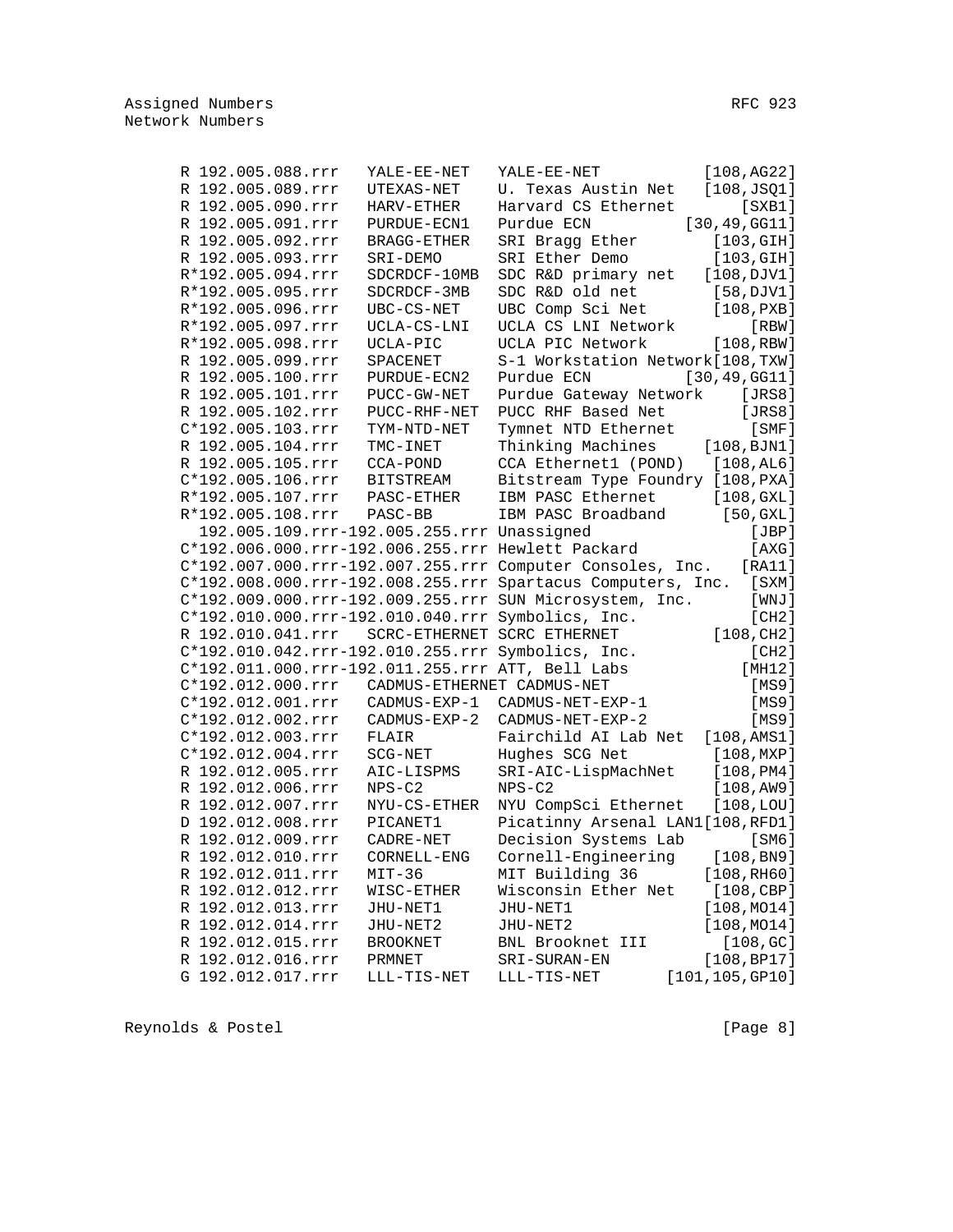| R 192.005.088.rrr   | YALE-EE-NET                                | YALE-EE-NET                                                 | [108,AG22]                |
|---------------------|--------------------------------------------|-------------------------------------------------------------|---------------------------|
| R 192.005.089.rrr   | UTEXAS-NET                                 | U. Texas Austin Net                                         | [108, JSQ1]               |
| R 192.005.090.rrr   | HARV-ETHER                                 | Harvard CS Ethernet                                         | $[$ SXB $1]$              |
| R 192.005.091.rrr   | PURDUE-ECN1                                | Purdue ECN                                                  | [30, 49, GG11]            |
| R 192.005.092.rrr   | <b>BRAGG-ETHER</b>                         | SRI Bragg Ether                                             | [103, GIH]                |
| R 192.005.093.rrr   | SRI-DEMO                                   | SRI Ether Demo                                              | [103, GIH]                |
| R*192.005.094.rrr   | SDCRDCF-10MB                               | SDC R&D primary net                                         | [108,DJV1]                |
| R*192.005.095.rrr   | SDCRDCF-3MB                                | SDC R&D old net                                             | $[58,$ DJV1]              |
| R*192.005.096.rrr   | UBC-CS-NET                                 | UBC Comp Sci Net                                            | [108, PXB]                |
| R*192.005.097.rrr   | UCLA-CS-LNI                                | UCLA CS LNI Network                                         | $[$ RBW $]$               |
| R*192.005.098.rrr   | UCLA-PIC                                   | UCLA PIC Network                                            | [108, RBW]                |
| R 192.005.099.rrr   | SPACENET                                   | S-1 Workstation Network[108, TXW]                           |                           |
| R 192.005.100.rrr   | PURDUE-ECN2                                | Purdue ECN                                                  | [30, 49, GG11]            |
| R 192.005.101.rrr   | PUCC-GW-NET                                | Purdue Gateway Network                                      | [JRS8]                    |
| R 192.005.102.rrr   | PUCC-RHF-NET                               | PUCC RHF Based Net                                          | [JRS8]                    |
| C*192.005.103.rrr   | TYM-NTD-NET                                | Tymnet NTD Ethernet                                         | $[$ SMF $]$               |
| R 192.005.104.rrr   | TMC-INET                                   | Thinking Machines                                           | [108, BJM1]               |
| R 192.005.105.rrr   | CCA-POND                                   | CCA Ethernet1 (POND) [108, AL6]                             |                           |
| C*192.005.106.rrr   | BITSTREAM                                  | Bitstream Type Foundry [108, PXA]                           |                           |
| R*192.005.107.rrr   | $\texttt{PASC-ETHER}$                      | IBM PASC Ethernet                                           | [108, GXL]                |
| R*192.005.108.rrr   | PASC-BB                                    | IBM PASC Broadband                                          | [50, GXL]                 |
|                     | 192.005.109.rrr-192.005.255.rrr Unassigned |                                                             | [JBP]                     |
|                     |                                            | C*192.006.000.rrr-192.006.255.rrr Hewlett Packard           |                           |
|                     |                                            |                                                             | [AXG]                     |
|                     |                                            | C*192.007.000.rrr-192.007.255.rrr Computer Consoles, Inc.   | [RA11]                    |
|                     |                                            | C*192.008.000.rrr-192.008.255.rrr Spartacus Computers, Inc. | [SXM]                     |
|                     |                                            | C*192.009.000.rrr-192.009.255.rrr SUN Microsystem, Inc.     | [ WNJ ]                   |
|                     |                                            | C*192.010.000.rrr-192.010.040.rrr Symbolics, Inc.           | [CH2]                     |
| R 192.010.041.rrr   | SCRC-ETHERNET SCRC ETHERNET                |                                                             | [108, CH2]                |
|                     |                                            | C*192.010.042.rrr-192.010.255.rrr Symbolics, Inc.           | [CH2]                     |
|                     |                                            | C*192.011.000.rrr-192.011.255.rrr ATT, Bell Labs            | [MH12]                    |
| $C*192.012.000.rrr$ | CADMUS-ETHERNET CADMUS-NET                 |                                                             | [MS9]                     |
| C*192.012.001.rrr   | CADMUS-EXP-1                               | CADMUS-NET-EXP-1                                            | [MS9]                     |
| C*192.012.002.rrr   | CADMUS-EXP-2                               | CADMUS-NET-EXP-2                                            | [MS9]                     |
| C*192.012.003.rrr   | FLAIR                                      | Fairchild AI Lab Net                                        | [108, AMS1]               |
| C*192.012.004.rrr   | SCG-NET                                    | Hughes SCG Net                                              | [108, MXP]                |
| R 192.012.005.rrr   | AIC-LISPMS                                 | SRI-AIC-LispMachNet                                         | [108, PM4]                |
| R 192.012.006.rrr   | $NPS-C2$                                   | $NPS-C2$                                                    | [108, AW9]                |
| R 192.012.007.rrr   | NYU-CS-ETHER                               | NYU CompSci Ethernet                                        | $[108, \texttt{LOU}]$     |
| D 192.012.008.rrr   | PICANET1                                   | Picatinny Arsenal LAN1[108, RFD1]                           |                           |
| R 192.012.009.rrr   | CADRE-NET                                  | Decision Systems Lab                                        | [SM6]                     |
| R 192.012.010.rrr   | CORNELL-ENG                                | Cornell-Engineering                                         | [108, B <sub>N</sub> 9]   |
| R 192.012.011.rrr   | $MIT-36$                                   | MIT Building 36                                             | [108, RH60]               |
| R 192.012.012.rrr   | WISC-ETHER                                 | Wisconsin Ether Net                                         | [108, CBP]                |
| R 192.012.013.rrr   | JHU-NET1                                   | JHU-NET1                                                    | [108, MO14]               |
| R 192.012.014.rrr   | JHU-NET2                                   | JHU-NET2                                                    | [108, MO14]               |
| R 192.012.015.rrr   | <b>BROOKNET</b>                            | BNL Brooknet III                                            | [108, GC]                 |
| R 192.012.016.rrr   | PRMNET                                     | SRI-SURAN-EN                                                | [108, BPI7]               |
| G 192.012.017.rrr   | LLL-TIS-NET                                | LLL-TIS-NET                                                 | $[101, 105, \text{GPI0}]$ |
|                     |                                            |                                                             |                           |

Reynolds & Postel **Example 20** (Page 8)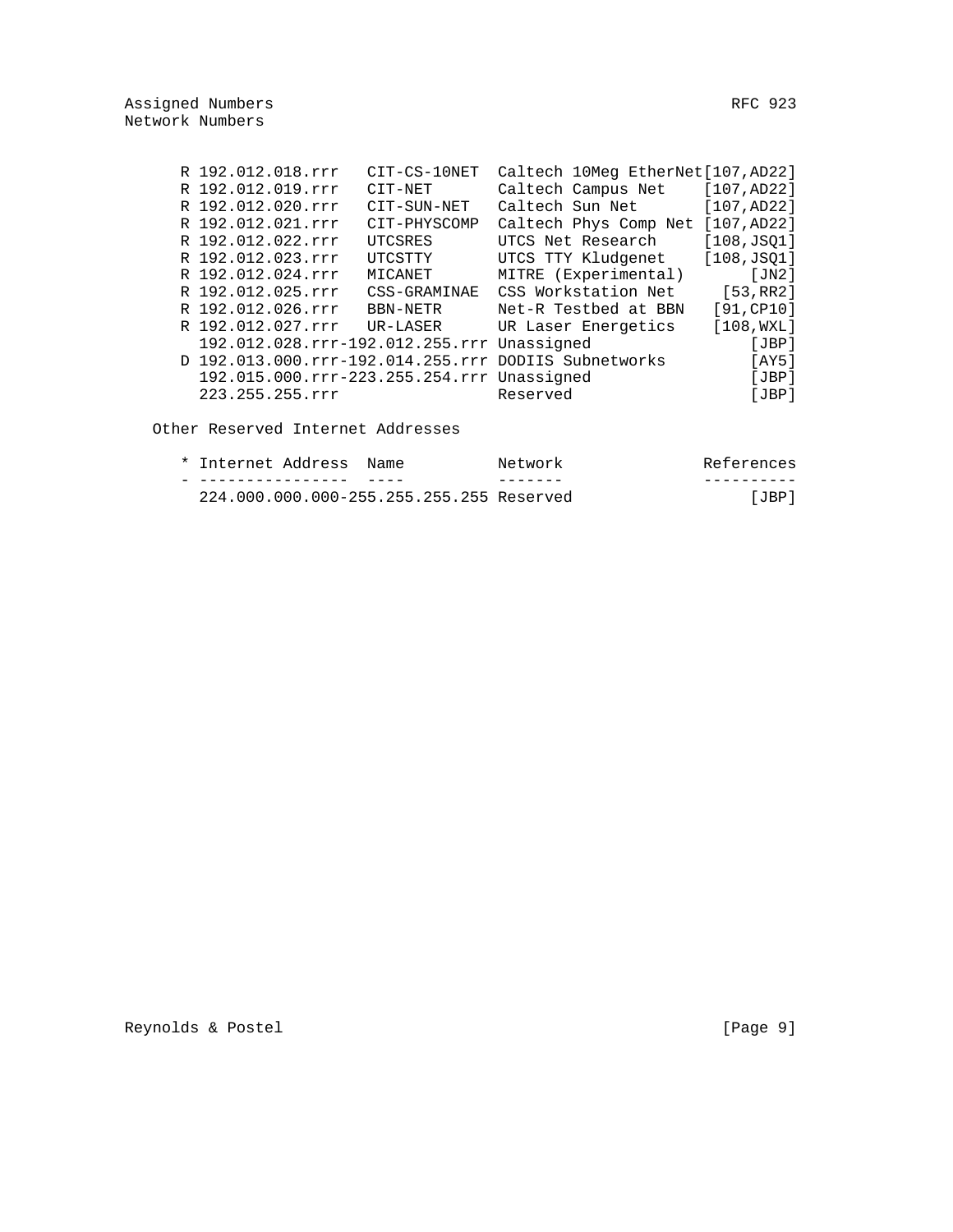|  | R 192.012.018.rrr                          | CIT-CS-10NET | Caltech 10Meg EtherNet[107, AD22]                    |             |
|--|--------------------------------------------|--------------|------------------------------------------------------|-------------|
|  | R 192.012.019.rrr                          | CIT-NET      | Caltech Campus Net                                   | [107, AD22] |
|  | R 192.012.020.rrr                          | CIT-SUN-NET  | Caltech Sun Net                                      | [107, AD22] |
|  | R 192.012.021.rrr                          | CIT-PHYSCOMP | Caltech Phys Comp Net [107, AD22]                    |             |
|  | R 192.012.022.rrr                          | UTCSRES      | UTCS Net Research                                    | [108, JS01] |
|  | R 192.012.023.rrr                          | UTCSTTY      | UTCS TTY Kludgenet                                   | [108, JSQ1] |
|  | R 192.012.024.rrr                          | MICANET      | MITRE (Experimental)                                 | [JN2]       |
|  | R 192.012.025.rrr                          | CSS-GRAMINAE | CSS Workstation Net                                  | [53,RR2]    |
|  | R 192.012.026.rrr                          | BBN-NETR     | Net-R Testbed at BBN                                 | [91, CP10]  |
|  | R 192.012.027.rrr                          | UR-LASER     | UR Laser Energetics                                  | [108, WXL]  |
|  | 192.012.028.rrr-192.012.255.rrr Unassigned |              |                                                      | [JBP]       |
|  |                                            |              | D 192.013.000.rrr-192.014.255.rrr DODIIS Subnetworks | [AY5]       |
|  | 192.015.000.rrr-223.255.254.rrr Unassigned |              |                                                      | [JBP]       |
|  | 223.255.255.rrr                            |              | Reserved                                             | [JBP]       |
|  |                                            |              |                                                      |             |

Other Reserved Internet Addresses

| References | Network                                  | Name | * Internet Address |  |
|------------|------------------------------------------|------|--------------------|--|
|            |                                          |      |                    |  |
| JBP        | 224.000.000.000-255.255.255.255 Reserved |      |                    |  |

Reynolds & Postel [Page 9]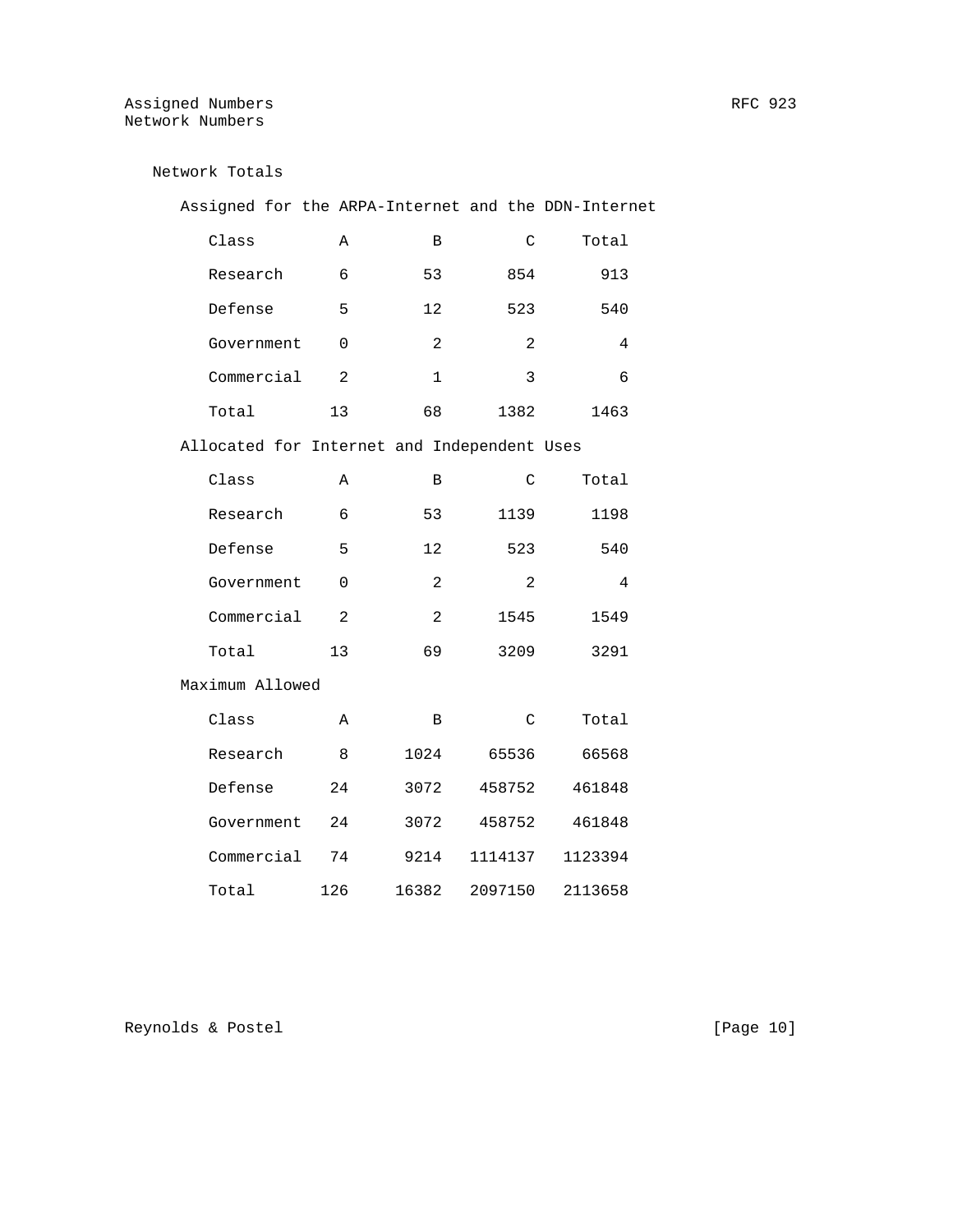Network Totals

| Assigned for the ARPA-Internet and the DDN-Internet |                |                |                |         |
|-----------------------------------------------------|----------------|----------------|----------------|---------|
| Class                                               | Α              | В              | C              | Total   |
| Research                                            | 6              | 53             | 854            | 913     |
| Defense                                             | 5              | 12             | 523            | 540     |
| Government                                          | 0              | 2              | $\overline{2}$ | 4       |
| Commercial                                          | $\overline{2}$ | $\mathbf{1}$   | 3              | 6       |
| Total                                               | 13             | 68             | 1382           | 1463    |
| Allocated for Internet and Independent Uses         |                |                |                |         |
| Class                                               | Α              | В              | C              | Total   |
| Research                                            | 6              | 53             | 1139           | 1198    |
| Defense                                             | 5              | 12             | 523            | 540     |
| Government                                          | 0              | $\overline{a}$ | $\overline{2}$ | 4       |
| Commercial                                          | $\overline{2}$ | $\overline{a}$ | 1545           | 1549    |
| Total                                               | 13             | 69             | 3209           | 3291    |
| Maximum Allowed                                     |                |                |                |         |
| Class                                               | A              | В              | C              | Total   |
| Research                                            | 8              | 1024           | 65536          | 66568   |
| Defense                                             | 24             | 3072           | 458752         | 461848  |
| Government                                          | 24             | 3072           | 458752         | 461848  |
| Commercial                                          | 74             | 9214           | 1114137        | 1123394 |
| Total                                               | 126            | 16382          | 2097150        | 2113658 |

Reynolds & Postel [Page 10]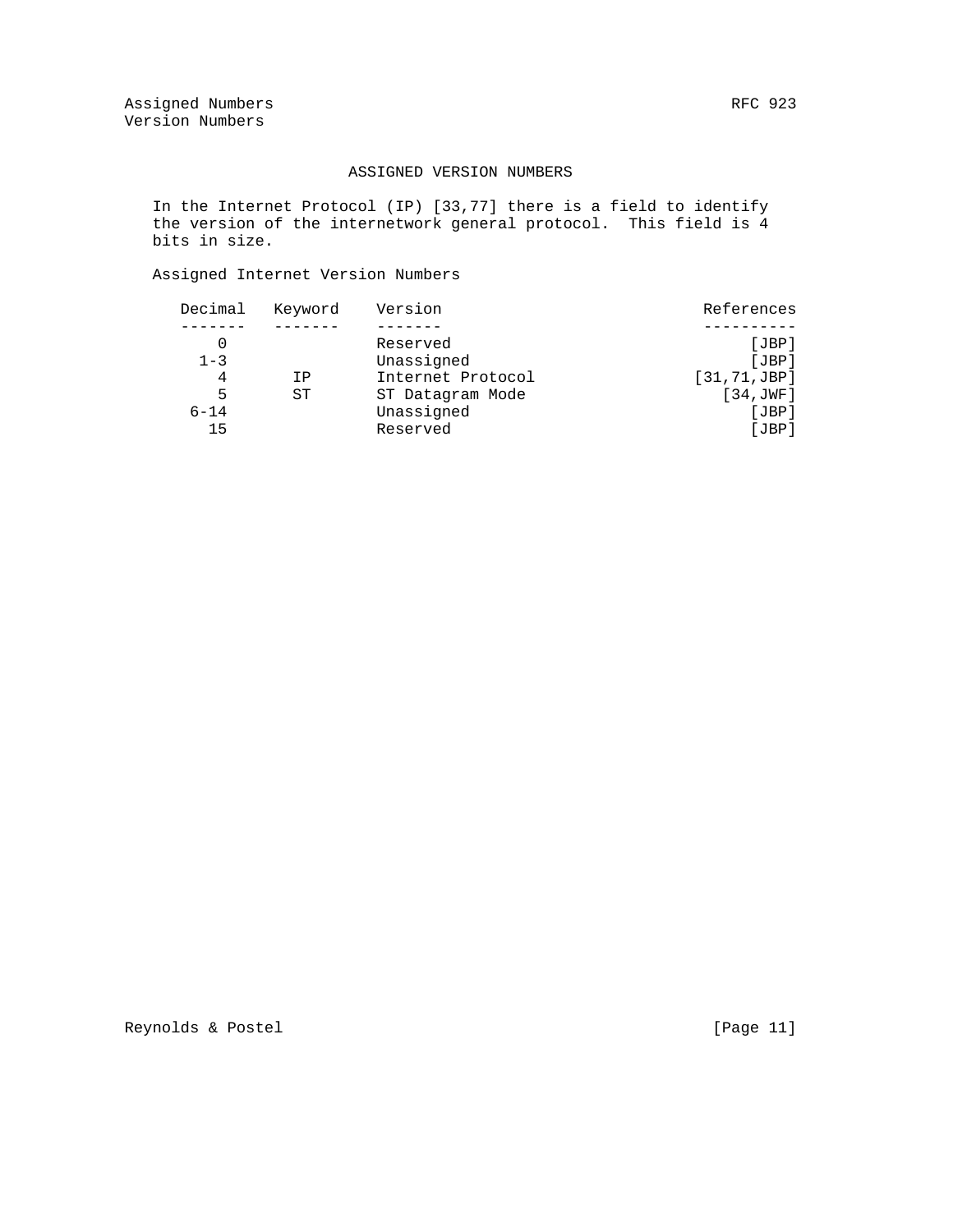### ASSIGNED VERSION NUMBERS

 In the Internet Protocol (IP) [33,77] there is a field to identify the version of the internetwork general protocol. This field is 4 bits in size.

# Assigned Internet Version Numbers

| Decimal  | Keyword | Version           | References    |
|----------|---------|-------------------|---------------|
|          |         |                   |               |
|          |         | Reserved          | [JBP]         |
| $1 - 3$  |         | Unassigned        | JBP           |
| 4        | ΙP      | Internet Protocol | [31, 71, JBP] |
| 5        | ST      | ST Datagram Mode  | [34, JWF]     |
| $6 - 14$ |         | Unassigned        | JBP           |
| 15       |         | Reserved          | [JBP]         |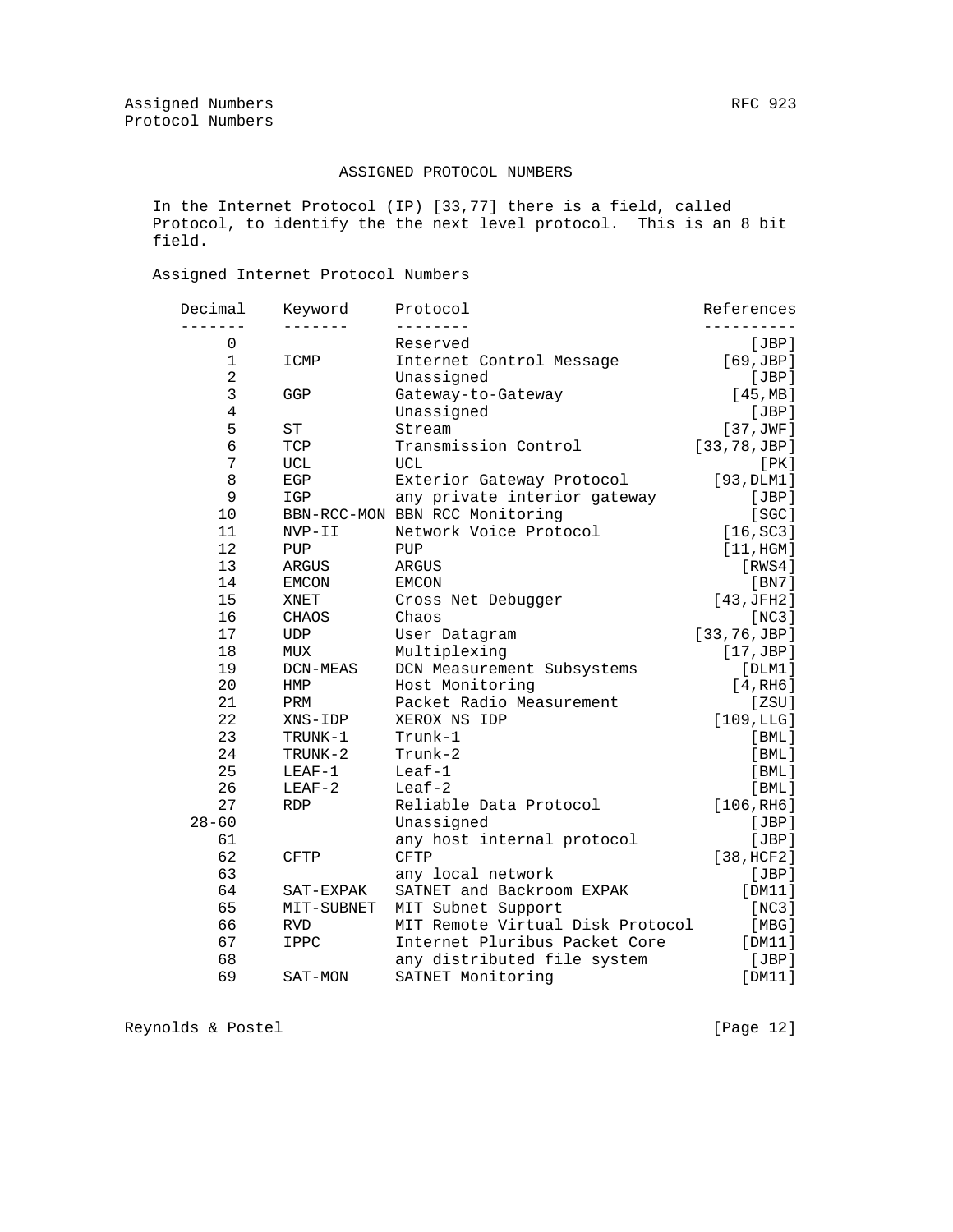### ASSIGNED PROTOCOL NUMBERS

 In the Internet Protocol (IP) [33,77] there is a field, called Protocol, to identify the the next level protocol. This is an 8 bit field.

# Assigned Internet Protocol Numbers

| Decimal   | Keyword                                                                                                                            | Protocol                                                                | References                                                                                                                                                                                                                                                                                                                                                                                               |
|-----------|------------------------------------------------------------------------------------------------------------------------------------|-------------------------------------------------------------------------|----------------------------------------------------------------------------------------------------------------------------------------------------------------------------------------------------------------------------------------------------------------------------------------------------------------------------------------------------------------------------------------------------------|
|           |                                                                                                                                    |                                                                         | [JBP]                                                                                                                                                                                                                                                                                                                                                                                                    |
|           |                                                                                                                                    |                                                                         | [69,JBP]                                                                                                                                                                                                                                                                                                                                                                                                 |
|           |                                                                                                                                    |                                                                         | [JBP]                                                                                                                                                                                                                                                                                                                                                                                                    |
|           |                                                                                                                                    |                                                                         | [45, MB]                                                                                                                                                                                                                                                                                                                                                                                                 |
|           |                                                                                                                                    |                                                                         | [JBP]                                                                                                                                                                                                                                                                                                                                                                                                    |
|           |                                                                                                                                    |                                                                         | [37,JWF]                                                                                                                                                                                                                                                                                                                                                                                                 |
|           |                                                                                                                                    |                                                                         | [33, 78, JBP]                                                                                                                                                                                                                                                                                                                                                                                            |
|           |                                                                                                                                    |                                                                         | [PK]                                                                                                                                                                                                                                                                                                                                                                                                     |
|           |                                                                                                                                    |                                                                         | [93, DLM1]                                                                                                                                                                                                                                                                                                                                                                                               |
| 9         | IGP                                                                                                                                |                                                                         | [JBP]                                                                                                                                                                                                                                                                                                                                                                                                    |
|           |                                                                                                                                    |                                                                         | [SC]                                                                                                                                                                                                                                                                                                                                                                                                     |
|           |                                                                                                                                    |                                                                         | [16, SC3]                                                                                                                                                                                                                                                                                                                                                                                                |
|           |                                                                                                                                    |                                                                         | [11, HGM]                                                                                                                                                                                                                                                                                                                                                                                                |
|           |                                                                                                                                    |                                                                         | [RWS4]                                                                                                                                                                                                                                                                                                                                                                                                   |
| 14        | EMCON                                                                                                                              | EMCON                                                                   | [BN7]                                                                                                                                                                                                                                                                                                                                                                                                    |
| 15        | XNET                                                                                                                               |                                                                         | [43,JFH2]                                                                                                                                                                                                                                                                                                                                                                                                |
| 16        | CHAOS                                                                                                                              | Chaos                                                                   | [NC3]                                                                                                                                                                                                                                                                                                                                                                                                    |
| 17        | UDP                                                                                                                                |                                                                         | [33, 76, JBP]                                                                                                                                                                                                                                                                                                                                                                                            |
| 18        | MUX                                                                                                                                |                                                                         | $[17, \text{JBP}]$                                                                                                                                                                                                                                                                                                                                                                                       |
| 19        | DCN-MEAS                                                                                                                           |                                                                         | [DIM1]                                                                                                                                                                                                                                                                                                                                                                                                   |
| 20        | HMP                                                                                                                                | Host Monitoring                                                         | [4, RH6]                                                                                                                                                                                                                                                                                                                                                                                                 |
| 21        | PRM                                                                                                                                | Packet Radio Measurement                                                | [ZSU]                                                                                                                                                                                                                                                                                                                                                                                                    |
| 22        | XNS-IDP                                                                                                                            | XEROX NS IDP                                                            | [109,LLG]                                                                                                                                                                                                                                                                                                                                                                                                |
| 23        | TRUNK-1                                                                                                                            | Trunk-1                                                                 | $[$ BML $]$                                                                                                                                                                                                                                                                                                                                                                                              |
| 24        | TRUNK-2                                                                                                                            | Trunk-2                                                                 | $[$ BML $]$                                                                                                                                                                                                                                                                                                                                                                                              |
| 25        | $LEAF-1$                                                                                                                           | $Leaf-1$                                                                | $[$ BML $]$                                                                                                                                                                                                                                                                                                                                                                                              |
| 26        | $LEAF-2$                                                                                                                           | $Leaf-2$                                                                | [BML]                                                                                                                                                                                                                                                                                                                                                                                                    |
| 27        | <b>RDP</b>                                                                                                                         | Reliable Data Protocol                                                  | [106, R <sub>H6</sub> ]                                                                                                                                                                                                                                                                                                                                                                                  |
| $28 - 60$ |                                                                                                                                    | Unassigned                                                              | [JBP]                                                                                                                                                                                                                                                                                                                                                                                                    |
| 61        |                                                                                                                                    | any host internal protocol                                              | [JBP]                                                                                                                                                                                                                                                                                                                                                                                                    |
| 62        | <b>CFTP</b>                                                                                                                        | <b>CFTP</b>                                                             | [38, HCF2]                                                                                                                                                                                                                                                                                                                                                                                               |
| 63        |                                                                                                                                    | any local network                                                       | [JBP]                                                                                                                                                                                                                                                                                                                                                                                                    |
| 64        | SAT-EXPAK                                                                                                                          | SATNET and Backroom EXPAK                                               | [DM11]                                                                                                                                                                                                                                                                                                                                                                                                   |
| 65        | MIT-SUBNET                                                                                                                         | MIT Subnet Support                                                      | [NC3]                                                                                                                                                                                                                                                                                                                                                                                                    |
| 66        | <b>RVD</b>                                                                                                                         |                                                                         | [MBG]                                                                                                                                                                                                                                                                                                                                                                                                    |
| 67        | IPPC                                                                                                                               | Internet Pluribus Packet Core                                           | [DM11]                                                                                                                                                                                                                                                                                                                                                                                                   |
| 68        |                                                                                                                                    | any distributed file system                                             | [JBP]                                                                                                                                                                                                                                                                                                                                                                                                    |
|           | SAT-MON                                                                                                                            | SATNET Monitoring                                                       | [DM11]                                                                                                                                                                                                                                                                                                                                                                                                   |
|           | $\mathbf 0$<br>$\mathbf 1$<br>$\overline{a}$<br>3<br>$\overline{4}$<br>5<br>$\overline{6}$<br>7<br>8<br>10<br>11<br>12<br>13<br>69 | ICMP<br>GGP<br>ST<br>TCP<br>UCL<br>EGP<br>NVP-II<br>PUP<br><b>ARGUS</b> | Reserved<br>Internet Control Message<br>Unassigned<br>Gateway-to-Gateway<br>Unassigned<br>Stream<br>Transmission Control<br>UCL<br>Exterior Gateway Protocol<br>any private interior gateway<br>BBN-RCC-MON BBN RCC Monitoring<br>Network Voice Protocol<br>PUP<br><b>ARGUS</b><br>Cross Net Debugger<br>User Datagram<br>Multiplexing<br>DCN Measurement Subsystems<br>MIT Remote Virtual Disk Protocol |

Reynolds & Postel [Page 12]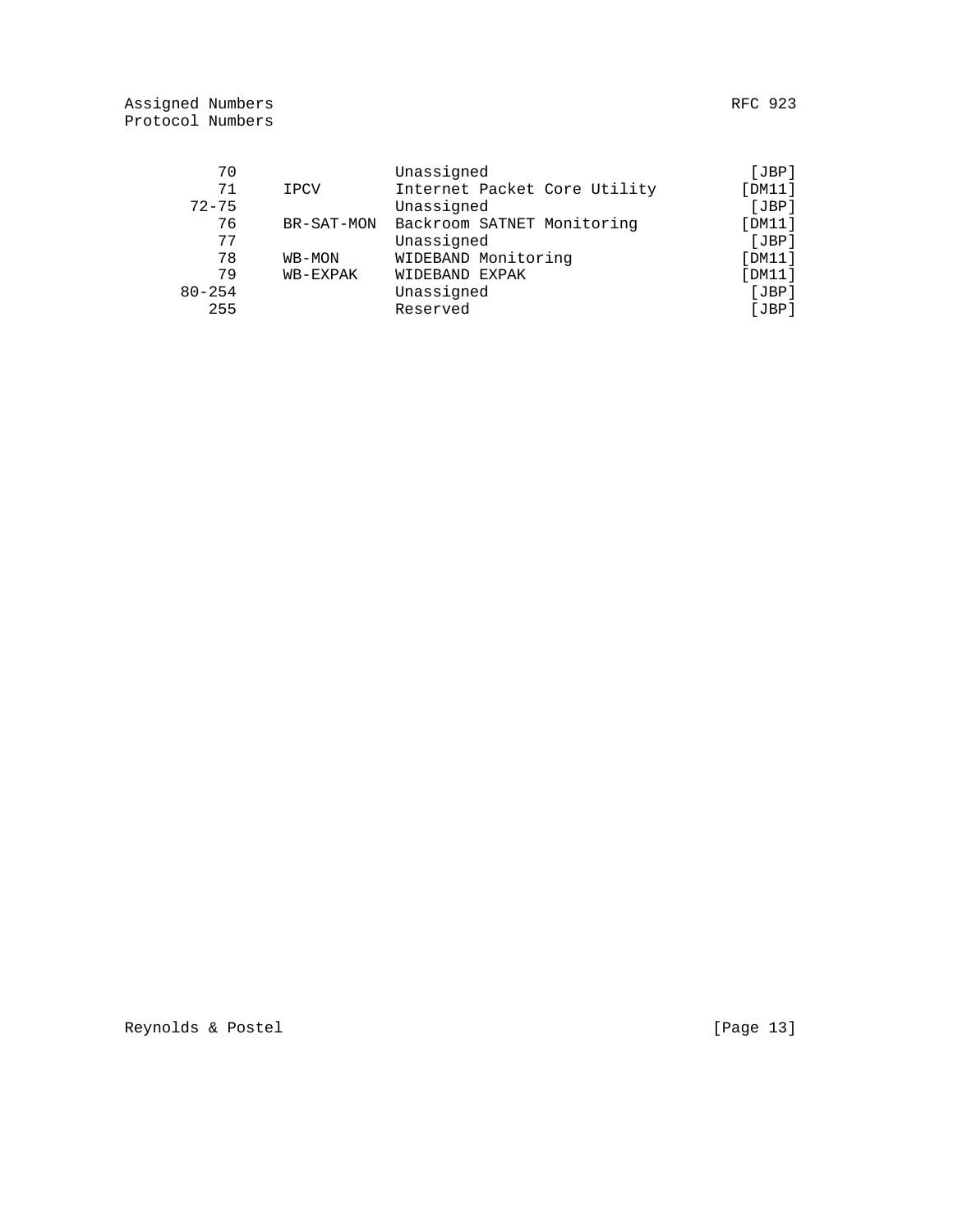| 70         |            | Unassigned                   | [JBP]  |
|------------|------------|------------------------------|--------|
| 71         | IPCV       | Internet Packet Core Utility | [DM11] |
| $72 - 75$  |            | Unassigned                   | [JBP]  |
| 76         | BR-SAT-MON | Backroom SATNET Monitoring   | [DM11] |
| 77         |            | Unassigned                   | [JBP]  |
| 78         | WB-MON     | WIDEBAND Monitoring          | [DM11] |
| 79         | WB-EXPAK   | WIDEBAND EXPAK               | [DM11] |
| $80 - 254$ |            | Unassigned                   | [JBP]  |
| 255        |            | Reserved                     | [JBP]  |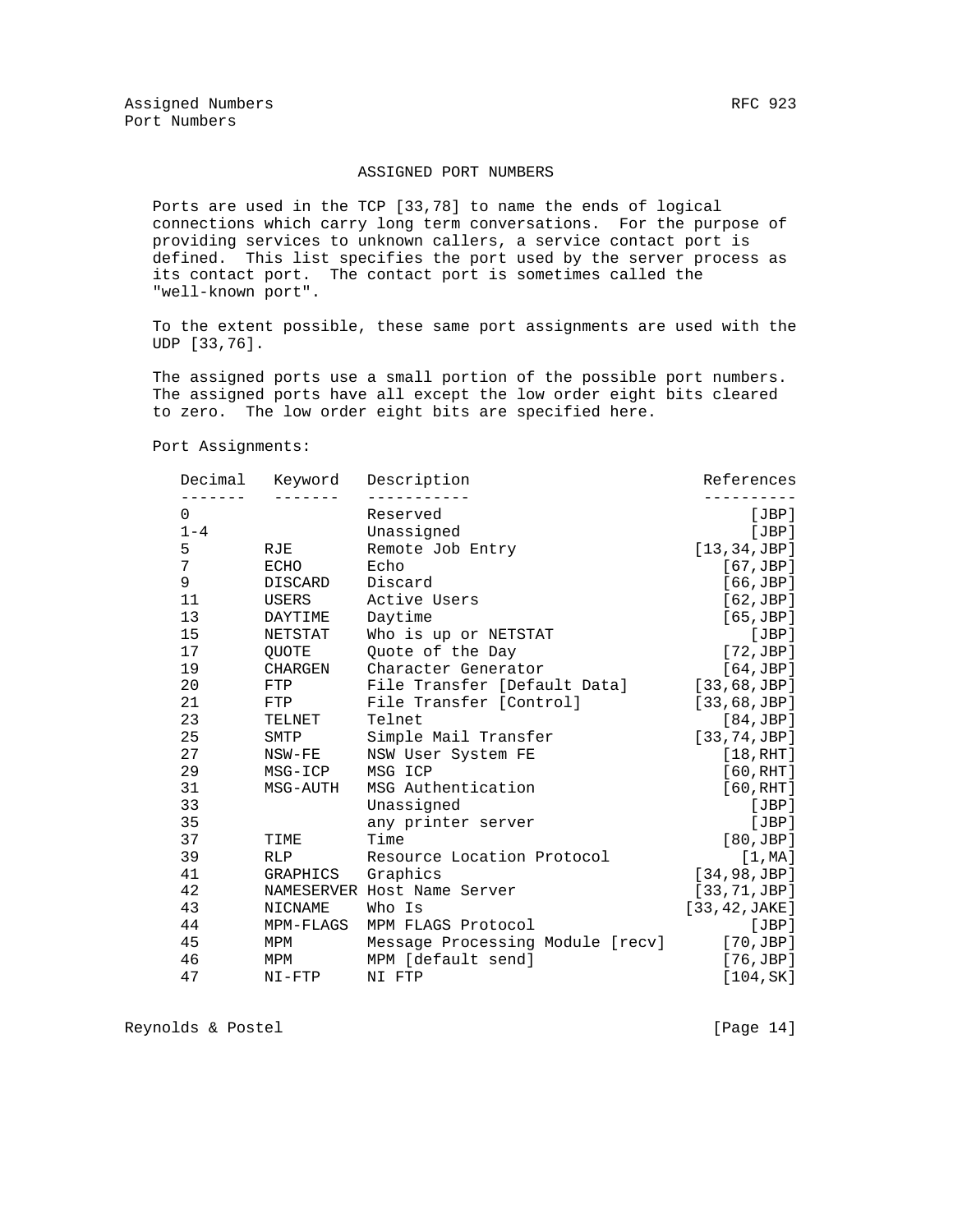#### ASSIGNED PORT NUMBERS

 Ports are used in the TCP [33,78] to name the ends of logical connections which carry long term conversations. For the purpose of providing services to unknown callers, a service contact port is defined. This list specifies the port used by the server process as its contact port. The contact port is sometimes called the "well-known port".

 To the extent possible, these same port assignments are used with the UDP [33,76].

 The assigned ports use a small portion of the possible port numbers. The assigned ports have all except the low order eight bits cleared to zero. The low order eight bits are specified here.

Port Assignments:

| Decimal | Keyword        | Description                      | References         |
|---------|----------------|----------------------------------|--------------------|
| 0       |                | Reserved                         | [JBP]              |
| $1 - 4$ |                | Unassigned                       | [JBP]              |
| 5       | RJE            | Remote Job Entry                 | [13, 34, JBP]      |
| 7       | ECHO           | Echo                             | $[67, \text{JBP}]$ |
| 9       | <b>DISCARD</b> | Discard                          | $[66, \text{JBP}]$ |
| 11      | USERS          | Active Users                     | [62,JBP]           |
| 13      | DAYTIME        | Daytime                          | [65, JBP]          |
| 15      | NETSTAT        | Who is up or NETSTAT             | [JBP]              |
| 17      | OUOTE          | Ouote of the Day                 | [72,JBP]           |
| 19      | <b>CHARGEN</b> | Character Generator              | [64,JBP]           |
| 20      | FTP            | File Transfer [Default Data]     | [33, 68, JBP]      |
| 21      | FTP            | File Transfer [Control]          | [33, 68, JBP]      |
| 23      | TELNET         | Telnet                           | [84, JBP]          |
| 25      | SMTP           | Simple Mail Transfer             | [33, 74, JBP]      |
| 27      | NSW-FE         | NSW User System FE               | [18, RHT]          |
| 29      | MSG-ICP        | MSG ICP                          | [60, RHT]          |
| 31      | MSG-AUTH       | MSG Authentication               | [60, RHT]          |
| 33      |                | Unassigned                       | [JBP]              |
| 35      |                | any printer server               | [JBP]              |
| 37      | TIME           | Time                             | [80,JBP]           |
| 39      | <b>RLP</b>     | Resource Location Protocol       | [1, MA]            |
| 41      | GRAPHICS       | Graphics                         | [34, 98, JBP]      |
| 42      |                | NAMESERVER Host Name Server      | [33, 71, JBP]      |
| 43      | NICNAME        | Who Is                           | [33, 42, JAKE]     |
| 44      | MPM-FLAGS      | MPM FLAGS Protocol               | [JBP]              |
| 45      | MPM            | Message Processing Module [recv] | $[70, \text{JBP}]$ |
| 46      | MPM            | MPM [default send]               | $[76, \text{JBP}]$ |
| 47      | $NI-FTP$       | NI FTP                           | [104, SK]          |

Reynolds & Postel [Page 14]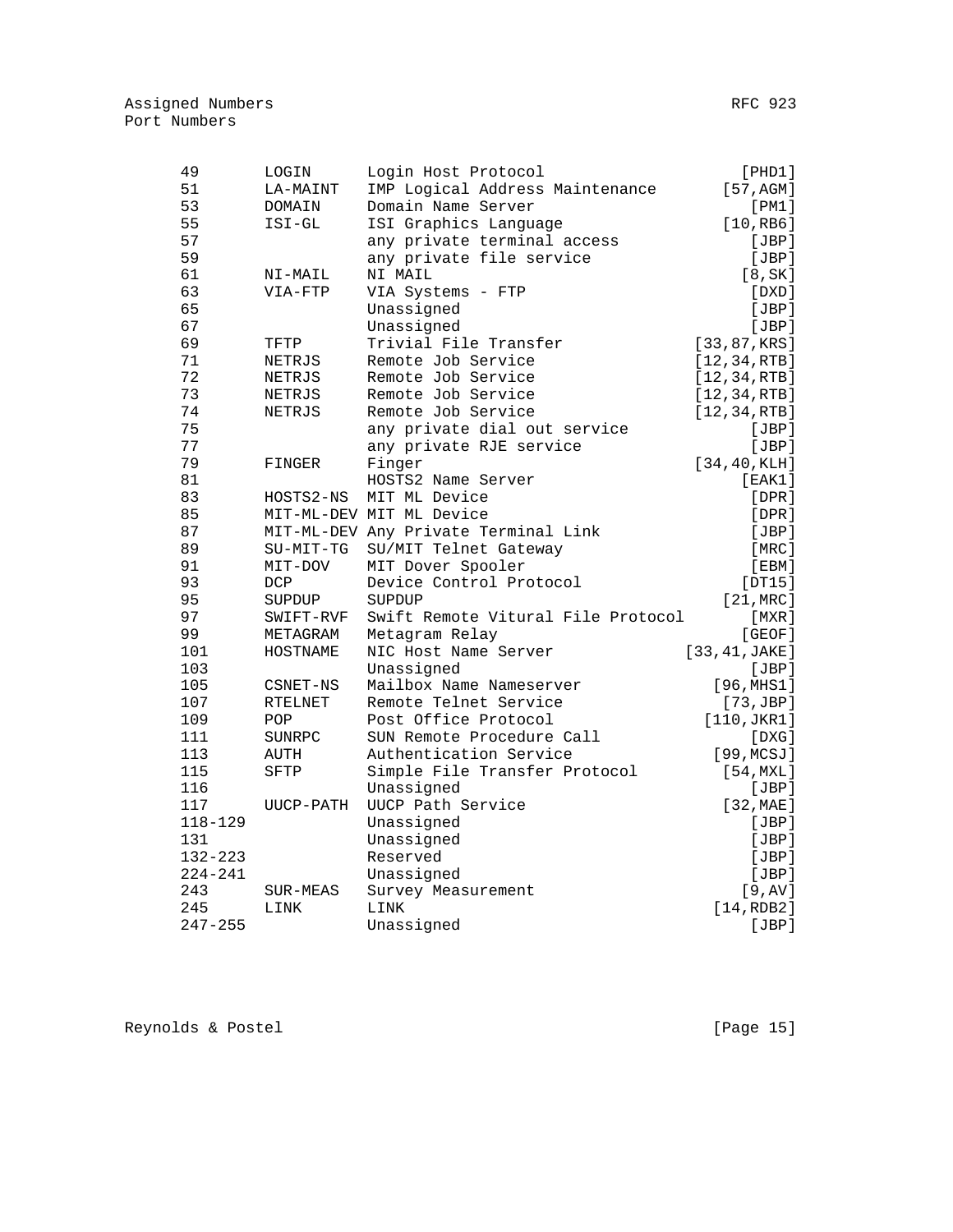| 49          | LOGIN      | Login Host Protocol                  | [PHD1]               |
|-------------|------------|--------------------------------------|----------------------|
| 51          | LA-MAINT   | IMP Logical Address Maintenance      | [57, AGM]            |
| 53          | DOMAIN     | Domain Name Server                   | [PM1]                |
| 55          | ISI-GL     | ISI Graphics Language                | [10, RB6]            |
| 57          |            | any private terminal access          | [JBP]                |
| 59          |            | any private file service             | [JBP]                |
| 61          | NI-MAIL    | NI MAIL                              | [8, SK]              |
| 63          | VIA-FTP    | VIA Systems - FTP                    | [DXD]                |
| 65          |            | Unassigned                           | [JBP]                |
| 67          |            | Unassigned                           | [JBP]                |
| 69          | TFTP       | Trivial File Transfer                | [33, 87, KRS]        |
| 71          | NETRJS     | Remote Job Service                   | [12, 34, RTB]        |
| 72          | NETRJS     | Remote Job Service                   | [12, 34, RTB]        |
| 73          | NETRJS     | Remote Job Service                   | [12, 34, RTB]        |
| 74          | NETRJS     | Remote Job Service                   | [12, 34, RTB]        |
| 75          |            | any private dial out service         | [JBP]                |
| 77          |            | any private RJE service              | [JBP]                |
| 79          | FINGER     | Finger                               | [34, 40, KLH]        |
| 81          |            | HOSTS2 Name Server                   | [EAK1]               |
| 83          | HOSTS2-NS  | MIT ML Device                        | $[$ DPR $]$          |
| 85          |            | MIT-ML-DEV MIT ML Device             | $[$ DPR $]$          |
| 87          |            | MIT-ML-DEV Any Private Terminal Link | [JBP]                |
| 89          | SU-MIT-TG  | SU/MIT Telnet Gateway                | [MRC]                |
| 91          | MIT-DOV    | MIT Dover Spooler                    | [EBM]                |
| 93          | <b>DCP</b> | Device Control Protocol              | [DT15]               |
| 95          | SUPDUP     | SUPDUP                               | [21, MRC]            |
| 97          | SWIFT-RVF  | Swift Remote Vitural File Protocol   | $[$ MXR $]$          |
| 99          | METAGRAM   | Metagram Relay                       | [GEOF]               |
| 101         | HOSTNAME   | NIC Host Name Server                 | [33, 41, JAKE]       |
| 103         |            | Unassigned                           | [JBP]                |
| 105         | CSNET-NS   | Mailbox Name Nameserver              | [96, MHS1]           |
| 107         | RTELNET    | Remote Telnet Service                | [73,JBP]             |
| 109         | POP        | Post Office Protocol                 | $[110, \text{JKR1}]$ |
| 111         | SUNRPC     | SUN Remote Procedure Call            | [DXG]                |
| 113         | AUTH       | Authentication Service               | [99, MCSJ]           |
| 115         | SFTP       | Simple File Transfer Protocol        | [54, MXL]            |
| 116         |            | Unassigned                           | [JBP]                |
| 117         | UUCP-PATH  | UUCP Path Service                    | $[32, \text{MAE}]$   |
| 118-129     |            | Unassigned                           | [JBP]                |
| 131         |            | Unassigned                           | [JBP]                |
| $132 - 223$ |            | Reserved                             | [JBP]                |
| $224 - 241$ |            | Unassigned                           | [JBP]                |
| 243         | SUR-MEAS   | Survey Measurement                   | $[9, \mathrm{AV}]$   |
| 245         | LINK       | LINK                                 | [14, RDB2]           |
| $247 - 255$ |            | Unassigned                           | [JBP]                |

Reynolds & Postel **Example 20** (Page 15)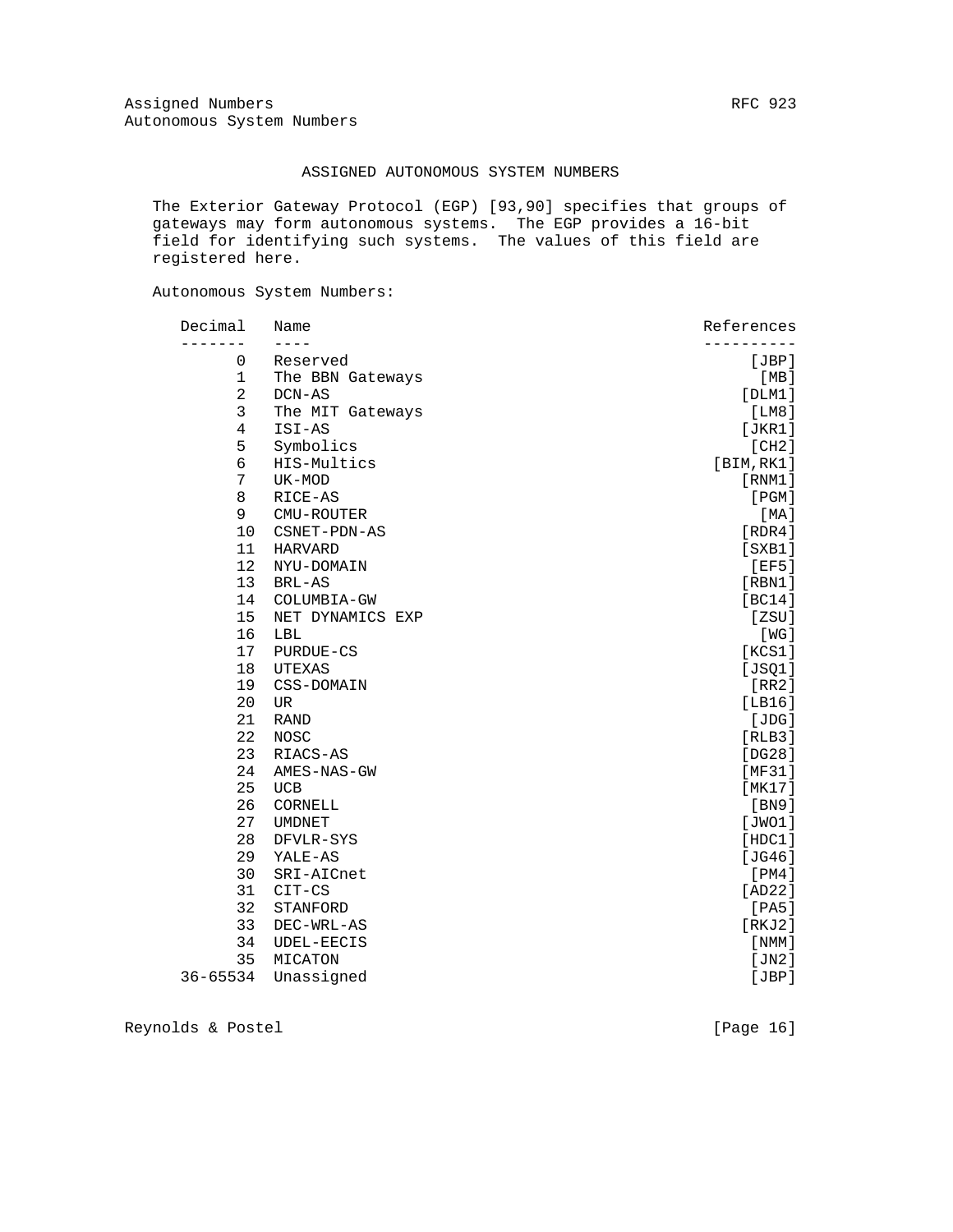### ASSIGNED AUTONOMOUS SYSTEM NUMBERS

 The Exterior Gateway Protocol (EGP) [93,90] specifies that groups of gateways may form autonomous systems. The EGP provides a 16-bit field for identifying such systems. The values of this field are registered here.

Autonomous System Numbers:

| Decimal        | Name             | References |
|----------------|------------------|------------|
| ------         | $- - - -$        |            |
| 0              | Reserved         | [JBP]      |
| $\mathbf{1}$   | The BBN Gateways | [MB]       |
| $\overline{a}$ | DCN-AS           | [DIM1]     |
| 3              | The MIT Gateways | [LM8]      |
| 4              | ISI-AS           | [JKR1]     |
| 5              | Symbolics        | [CH2]      |
| 6              | HIS-Multics      | [BIM, RK1] |
| 7              | UK-MOD           | [RNM1]     |
| 8              | RICE-AS          | [PGM]      |
| 9              | CMU-ROUTER       | [MA]       |
| 10             | CSNET-PDN-AS     | [RDR4]     |
| 11             | <b>HARVARD</b>   | [SXB1]     |
| 12             | NYU-DOMAIN       | [EF5]      |
| 13             | BRL-AS           | [RBM1]     |
| 14             | COLUMBIA-GW      | [BC14]     |
| 15             | NET DYNAMICS EXP | [ZSU]      |
| 16             | LBL              | [WG]       |
| 17             | PURDUE-CS        | [KCS1]     |
| 18             | UTEXAS           | [JSQ1]     |
| 19             | CSS-DOMAIN       | [RR2]      |
| 20             | UR               | [LBI6]     |
| 21             | <b>RAND</b>      | [JDG]      |
| 22             | <b>NOSC</b>      | [RLB3]     |
| 23             | RIACS-AS         | [DG28]     |
| 24             | AMES-NAS-GW      | [MF31]     |
| 25             | <b>UCB</b>       | [MK17]     |
| 26             | CORNELL          | [BN9]      |
| 27             | <b>UMDNET</b>    | [JWO1]     |
| 28             | DFVLR-SYS        | [HDC1]     |
| 29             | YALE-AS          | [JG46]     |
| 30             | SRI-AICnet       | [PM4]      |
| 31             | CIT-CS           | [AD22]     |
| 32             | STANFORD         | [PA5]      |
| 33             | DEC-WRL-AS       | [RKJ2]     |
| 34             | UDEL-EECIS       | [ NMM ]    |
| 35             | MICATON          | [JN2]      |
| 36-65534       | Unassigned       | [JBP]      |

Reynolds & Postel [Page 16]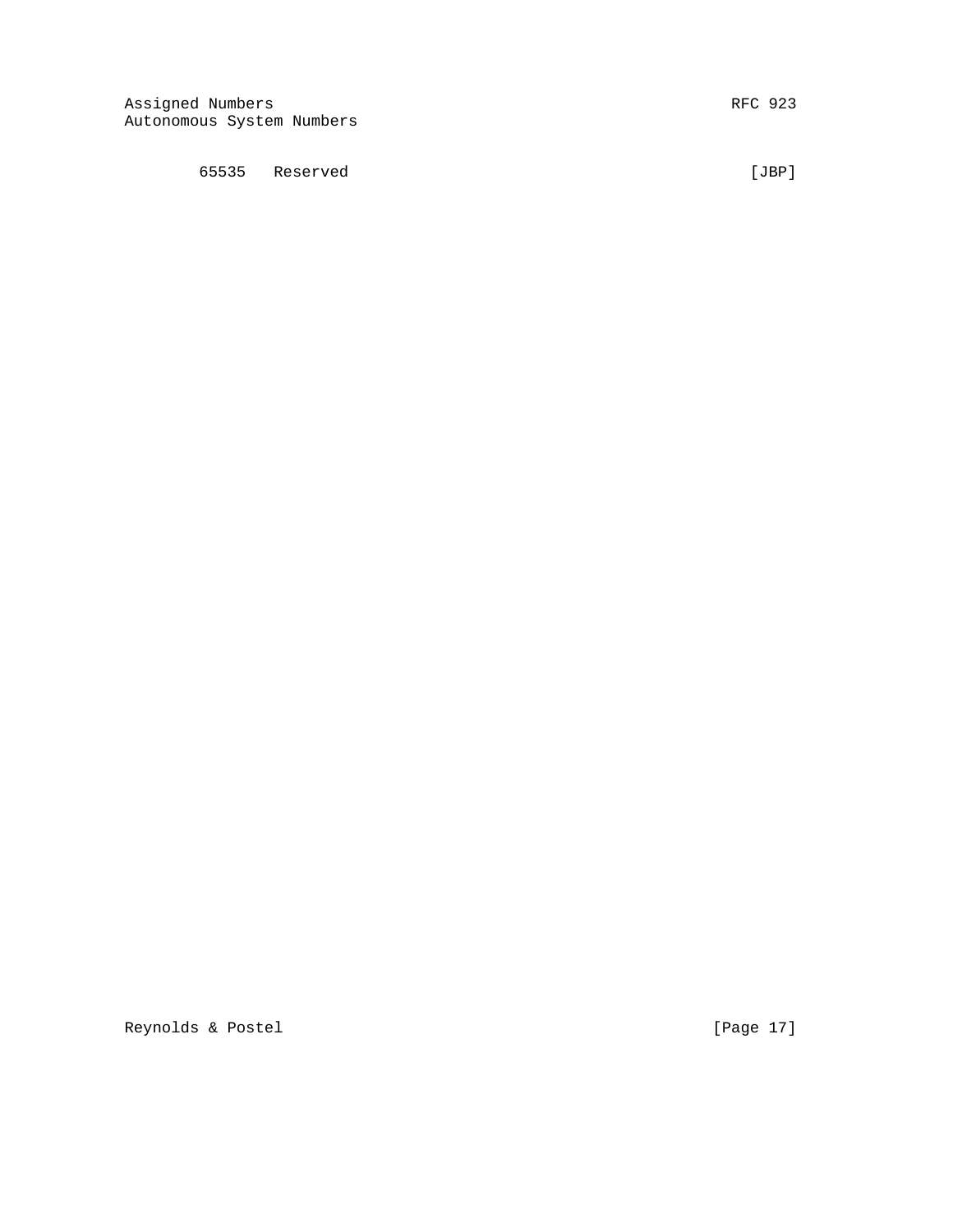65535 Reserved [JBP]

Reynolds & Postel [Page 17]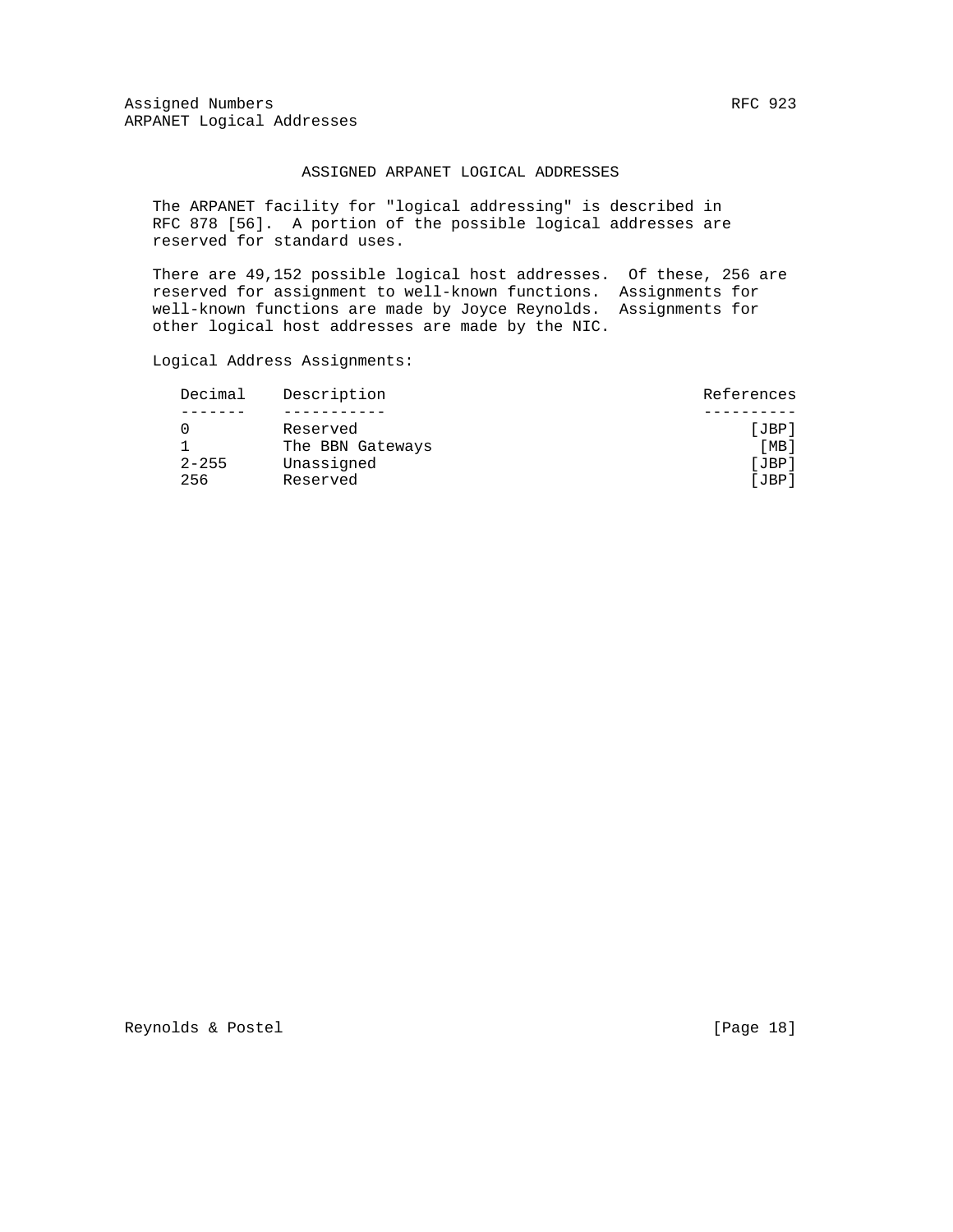Assigned Numbers RFC 923 ARPANET Logical Addresses

#### ASSIGNED ARPANET LOGICAL ADDRESSES

 The ARPANET facility for "logical addressing" is described in RFC 878 [56]. A portion of the possible logical addresses are reserved for standard uses.

 There are 49,152 possible logical host addresses. Of these, 256 are reserved for assignment to well-known functions. Assignments for well-known functions are made by Joyce Reynolds. Assignments for other logical host addresses are made by the NIC.

Logical Address Assignments:

| Decimal   | Description      | References |
|-----------|------------------|------------|
|           |                  |            |
|           | Reserved         | [JBP]      |
|           | The BBN Gateways | [MB]       |
| $2 - 255$ | Unassigned       | [JBP]      |
| 256       | Reserved         | [JBP]      |
|           |                  |            |

Reynolds & Postel [Page 18]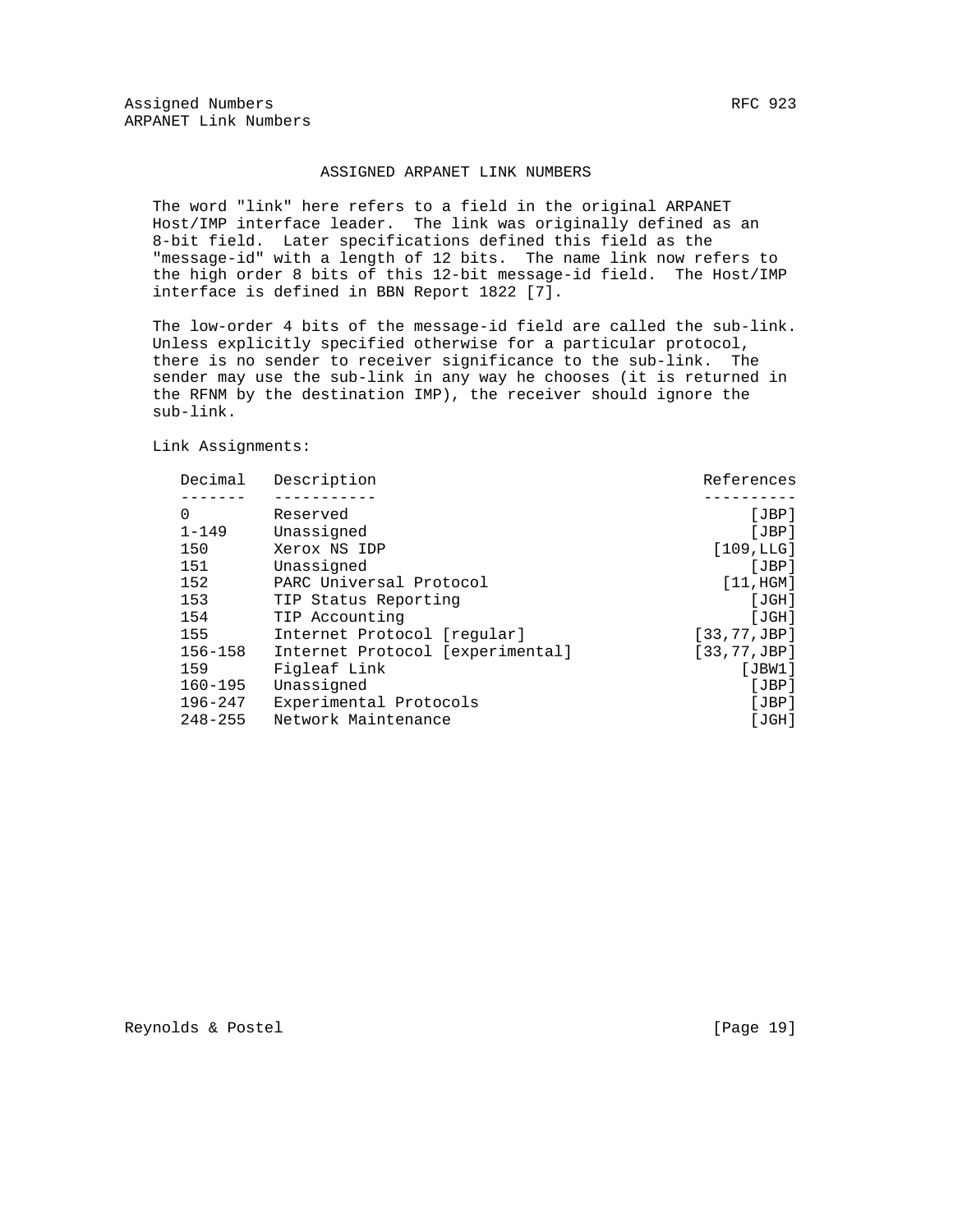#### ASSIGNED ARPANET LINK NUMBERS

 The word "link" here refers to a field in the original ARPANET Host/IMP interface leader. The link was originally defined as an 8-bit field. Later specifications defined this field as the "message-id" with a length of 12 bits. The name link now refers to the high order 8 bits of this 12-bit message-id field. The Host/IMP interface is defined in BBN Report 1822 [7].

 The low-order 4 bits of the message-id field are called the sub-link. Unless explicitly specified otherwise for a particular protocol, there is no sender to receiver significance to the sub-link. The sender may use the sub-link in any way he chooses (it is returned in the RFNM by the destination IMP), the receiver should ignore the sub-link.

Link Assignments:

| Description                      | References    |
|----------------------------------|---------------|
|                                  |               |
| Reserved                         | [JBP]         |
| Unassigned                       | [JBP]         |
| Xerox NS IDP                     | [109,LLG]     |
| Unassigned                       | JBP           |
| PARC Universal Protocol          | [11, HGM]     |
| TIP Status Reporting             | [JGH]         |
| TIP Accounting                   | [JGH]         |
| Internet Protocol [reqular]      | [33, 77, JBP] |
| Internet Protocol [experimental] | [33, 77, JBP] |
| Figleaf Link                     | [JBW1]        |
| Unassigned                       | [JBP]         |
| Experimental Protocols           | [JBP]         |
| Network Maintenance              | [JGH]         |
|                                  |               |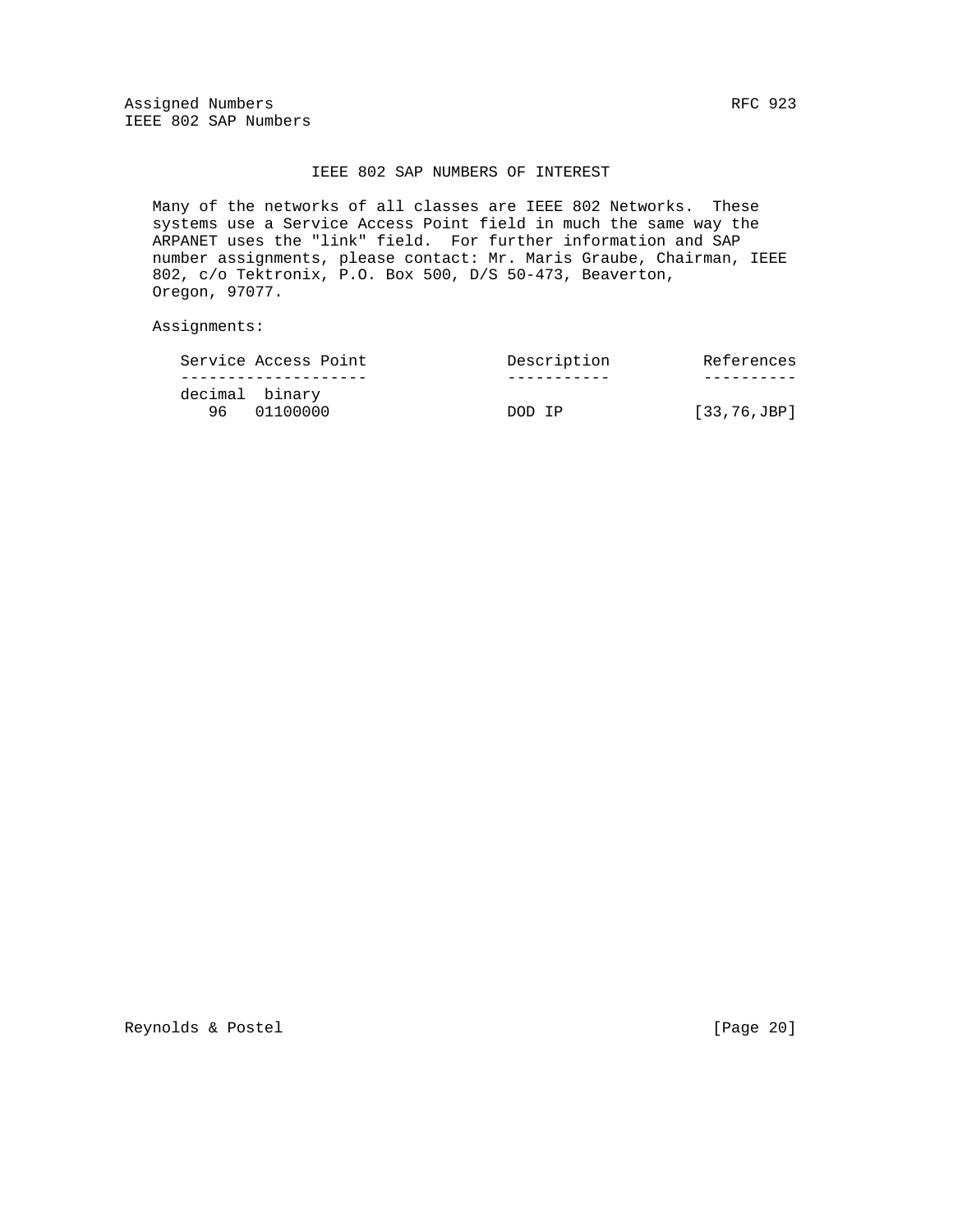Assigned Numbers RFC 923 IEEE 802 SAP Numbers

### IEEE 802 SAP NUMBERS OF INTEREST

 Many of the networks of all classes are IEEE 802 Networks. These systems use a Service Access Point field in much the same way the ARPANET uses the "link" field. For further information and SAP number assignments, please contact: Mr. Maris Graube, Chairman, IEEE 802, c/o Tektronix, P.O. Box 500, D/S 50-473, Beaverton, Oregon, 97077.

Assignments:

| Service Access Point          | Description | References             |
|-------------------------------|-------------|------------------------|
|                               |             |                        |
| decimal binary<br>96 01100000 | OOD TP      | $[33, 76, \text{JBP}]$ |

Reynolds & Postel [Page 20]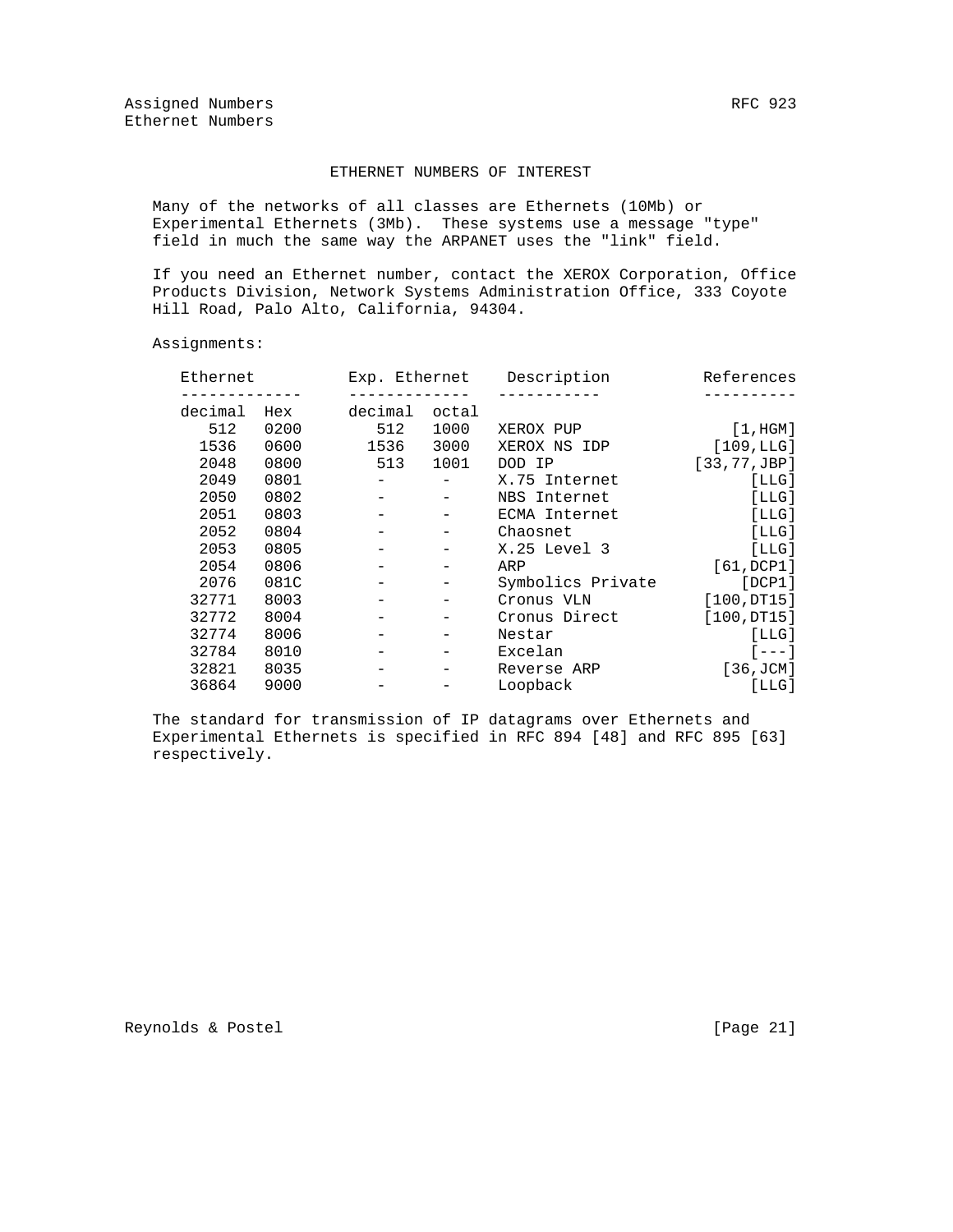### ETHERNET NUMBERS OF INTEREST

 Many of the networks of all classes are Ethernets (10Mb) or Experimental Ethernets (3Mb). These systems use a message "type" field in much the same way the ARPANET uses the "link" field.

 If you need an Ethernet number, contact the XEROX Corporation, Office Products Division, Network Systems Administration Office, 333 Coyote Hill Road, Palo Alto, California, 94304.

Assignments:

| Ethernet |      | Exp. Ethernet |       | Description       | References         |
|----------|------|---------------|-------|-------------------|--------------------|
| decimal  | Hex  | decimal       | octal |                   |                    |
| 512      | 0200 | 512           | 1000  | XEROX PUP         | [1, HGM]           |
| 1536     | 0600 | 1536          | 3000  | XEROX NS IDP      | [109,LLG]          |
| 2048     | 0800 | 513           | 1001  | DOD IP            | [33, 77, JBP]      |
| 2049     | 0801 |               |       | X.75 Internet     | [LLG]              |
| 2050     | 0802 |               |       | NBS Internet      | [LLG]              |
| 2051     | 0803 |               |       | ECMA Internet     | [LLG]              |
| 2052     | 0804 |               |       | Chaosnet          | [LLG]              |
| 2053     | 0805 |               |       | X.25 Level 3      | [LLG]              |
| 2054     | 0806 |               |       | ARP               | [61, DCP1]         |
| 2076     | 081C |               |       | Symbolics Private | [DCP1]             |
| 32771    | 8003 |               |       | Cronus VLN        | [100,DT15]         |
| 32772    | 8004 |               |       | Cronus Direct     | [100,DT15]         |
| 32774    | 8006 |               |       | Nestar            | [LLG]              |
| 32784    | 8010 |               |       | Excelan           | $1 - - - 1$        |
| 32821    | 8035 |               |       | Reverse ARP       | $[36, \text{JCM}]$ |
| 36864    | 9000 |               |       | Loopback          | [LLG]              |

 The standard for transmission of IP datagrams over Ethernets and Experimental Ethernets is specified in RFC 894 [48] and RFC 895 [63] respectively.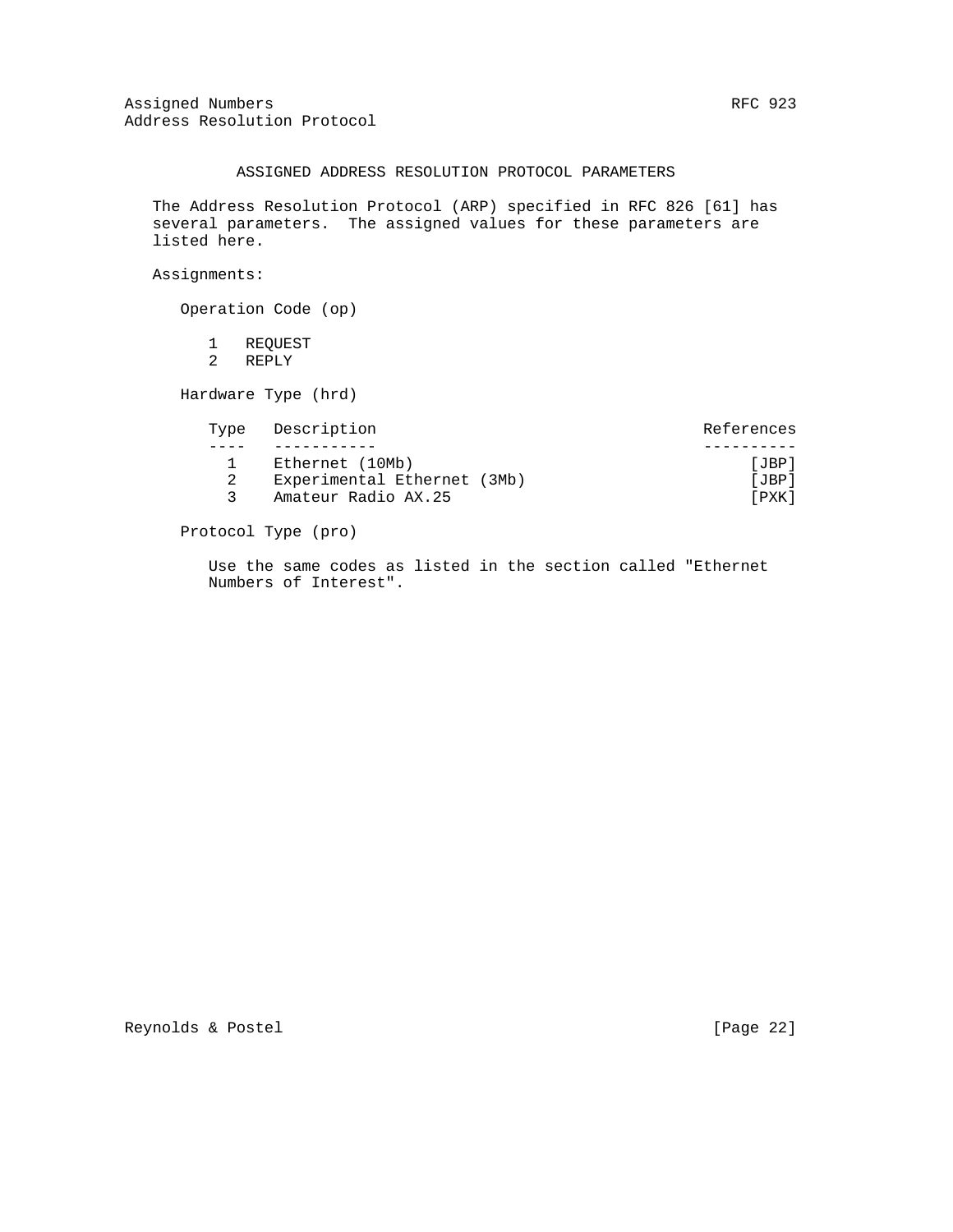### ASSIGNED ADDRESS RESOLUTION PROTOCOL PARAMETERS

 The Address Resolution Protocol (ARP) specified in RFC 826 [61] has several parameters. The assigned values for these parameters are listed here.

Assignments:

Operation Code (op)

 1 REQUEST 2 REPLY

Hardware Type (hrd)

| Type Description |                             | References |
|------------------|-----------------------------|------------|
|                  |                             |            |
|                  | Ethernet (10Mb)             | [JBP]      |
|                  | Experimental Ethernet (3Mb) | [JBP]      |
|                  | Amateur Radio AX.25         | [PXK]      |
|                  |                             |            |

Protocol Type (pro)

 Use the same codes as listed in the section called "Ethernet Numbers of Interest".

Reynolds & Postel [Page 22]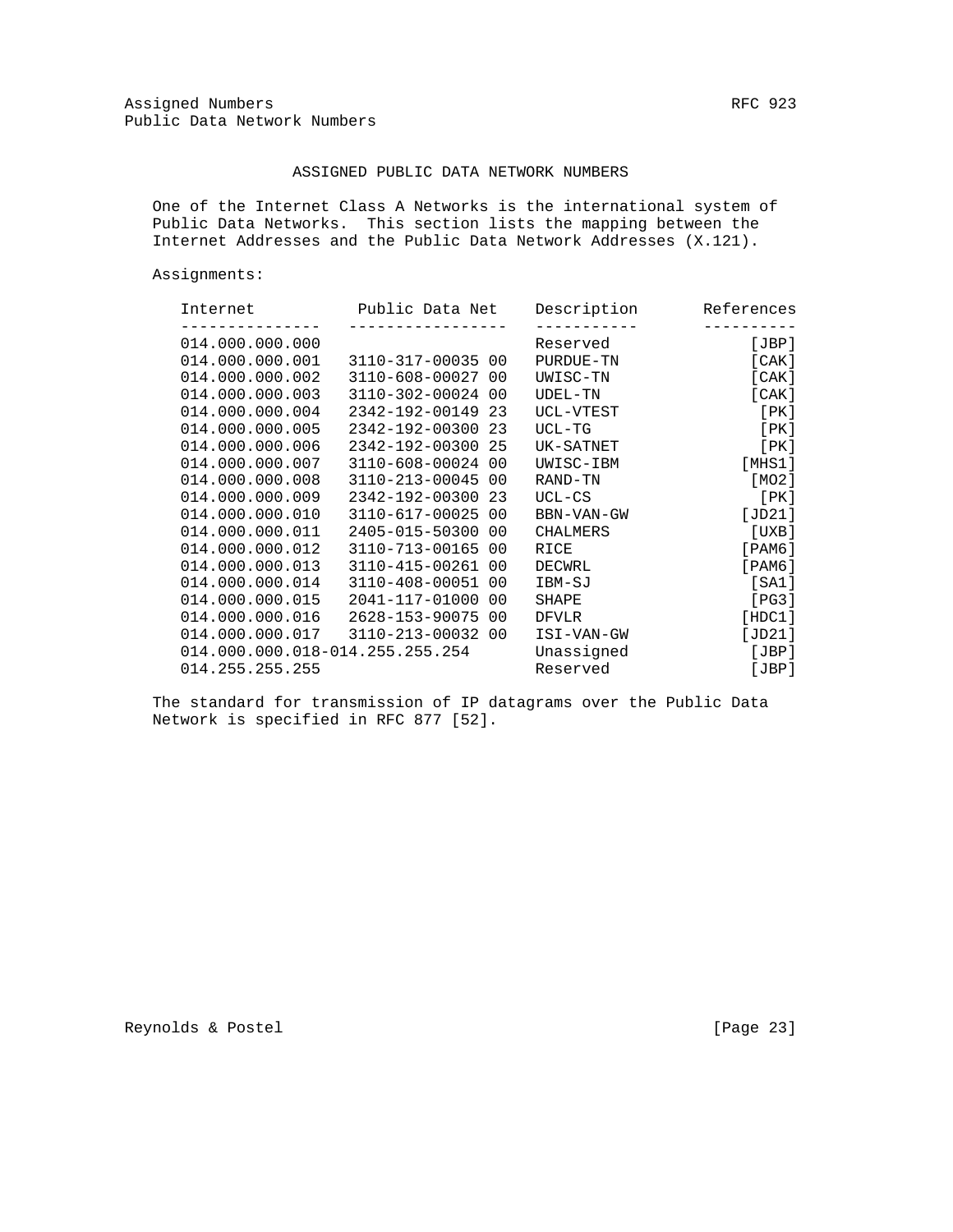### ASSIGNED PUBLIC DATA NETWORK NUMBERS

 One of the Internet Class A Networks is the international system of Public Data Networks. This section lists the mapping between the Internet Addresses and the Public Data Network Addresses (X.121).

Assignments:

| Internet                          | Public Data Net   |                | Description     | References      |
|-----------------------------------|-------------------|----------------|-----------------|-----------------|
| 014.000.000.000                   |                   |                | Reserved        | [JBP]           |
| 014.000.000.001                   | 3110-317-00035 00 |                | PURDUE-TN       | [ CAK ]         |
| 014.000.000.002                   | 3110-608-00027 00 |                | UWISC-TN        | [ CAK ]         |
| 014.000.000.003                   | 3110-302-00024    | - 00           | UDEL-TN         | [ CAK ]         |
| 014.000.000.004                   | 2342-192-00149    | 23             | UCL-VTEST       | [ PK ]          |
| 014.000.000.005                   | 2342-192-00300    | 23             | $UCL-TG$        | [ PK ]          |
| 014.000.000.006                   | 2342-192-00300 25 |                | UK-SATNET       | [ PK ]          |
| 014.000.000.007                   | 3110-608-00024    | 0 <sub>0</sub> | UWISC-IBM       | [MHz1]          |
| 014.000.000.008                   | 3110-213-00045 00 |                | RAND-TN         | [MO2]           |
| 014.000.000.009                   | 2342-192-00300    | -23            | $UCL-CS$        | [PK]            |
| 014.000.000.010                   | 3110-617-00025    | 00             | BBN-VAN-GW      | [JD21]          |
| 014.000.000.011                   | 2405-015-50300    | 00             | <b>CHALMERS</b> | [UXB]           |
| 014.000.000.012                   | 3110-713-00165    | 00             | RICE            | $[$ PAM $6$ $]$ |
| 014.000.000.013                   | 3110-415-00261 00 |                | DECWRL          | $[$ PAM $6$ ]   |
| 014.000.000.014                   | 3110-408-00051    | 00             | IBM-SJ          | [SA1]           |
| 014.000.000.015                   | 2041-117-01000    | -00            | SHAPE           | [PG3]           |
| 014.000.000.016                   | 2628-153-90075 00 |                | <b>DFVLR</b>    | [HDC1]          |
| 014.000.000.017 3110-213-00032 00 |                   |                | ISI-VAN-GW      | [JD21]          |
| 014.000.000.018-014.255.255.254   |                   |                | Unassigned      | [JBP]           |
| 014.255.255.255                   |                   |                | Reserved        | [JBP]           |

 The standard for transmission of IP datagrams over the Public Data Network is specified in RFC 877 [52].

Reynolds & Postel [Page 23]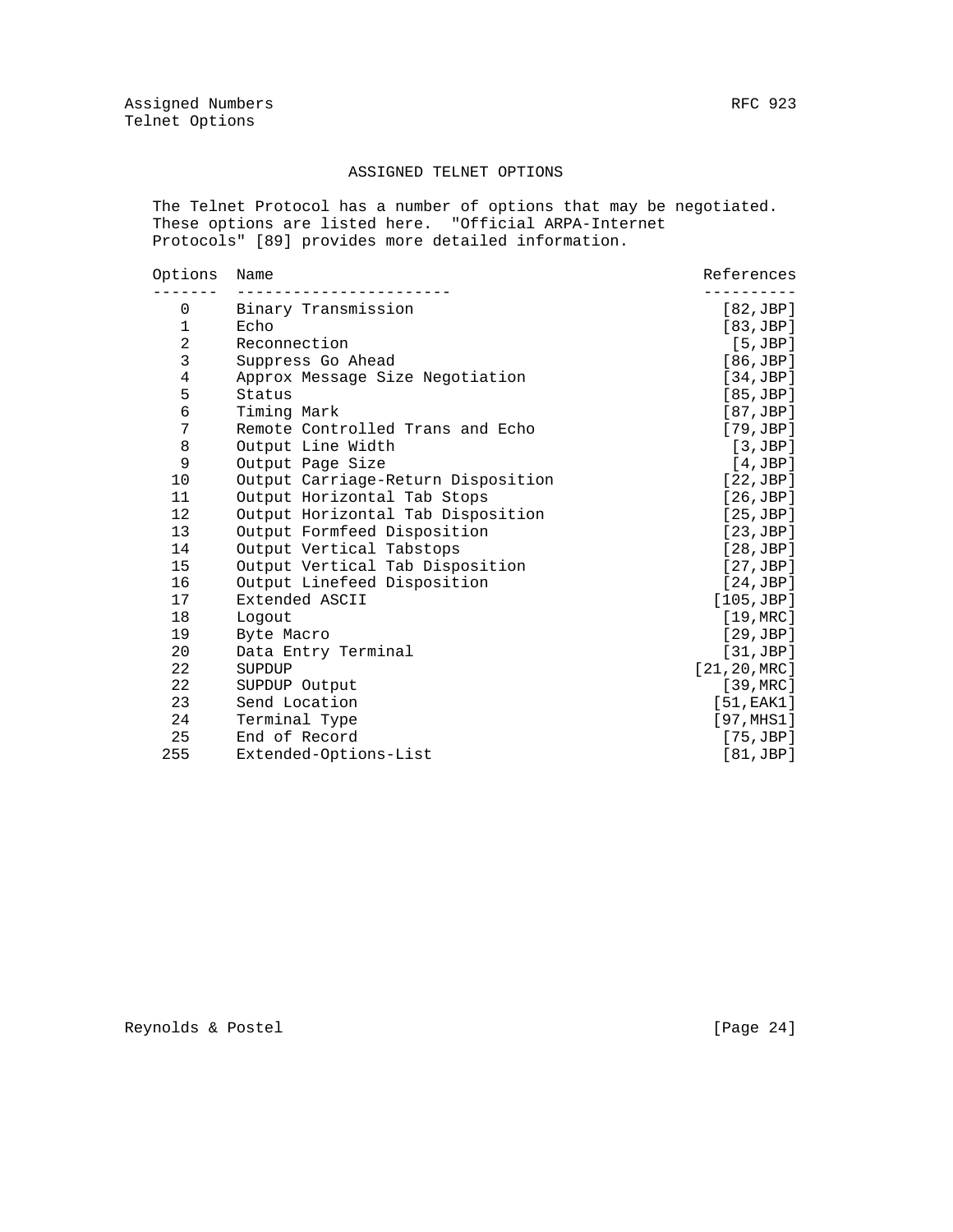### ASSIGNED TELNET OPTIONS

 The Telnet Protocol has a number of options that may be negotiated. These options are listed here. "Official ARPA-Internet Protocols" [89] provides more detailed information.

| Options           | Name                               | References         |
|-------------------|------------------------------------|--------------------|
| 0                 | Binary Transmission                | [82,JBP]           |
| $\mathbf 1$       | Echo                               | [83,JBP]           |
| $\overline{a}$    | Reconnection                       | [5,JBP]            |
| 3                 | Suppress Go Ahead                  | [86, JBP]          |
| $\overline{4}$    | Approx Message Size Negotiation    | [34,JBP]           |
| 5                 | Status                             | [85, JBP]          |
| 6                 | Timing Mark                        | [87,JBP]           |
| 7                 | Remote Controlled Trans and Echo   | [79,JBP]           |
| 8                 | Output Line Width                  | [3,JBP]            |
| 9                 | Output Page Size                   | [4,JBP]            |
| 10                | Output Carriage-Return Disposition | [22,JBP]           |
| 11                | Output Horizontal Tab Stops        | [26,JBP]           |
| $12 \overline{ }$ | Output Horizontal Tab Disposition  | [25,JBP]           |
| 13                | Output Formfeed Disposition        | [23,JBP]           |
| 14                | Output Vertical Tabstops           | [28,JBP]           |
| 15                | Output Vertical Tab Disposition    | [27,JBP]           |
| 16                | Output Linefeed Disposition        | [24,JBP]           |
| 17                | Extended ASCII                     | [105, JBP]         |
| 18                | Logout                             | [19, MRC]          |
| 19                | Byte Macro                         | [29,JBP]           |
| 20                | Data Entry Terminal                | [31,JBP]           |
| 22                | SUPDUP                             | [21, 20, MRC]      |
| 22                | SUPDUP Output                      | $[39, \text{MRC}]$ |
| 23                | Send Location                      | [51, EAK1]         |
| 24                | Terminal Type                      | [97, MHz1]         |
| 25                | End of Record                      | $[75, \text{JBP}]$ |
| 255               | Extended-Options-List              | [81,JBP]           |
|                   |                                    |                    |

Reynolds & Postel [Page 24]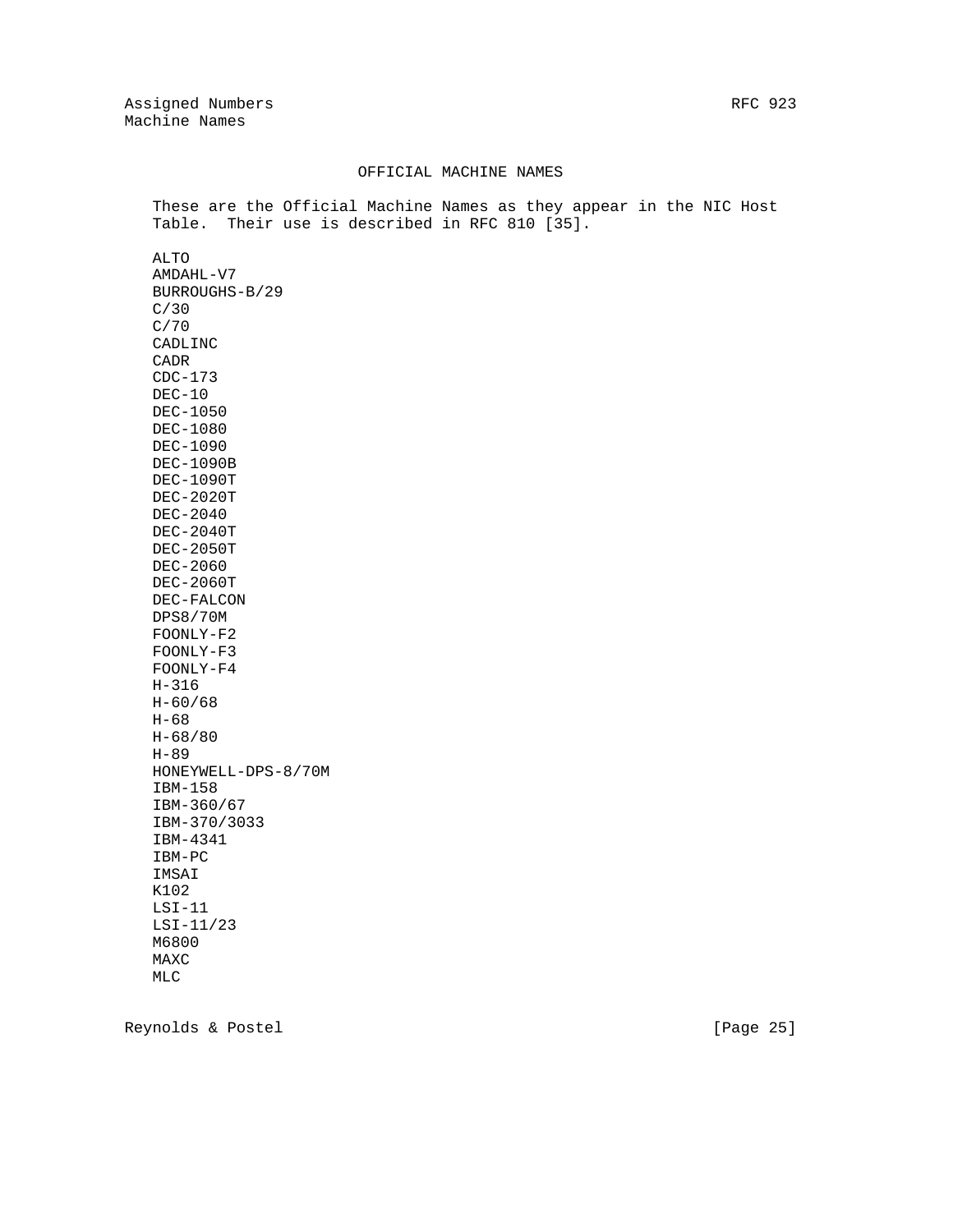#### OFFICIAL MACHINE NAMES

 These are the Official Machine Names as they appear in the NIC Host Table. Their use is described in RFC 810 [35].

 ALTO AMDAHL-V7 BURROUGHS-B/29 C/30 C/70 CADLINC CADR CDC-173 DEC-10 DEC-1050 DEC-1080 DEC-1090 DEC-1090B DEC-1090T DEC-2020T DEC-2040 DEC-2040T DEC-2050T DEC-2060 DEC-2060T DEC-FALCON DPS8/70M FOONLY-F2 FOONLY-F3 FOONLY-F4 H-316 H-60/68 H-68 H-68/80 H-89 HONEYWELL-DPS-8/70M IBM-158 IBM-360/67 IBM-370/3033 IBM-4341 IBM-PC IMSAI K102 LSI-11 LSI-11/23 M6800 MAXC MLC

Reynolds & Postel [Page 25]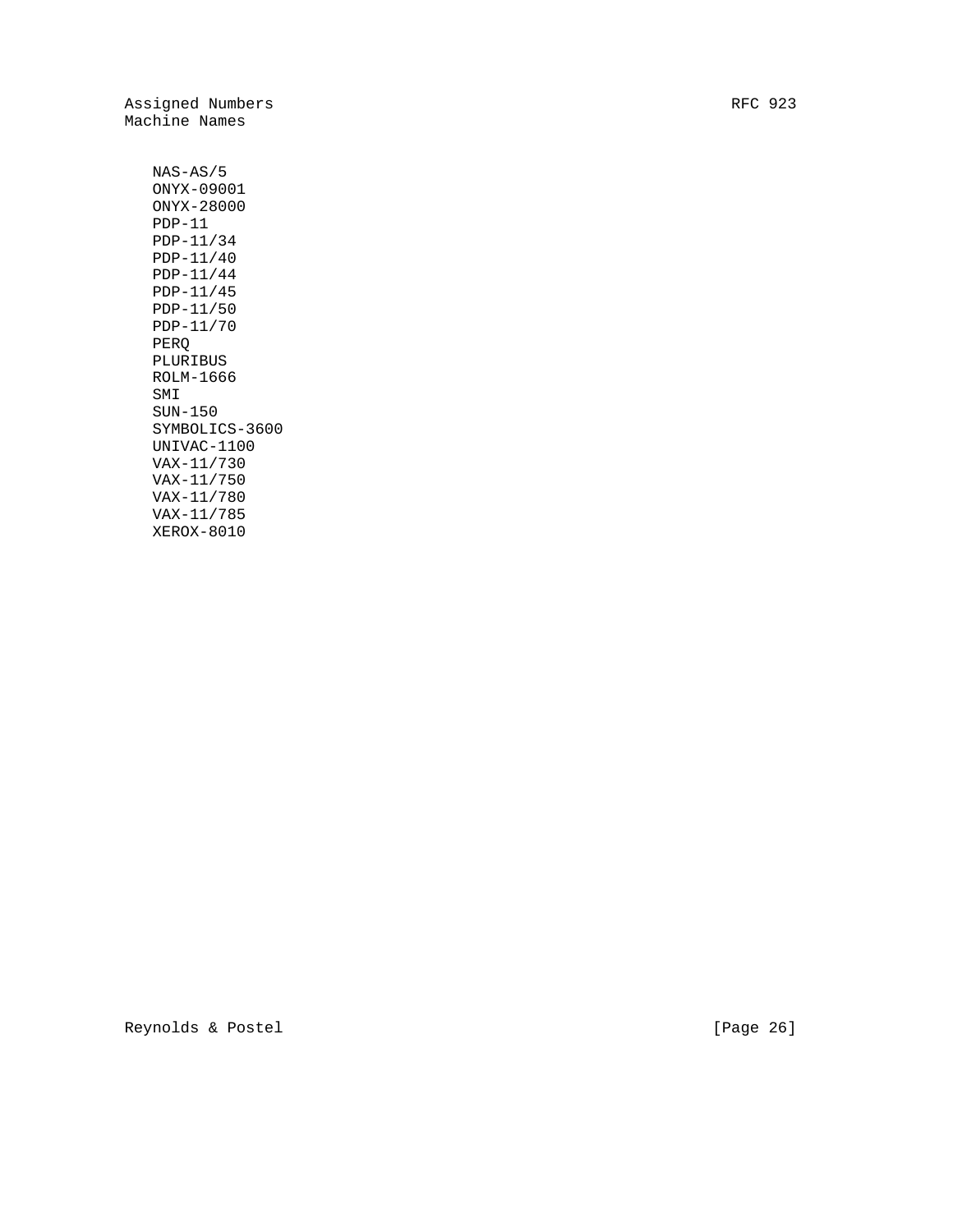Assigned Numbers RFC 923 Machine Names

 NAS-AS/5 ONYX-09001 ONYX-28000 PDP-11 PDP-11/34 PDP-11/40 PDP-11/44 PDP-11/45 PDP-11/50 PDP-11/70 PERQ PLURIBUS ROLM-1666 SMI SUN-150 SYMBOLICS-3600 UNIVAC-1100 VAX-11/730 VAX-11/750 VAX-11/780 VAX-11/785 XEROX-8010

Reynolds & Postel [Page 26]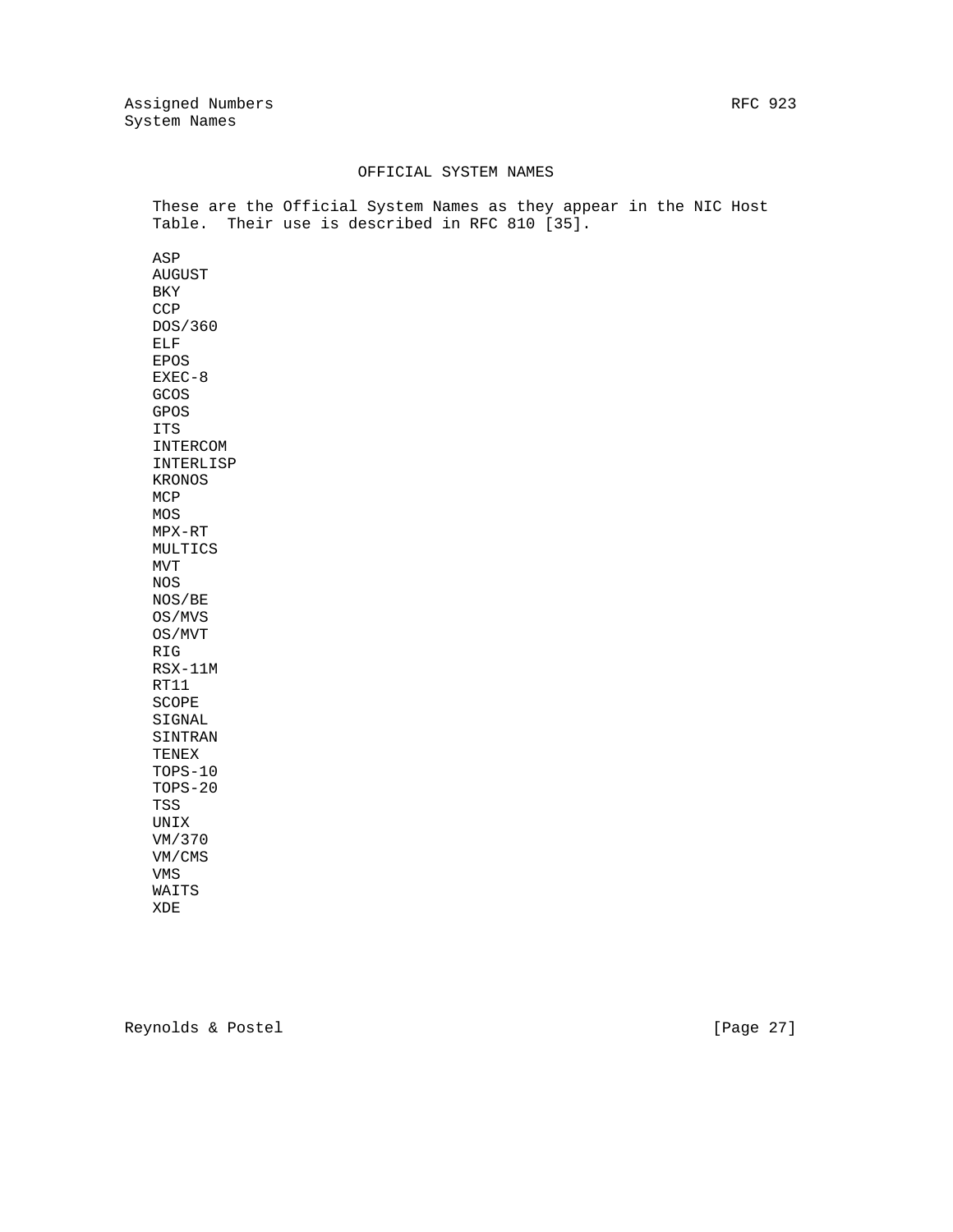### OFFICIAL SYSTEM NAMES

 These are the Official System Names as they appear in the NIC Host Table. Their use is described in RFC 810 [35].

 ASP AUGUST BKY **CCP**  DOS/360 ELF EPOS EXEC-8 GCOS GPOS ITS INTERCOM INTERLISP KRONOS MCP MOS MPX-RT MULTICS MVT NOS NOS/BE OS/MVS OS/MVT RIG RSX-11M RT11 SCOPE SIGNAL SINTRAN TENEX TOPS-10 TOPS-20 TSS UNIX VM/370 VM/CMS VMS WAITS XDE

Reynolds & Postel [Page 27]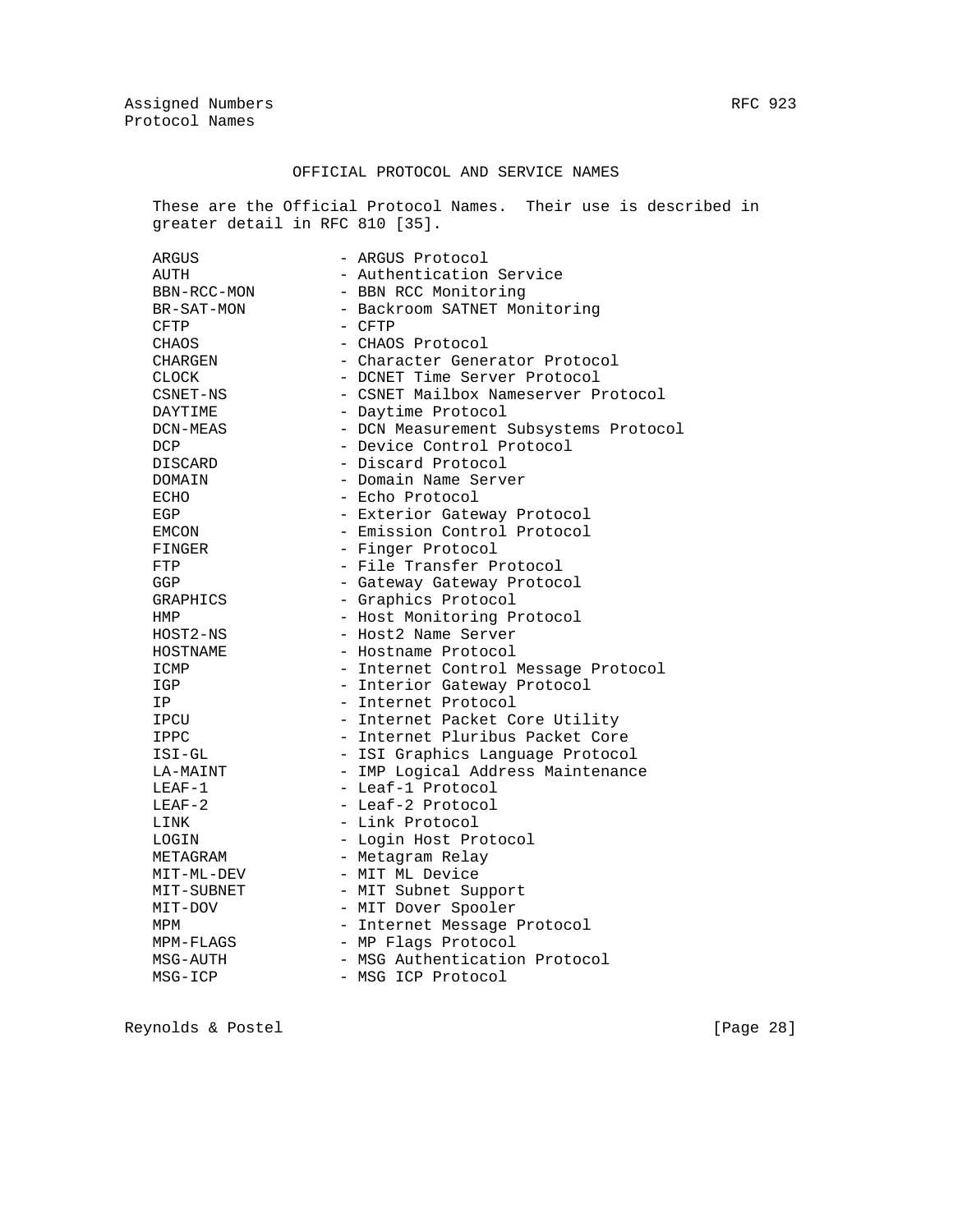### OFFICIAL PROTOCOL AND SERVICE NAMES

 These are the Official Protocol Names. Their use is described in greater detail in RFC 810 [35].

| ARGUS        | - ARGUS Protocol                      |
|--------------|---------------------------------------|
| AUTH         | - Authentication Service              |
| BBN-RCC-MON  | - BBN RCC Monitoring                  |
| BR-SAT-MON   | - Backroom SATNET Monitoring          |
| <b>CFTP</b>  | $-$ CFTP                              |
| CHAOS        | - CHAOS Protocol                      |
| CHARGEN      | - Character Generator Protocol        |
| <b>CLOCK</b> | - DCNET Time Server Protocol          |
| CSNET-NS     | - CSNET Mailbox Nameserver Protocol   |
| DAYTIME      | - Daytime Protocol                    |
| DCN-MEAS     | - DCN Measurement Subsystems Protocol |
| DCP          | - Device Control Protocol             |
| DISCARD      | - Discard Protocol                    |
| DOMAIN       | - Domain Name Server                  |
| ECHO         | - Echo Protocol                       |
| EGP          | - Exterior Gateway Protocol           |
| EMCON        | - Emission Control Protocol           |
| FINGER       | - Finger Protocol                     |
| FTP          | - File Transfer Protocol              |
| <b>GGP</b>   | - Gateway Gateway Protocol            |
| GRAPHICS     | - Graphics Protocol                   |
| HMP          | - Host Monitoring Protocol            |
| HOST2-NS     | - Host2 Name Server                   |
| HOSTNAME     | - Hostname Protocol                   |
| ICMP         | - Internet Control Message Protocol   |
| IGP          | - Interior Gateway Protocol           |
| IP           | - Internet Protocol                   |
| IPCU         | - Internet Packet Core Utility        |
| IPPC         | - Internet Pluribus Packet Core       |
| ISI-GL       | - ISI Graphics Language Protocol      |
| LA-MAINT     | - IMP Logical Address Maintenance     |
| $LEAF-1$     | - Leaf-1 Protocol                     |
| $LEAF-2$     | - Leaf-2 Protocol                     |
| LINK         | - Link Protocol                       |
| LOGIN        | - Login Host Protocol                 |
| METAGRAM     | - Metagram Relay                      |
| MIT-ML-DEV   | - MIT ML Device                       |
| MIT-SUBNET   | - MIT Subnet Support                  |
| MIT-DOV      | - MIT Dover Spooler                   |
| MPM          | - Internet Message Protocol           |
| MPM-FLAGS    | - MP Flags Protocol                   |
| MSG-AUTH     | - MSG Authentication Protocol         |
| MSG-ICP      | - MSG ICP Protocol                    |

Reynolds & Postel [Page 28]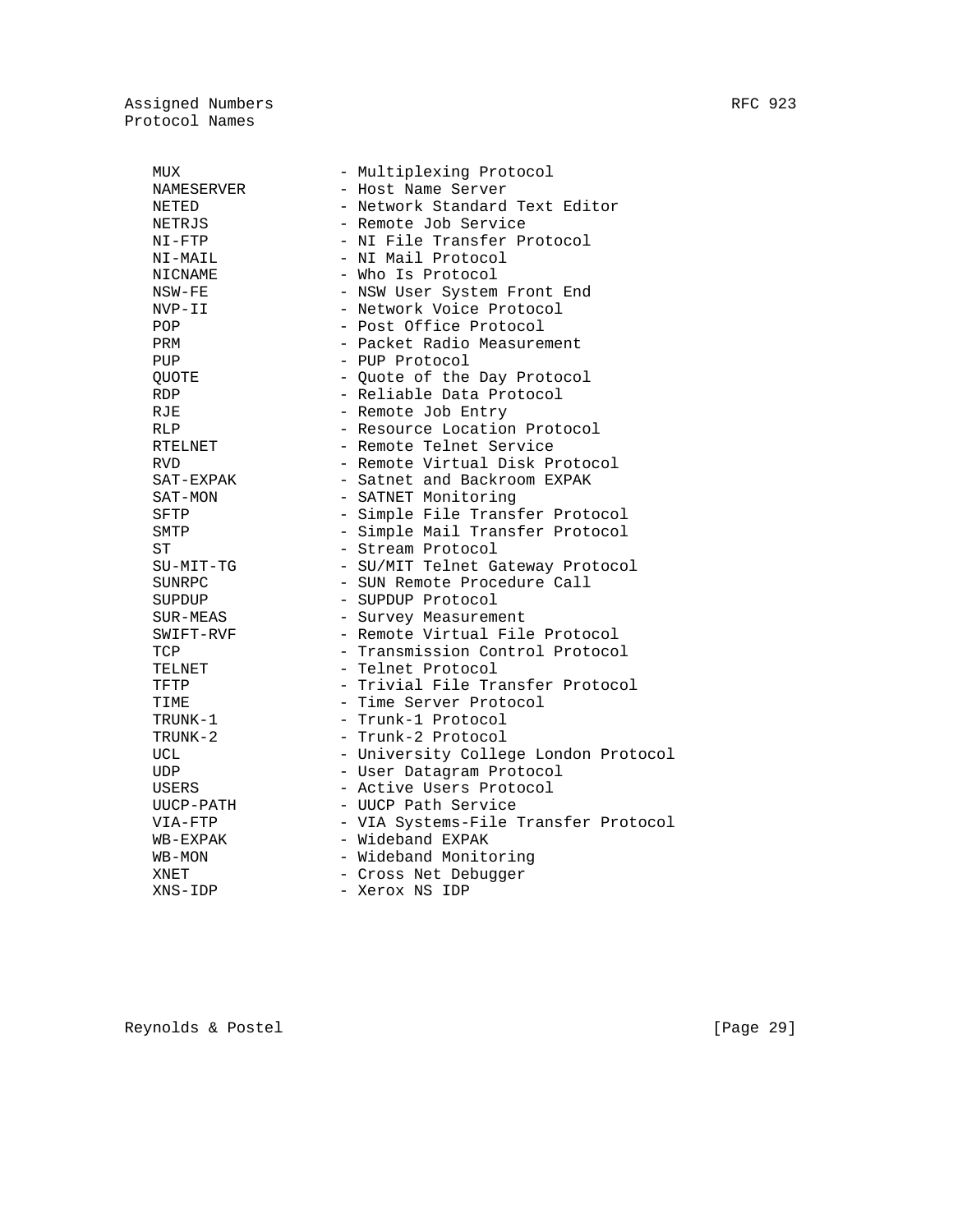| MUX        | - Multiplexing Protocol              |
|------------|--------------------------------------|
| NAMESERVER | - Host Name Server                   |
| NETED      | - Network Standard Text Editor       |
| NETRJS     | - Remote Job Service                 |
| NI-FTP     | - NI File Transfer Protocol          |
| NI-MAIL    | - NI Mail Protocol                   |
| NICNAME    | - Who Is Protocol                    |
| NSW-FE     | - NSW User System Front End          |
| NVP-II     | - Network Voice Protocol             |
| POP        | - Post Office Protocol               |
| PRM        | - Packet Radio Measurement           |
| PUP        | - PUP Protocol                       |
| OUOTE      | - Quote of the Day Protocol          |
| <b>RDP</b> | - Reliable Data Protocol             |
| <b>RJE</b> | - Remote Job Entry                   |
| <b>RLP</b> | - Resource Location Protocol         |
| RTELNET    | - Remote Telnet Service              |
| <b>RVD</b> | - Remote Virtual Disk Protocol       |
| SAT-EXPAK  | - Satnet and Backroom EXPAK          |
| SAT-MON    | - SATNET Monitoring                  |
| SFTP       | - Simple File Transfer Protocol      |
| SMTP       | - Simple Mail Transfer Protocol      |
| ST         | - Stream Protocol                    |
| SU-MIT-TG  | - SU/MIT Telnet Gateway Protocol     |
| SUNRPC     | - SUN Remote Procedure Call          |
| SUPDUP     | - SUPDUP Protocol                    |
| SUR-MEAS   | - Survey Measurement                 |
| SWIFT-RVF  | - Remote Virtual File Protocol       |
| TCP        | - Transmission Control Protocol      |
| TELNET     | - Telnet Protocol                    |
| TFTP       | - Trivial File Transfer Protocol     |
| TIME       | - Time Server Protocol               |
| TRUNK-1    | - Trunk-1 Protocol                   |
| TRUNK-2    | - Trunk-2 Protocol                   |
| UCL        | - University College London Protocol |
| UDP        | - User Datagram Protocol             |
| USERS      | - Active Users Protocol              |
| UUCP-PATH  | - UUCP Path Service                  |
| VIA-FTP    | - VIA Systems-File Transfer Protocol |
| WB-EXPAK   | - Wideband EXPAK                     |
| WB-MON     | - Wideband Monitoring                |
| XNET       | - Cross Net Debugger                 |
| XNS-IDP    | - Xerox NS IDP                       |

Reynolds & Postel [Page 29]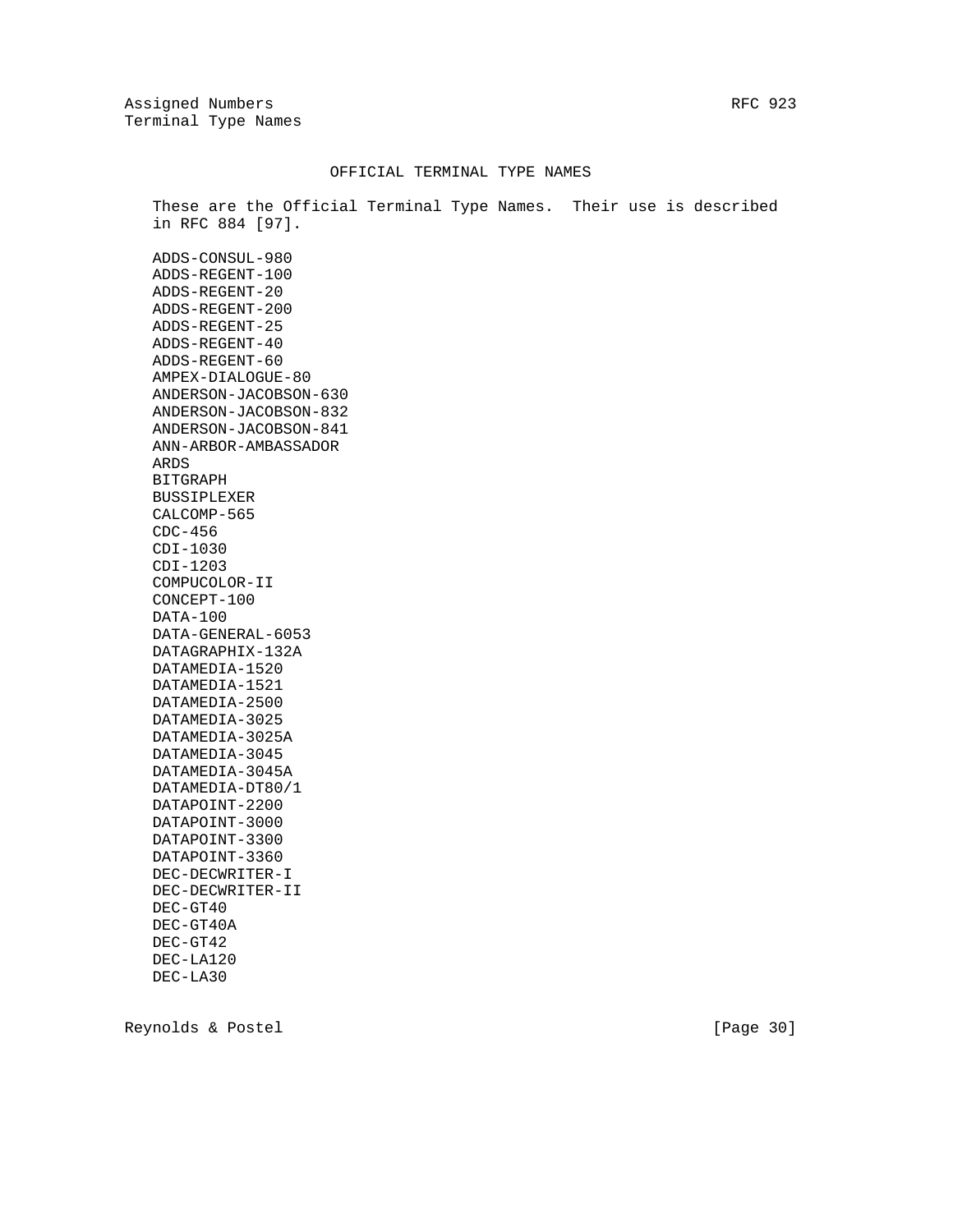Assigned Numbers RFC 923 Terminal Type Names

### OFFICIAL TERMINAL TYPE NAMES

 These are the Official Terminal Type Names. Their use is described in RFC 884 [97].

 ADDS-CONSUL-980 ADDS-REGENT-100 ADDS-REGENT-20 ADDS-REGENT-200 ADDS-REGENT-25 ADDS-REGENT-40 ADDS-REGENT-60 AMPEX-DIALOGUE-80 ANDERSON-JACOBSON-630 ANDERSON-JACOBSON-832 ANDERSON-JACOBSON-841 ANN-ARBOR-AMBASSADOR ARDS BITGRAPH BUSSIPLEXER CALCOMP-565 CDC-456 CDI-1030 CDI-1203 COMPUCOLOR-II CONCEPT-100 DATA-100 DATA-GENERAL-6053 DATAGRAPHIX-132A DATAMEDIA-1520 DATAMEDIA-1521 DATAMEDIA-2500 DATAMEDIA-3025 DATAMEDIA-3025A DATAMEDIA-3045 DATAMEDIA-3045A DATAMEDIA-DT80/1 DATAPOINT-2200 DATAPOINT-3000 DATAPOINT-3300 DATAPOINT-3360 DEC-DECWRITER-I DEC-DECWRITER-II DEC-GT40 DEC-GT40A DEC-GT42 DEC-LA120 DEC-LA30

Reynolds & Postel [Page 30]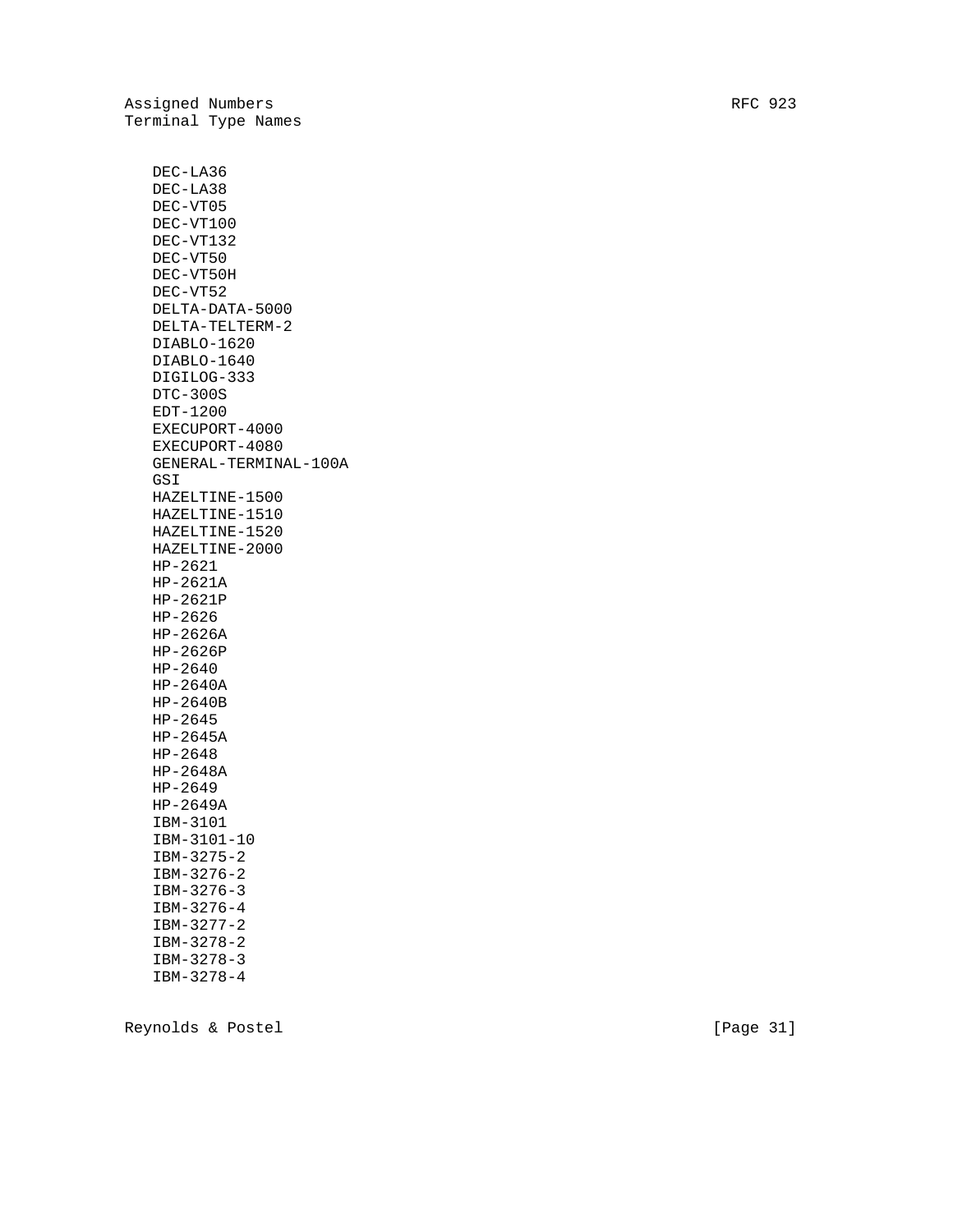DEC-LA36 DEC-LA38 DEC-VT05 DEC-VT100 DEC-VT132 DEC-VT50 DEC-VT50H DEC-VT52 DELTA-DATA-5000 DELTA-TELTERM-2 DIABLO-1620 DIABLO-1640 DIGILOG-333 DTC-300S EDT-1200 EXECUPORT-4000 EXECUPORT-4080 GENERAL-TERMINAL-100A GSI HAZELTINE-1500 HAZELTINE-1510 HAZELTINE-1520 HAZELTINE-2000 HP-2621 HP-2621A HP-2621P HP-2626 HP-2626A HP-2626P HP-2640 HP-2640A HP-2640B HP-2645 HP-2645A HP-2648 HP-2648A HP-2649 HP-2649A IBM-3101 IBM-3101-10 IBM-3275-2 IBM-3276-2 IBM-3276-3 IBM-3276-4 IBM-3277-2 IBM-3278-2 IBM-3278-3 IBM-3278-4

Reynolds & Postel [Page 31]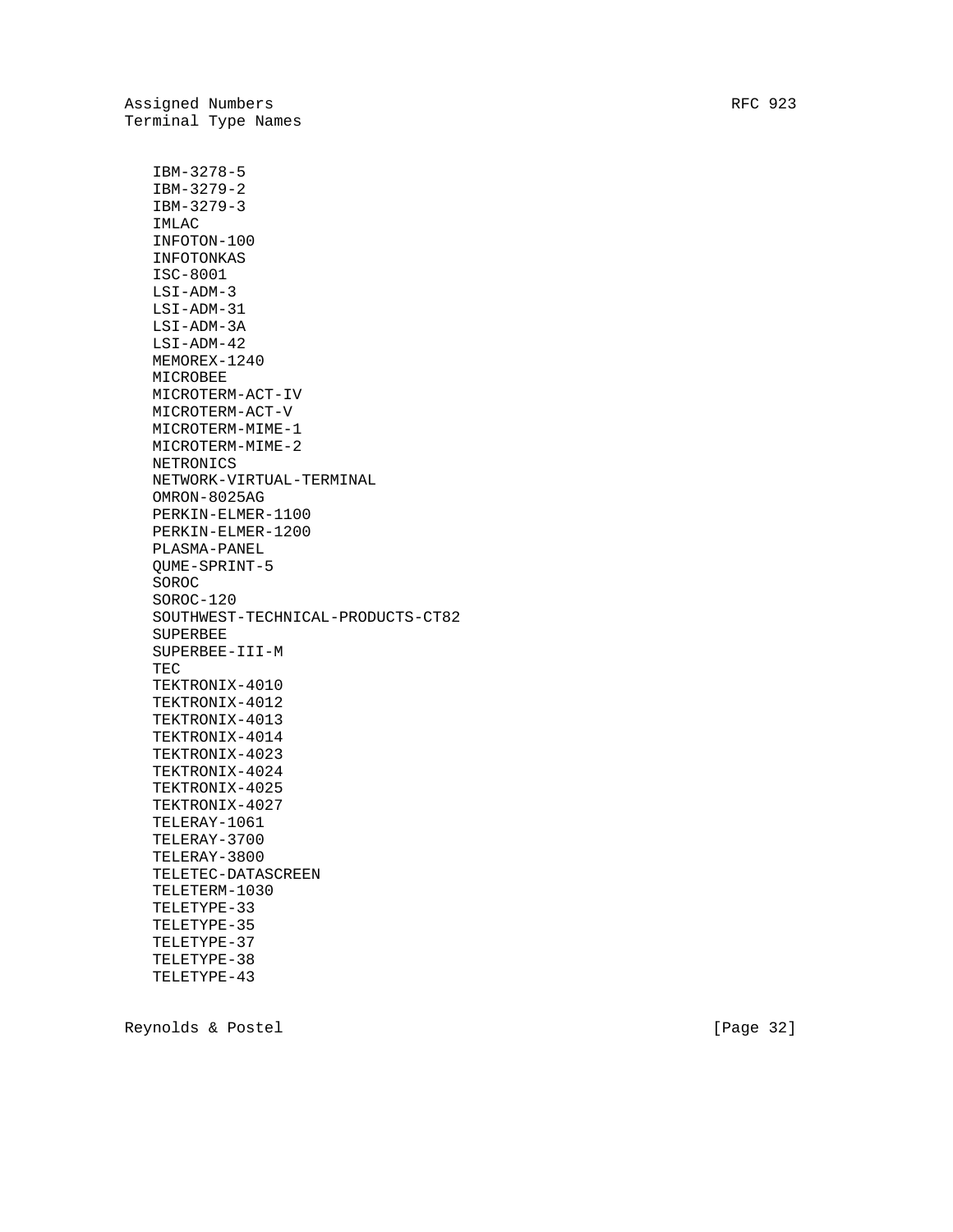Terminal Type Names IBM-3278-5 IBM-3279-2 IBM-3279-3 IMLAC INFOTON-100 INFOTONKAS ISC-8001 LSI-ADM-3 LSI-ADM-31 LSI-ADM-3A LSI-ADM-42 MEMOREX-1240 MICROBEE MICROTERM-ACT-IV MICROTERM-ACT-V MICROTERM-MIME-1 MICROTERM-MIME-2 NETRONICS NETWORK-VIRTUAL-TERMINAL OMRON-8025AG PERKIN-ELMER-1100 PERKIN-ELMER-1200 PLASMA-PANEL QUME-SPRINT-5 SOROC SOROC-120 SOUTHWEST-TECHNICAL-PRODUCTS-CT82 SUPERBEE SUPERBEE-III-M TEC TEKTRONIX-4010 TEKTRONIX-4012 TEKTRONIX-4013 TEKTRONIX-4014 TEKTRONIX-4023 TEKTRONIX-4024 TEKTRONIX-4025 TEKTRONIX-4027 TELERAY-1061 TELERAY-3700 TELERAY-3800 TELETEC-DATASCREEN TELETERM-1030 TELETYPE-33 TELETYPE-35 TELETYPE-37 TELETYPE-38 TELETYPE-43

Reynolds & Postel [Page 32]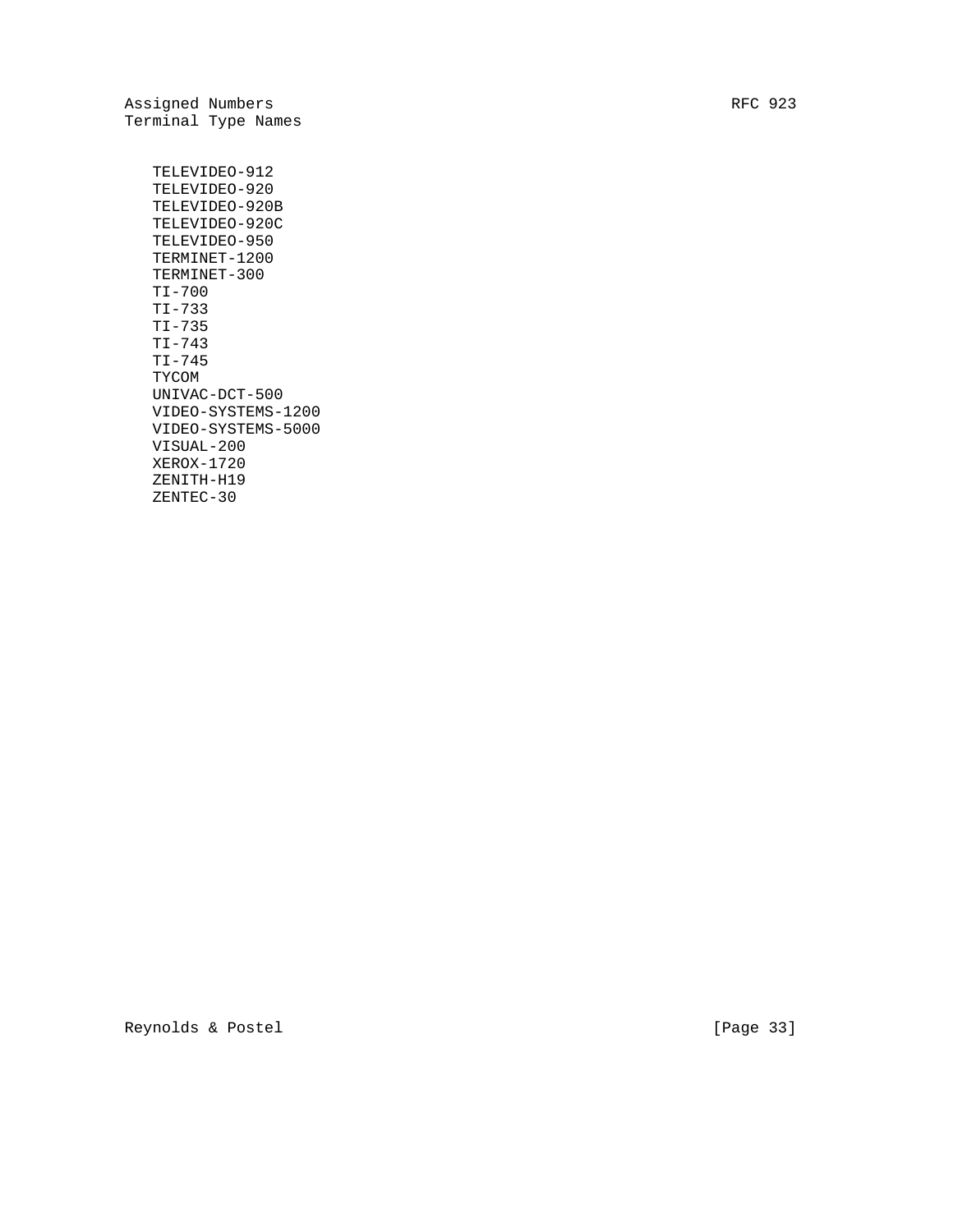Assigned Numbers RFC 923 Terminal Type Names

 TELEVIDEO-912 TELEVIDEO-920 TELEVIDEO-920B TELEVIDEO-920C TELEVIDEO-950 TERMINET-1200 TERMINET-300 TI-700 TI-733 TI-735 TI-743 TI-745 TYCOM UNIVAC-DCT-500 VIDEO-SYSTEMS-1200 VIDEO-SYSTEMS-5000 VISUAL-200 XEROX-1720 ZENITH-H19 ZENTEC-30

Reynolds & Postel [Page 33]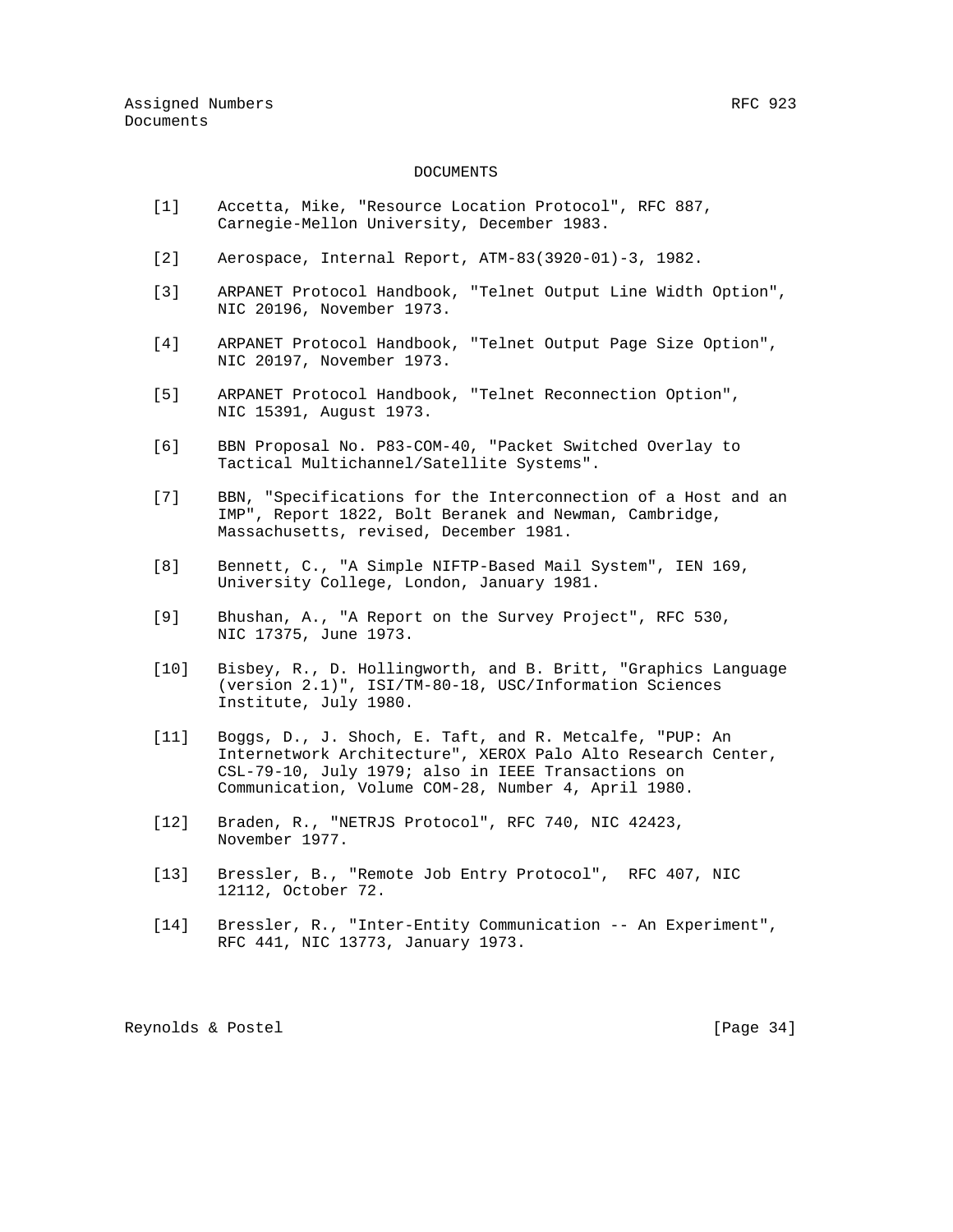#### DOCUMENTS

- [1] Accetta, Mike, "Resource Location Protocol", RFC 887, Carnegie-Mellon University, December 1983.
- [2] Aerospace, Internal Report, ATM-83(3920-01)-3, 1982.
- [3] ARPANET Protocol Handbook, "Telnet Output Line Width Option", NIC 20196, November 1973.
- [4] ARPANET Protocol Handbook, "Telnet Output Page Size Option", NIC 20197, November 1973.
- [5] ARPANET Protocol Handbook, "Telnet Reconnection Option", NIC 15391, August 1973.
- [6] BBN Proposal No. P83-COM-40, "Packet Switched Overlay to Tactical Multichannel/Satellite Systems".
- [7] BBN, "Specifications for the Interconnection of a Host and an IMP", Report 1822, Bolt Beranek and Newman, Cambridge, Massachusetts, revised, December 1981.
- [8] Bennett, C., "A Simple NIFTP-Based Mail System", IEN 169, University College, London, January 1981.
- [9] Bhushan, A., "A Report on the Survey Project", RFC 530, NIC 17375, June 1973.
- [10] Bisbey, R., D. Hollingworth, and B. Britt, "Graphics Language (version 2.1)", ISI/TM-80-18, USC/Information Sciences Institute, July 1980.
- [11] Boggs, D., J. Shoch, E. Taft, and R. Metcalfe, "PUP: An Internetwork Architecture", XEROX Palo Alto Research Center, CSL-79-10, July 1979; also in IEEE Transactions on Communication, Volume COM-28, Number 4, April 1980.
- [12] Braden, R., "NETRJS Protocol", RFC 740, NIC 42423, November 1977.
- [13] Bressler, B., "Remote Job Entry Protocol", RFC 407, NIC 12112, October 72.
- [14] Bressler, R., "Inter-Entity Communication -- An Experiment", RFC 441, NIC 13773, January 1973.

Reynolds & Postel [Page 34]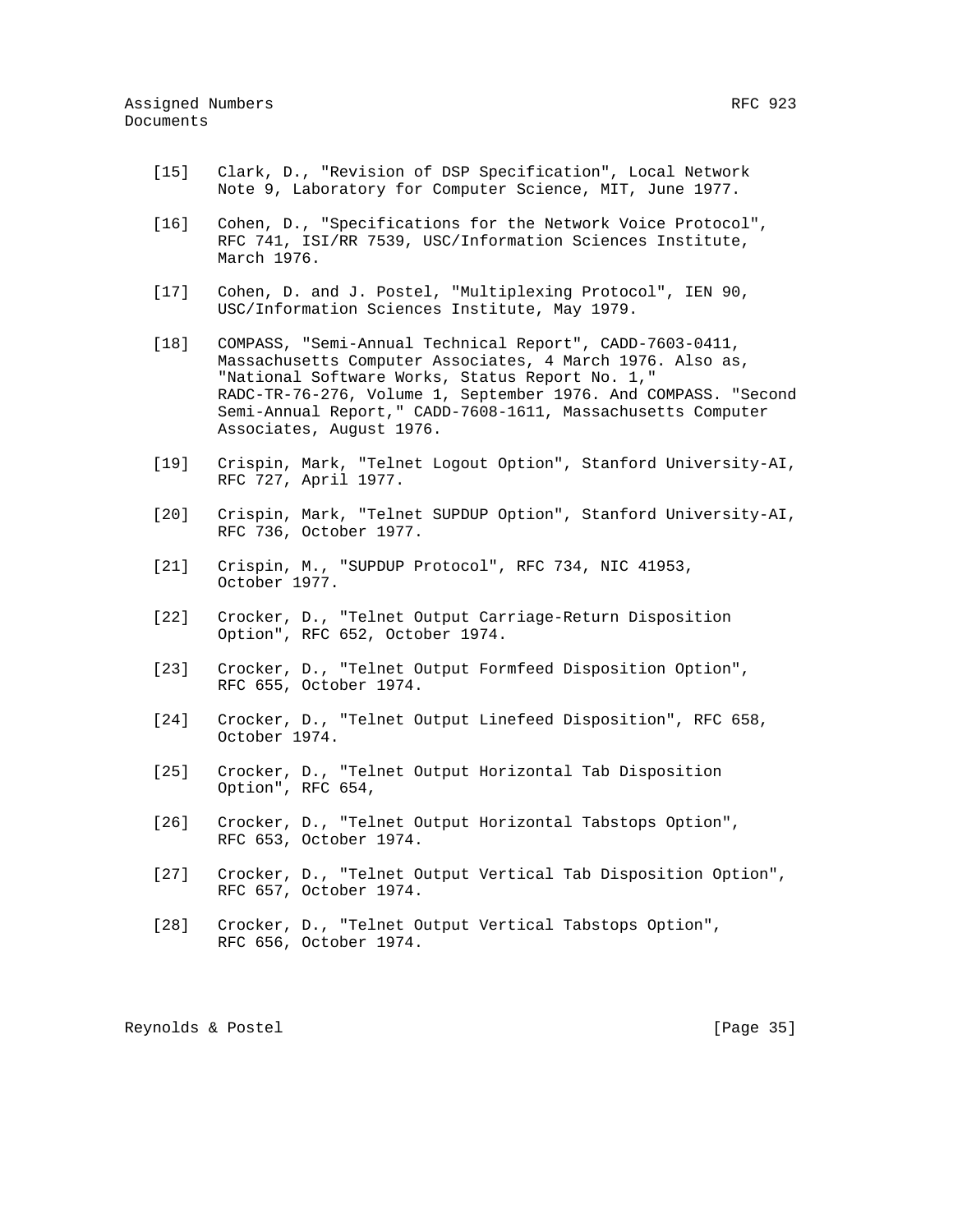- [15] Clark, D., "Revision of DSP Specification", Local Network
- [16] Cohen, D., "Specifications for the Network Voice Protocol",

Note 9, Laboratory for Computer Science, MIT, June 1977.

- RFC 741, ISI/RR 7539, USC/Information Sciences Institute, March 1976.
- [17] Cohen, D. and J. Postel, "Multiplexing Protocol", IEN 90, USC/Information Sciences Institute, May 1979.
- [18] COMPASS, "Semi-Annual Technical Report", CADD-7603-0411, Massachusetts Computer Associates, 4 March 1976. Also as, "National Software Works, Status Report No. 1," RADC-TR-76-276, Volume 1, September 1976. And COMPASS. "Second Semi-Annual Report," CADD-7608-1611, Massachusetts Computer Associates, August 1976.
- [19] Crispin, Mark, "Telnet Logout Option", Stanford University-AI, RFC 727, April 1977.
- [20] Crispin, Mark, "Telnet SUPDUP Option", Stanford University-AI, RFC 736, October 1977.
- [21] Crispin, M., "SUPDUP Protocol", RFC 734, NIC 41953, October 1977.
- [22] Crocker, D., "Telnet Output Carriage-Return Disposition Option", RFC 652, October 1974.
- [23] Crocker, D., "Telnet Output Formfeed Disposition Option", RFC 655, October 1974.
- [24] Crocker, D., "Telnet Output Linefeed Disposition", RFC 658, October 1974.
- [25] Crocker, D., "Telnet Output Horizontal Tab Disposition Option", RFC 654,
- [26] Crocker, D., "Telnet Output Horizontal Tabstops Option", RFC 653, October 1974.
- [27] Crocker, D., "Telnet Output Vertical Tab Disposition Option", RFC 657, October 1974.
- [28] Crocker, D., "Telnet Output Vertical Tabstops Option", RFC 656, October 1974.

Reynolds & Postel [Page 35]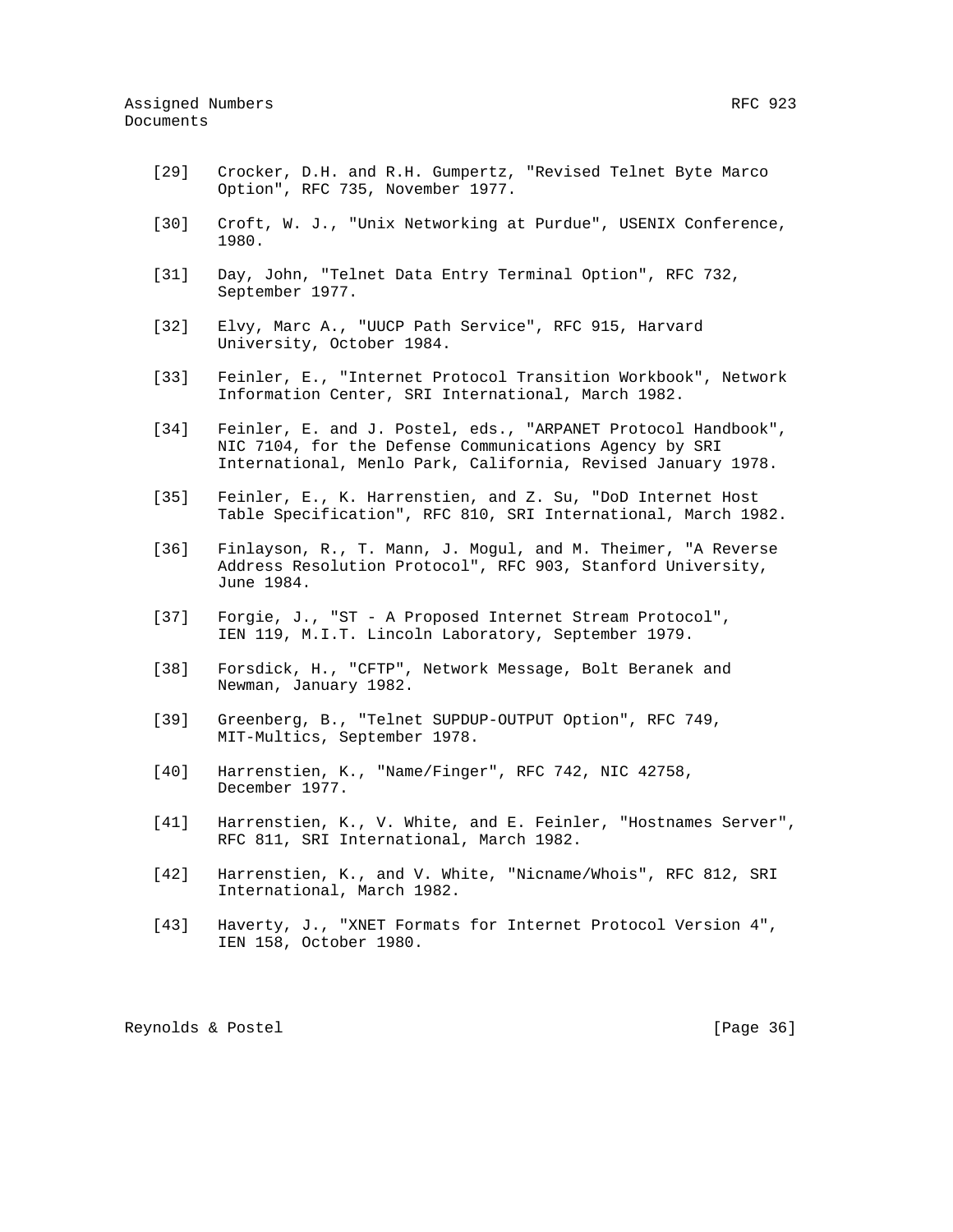- [29] Crocker, D.H. and R.H. Gumpertz, "Revised Telnet Byte Marco Option", RFC 735, November 1977.
- [30] Croft, W. J., "Unix Networking at Purdue", USENIX Conference, 1980.
- [31] Day, John, "Telnet Data Entry Terminal Option", RFC 732, September 1977.
- [32] Elvy, Marc A., "UUCP Path Service", RFC 915, Harvard University, October 1984.
- [33] Feinler, E., "Internet Protocol Transition Workbook", Network Information Center, SRI International, March 1982.
- [34] Feinler, E. and J. Postel, eds., "ARPANET Protocol Handbook", NIC 7104, for the Defense Communications Agency by SRI International, Menlo Park, California, Revised January 1978.
- [35] Feinler, E., K. Harrenstien, and Z. Su, "DoD Internet Host Table Specification", RFC 810, SRI International, March 1982.
- [36] Finlayson, R., T. Mann, J. Mogul, and M. Theimer, "A Reverse Address Resolution Protocol", RFC 903, Stanford University, June 1984.
- [37] Forgie, J., "ST A Proposed Internet Stream Protocol", IEN 119, M.I.T. Lincoln Laboratory, September 1979.
- [38] Forsdick, H., "CFTP", Network Message, Bolt Beranek and Newman, January 1982.
- [39] Greenberg, B., "Telnet SUPDUP-OUTPUT Option", RFC 749, MIT-Multics, September 1978.
- [40] Harrenstien, K., "Name/Finger", RFC 742, NIC 42758, December 1977.
- [41] Harrenstien, K., V. White, and E. Feinler, "Hostnames Server", RFC 811, SRI International, March 1982.
- [42] Harrenstien, K., and V. White, "Nicname/Whois", RFC 812, SRI International, March 1982.
- [43] Haverty, J., "XNET Formats for Internet Protocol Version 4", IEN 158, October 1980.

Reynolds & Postel [Page 36]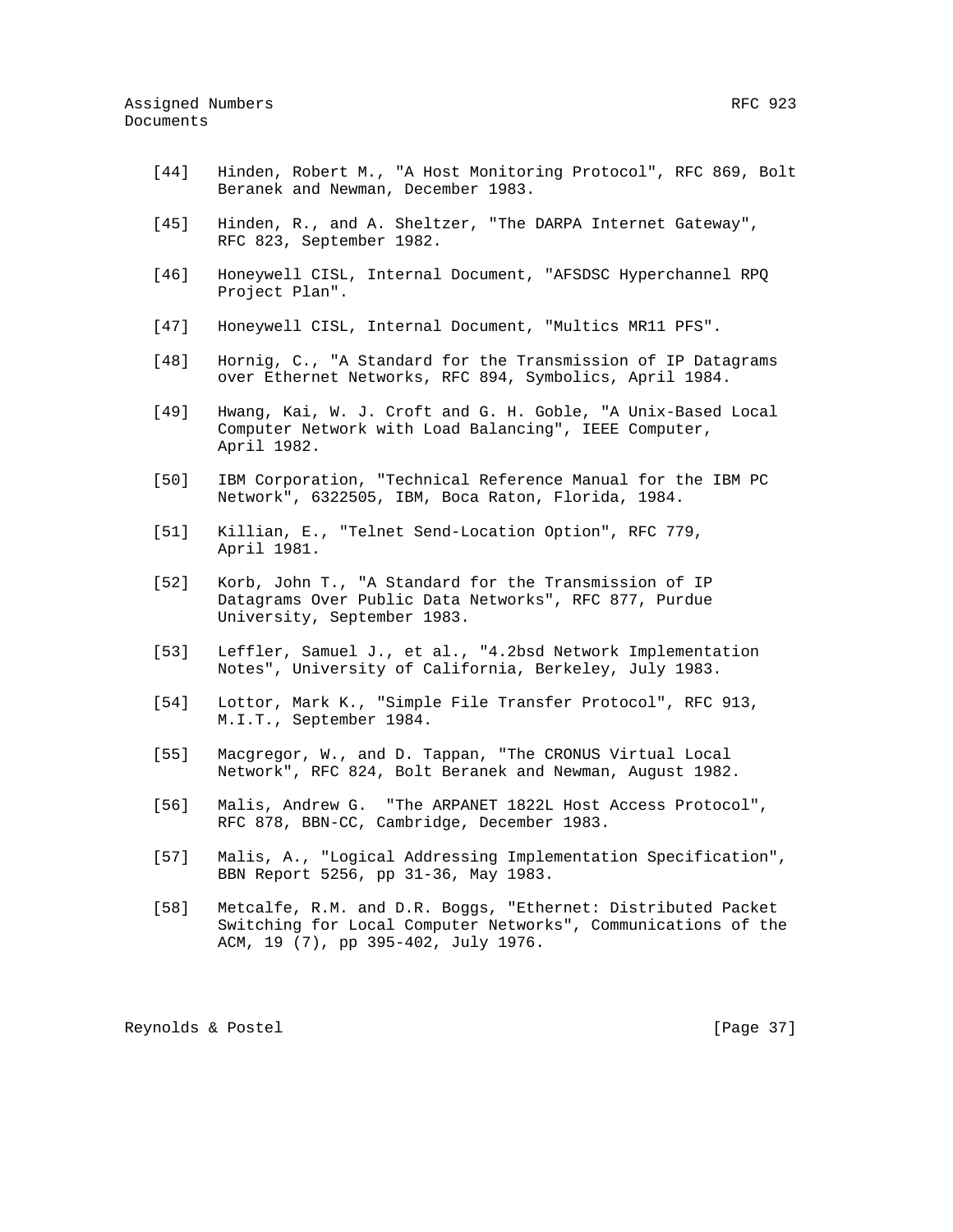- [44] Hinden, Robert M., "A Host Monitoring Protocol", RFC 869, Bolt Beranek and Newman, December 1983.
- [45] Hinden, R., and A. Sheltzer, "The DARPA Internet Gateway", RFC 823, September 1982.
- [46] Honeywell CISL, Internal Document, "AFSDSC Hyperchannel RPQ Project Plan".
- [47] Honeywell CISL, Internal Document, "Multics MR11 PFS".
- [48] Hornig, C., "A Standard for the Transmission of IP Datagrams over Ethernet Networks, RFC 894, Symbolics, April 1984.
- [49] Hwang, Kai, W. J. Croft and G. H. Goble, "A Unix-Based Local Computer Network with Load Balancing", IEEE Computer, April 1982.
- [50] IBM Corporation, "Technical Reference Manual for the IBM PC Network", 6322505, IBM, Boca Raton, Florida, 1984.
- [51] Killian, E., "Telnet Send-Location Option", RFC 779, April 1981.
- [52] Korb, John T., "A Standard for the Transmission of IP Datagrams Over Public Data Networks", RFC 877, Purdue University, September 1983.
- [53] Leffler, Samuel J., et al., "4.2bsd Network Implementation Notes", University of California, Berkeley, July 1983.
- [54] Lottor, Mark K., "Simple File Transfer Protocol", RFC 913, M.I.T., September 1984.
- [55] Macgregor, W., and D. Tappan, "The CRONUS Virtual Local Network", RFC 824, Bolt Beranek and Newman, August 1982.
- [56] Malis, Andrew G. "The ARPANET 1822L Host Access Protocol", RFC 878, BBN-CC, Cambridge, December 1983.
- [57] Malis, A., "Logical Addressing Implementation Specification", BBN Report 5256, pp 31-36, May 1983.
- [58] Metcalfe, R.M. and D.R. Boggs, "Ethernet: Distributed Packet Switching for Local Computer Networks", Communications of the ACM, 19 (7), pp 395-402, July 1976.

Reynolds & Postel [Page 37]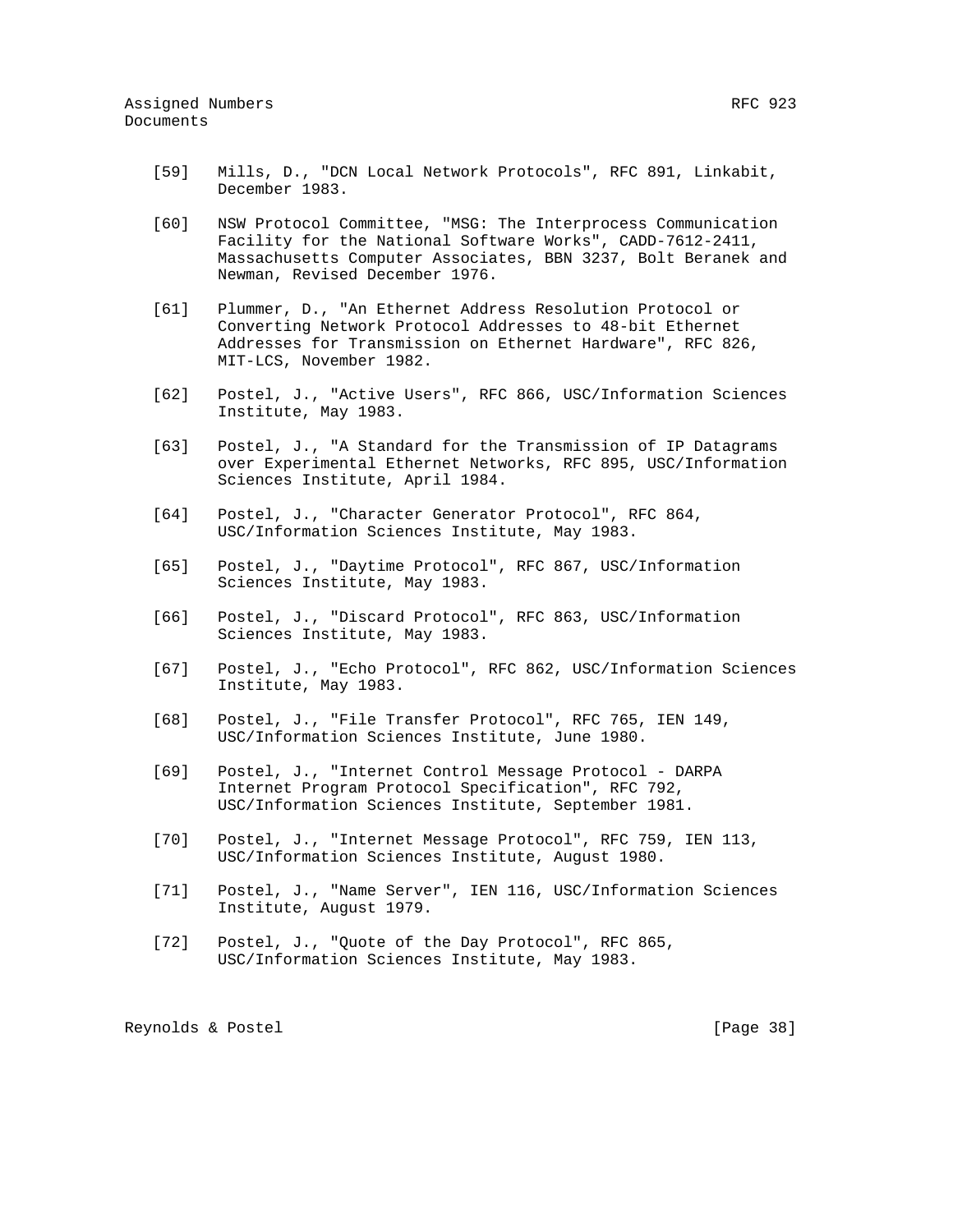- [59] Mills, D., "DCN Local Network Protocols", RFC 891, Linkabit, December 1983.
- [60] NSW Protocol Committee, "MSG: The Interprocess Communication Facility for the National Software Works", CADD-7612-2411, Massachusetts Computer Associates, BBN 3237, Bolt Beranek and Newman, Revised December 1976.
- [61] Plummer, D., "An Ethernet Address Resolution Protocol or Converting Network Protocol Addresses to 48-bit Ethernet Addresses for Transmission on Ethernet Hardware", RFC 826, MIT-LCS, November 1982.
- [62] Postel, J., "Active Users", RFC 866, USC/Information Sciences Institute, May 1983.
- [63] Postel, J., "A Standard for the Transmission of IP Datagrams over Experimental Ethernet Networks, RFC 895, USC/Information Sciences Institute, April 1984.
- [64] Postel, J., "Character Generator Protocol", RFC 864, USC/Information Sciences Institute, May 1983.
- [65] Postel, J., "Daytime Protocol", RFC 867, USC/Information Sciences Institute, May 1983.
- [66] Postel, J., "Discard Protocol", RFC 863, USC/Information Sciences Institute, May 1983.
- [67] Postel, J., "Echo Protocol", RFC 862, USC/Information Sciences Institute, May 1983.
- [68] Postel, J., "File Transfer Protocol", RFC 765, IEN 149, USC/Information Sciences Institute, June 1980.
- [69] Postel, J., "Internet Control Message Protocol DARPA Internet Program Protocol Specification", RFC 792, USC/Information Sciences Institute, September 1981.
- [70] Postel, J., "Internet Message Protocol", RFC 759, IEN 113, USC/Information Sciences Institute, August 1980.
- [71] Postel, J., "Name Server", IEN 116, USC/Information Sciences Institute, August 1979.
- [72] Postel, J., "Quote of the Day Protocol", RFC 865, USC/Information Sciences Institute, May 1983.

Reynolds & Postel [Page 38]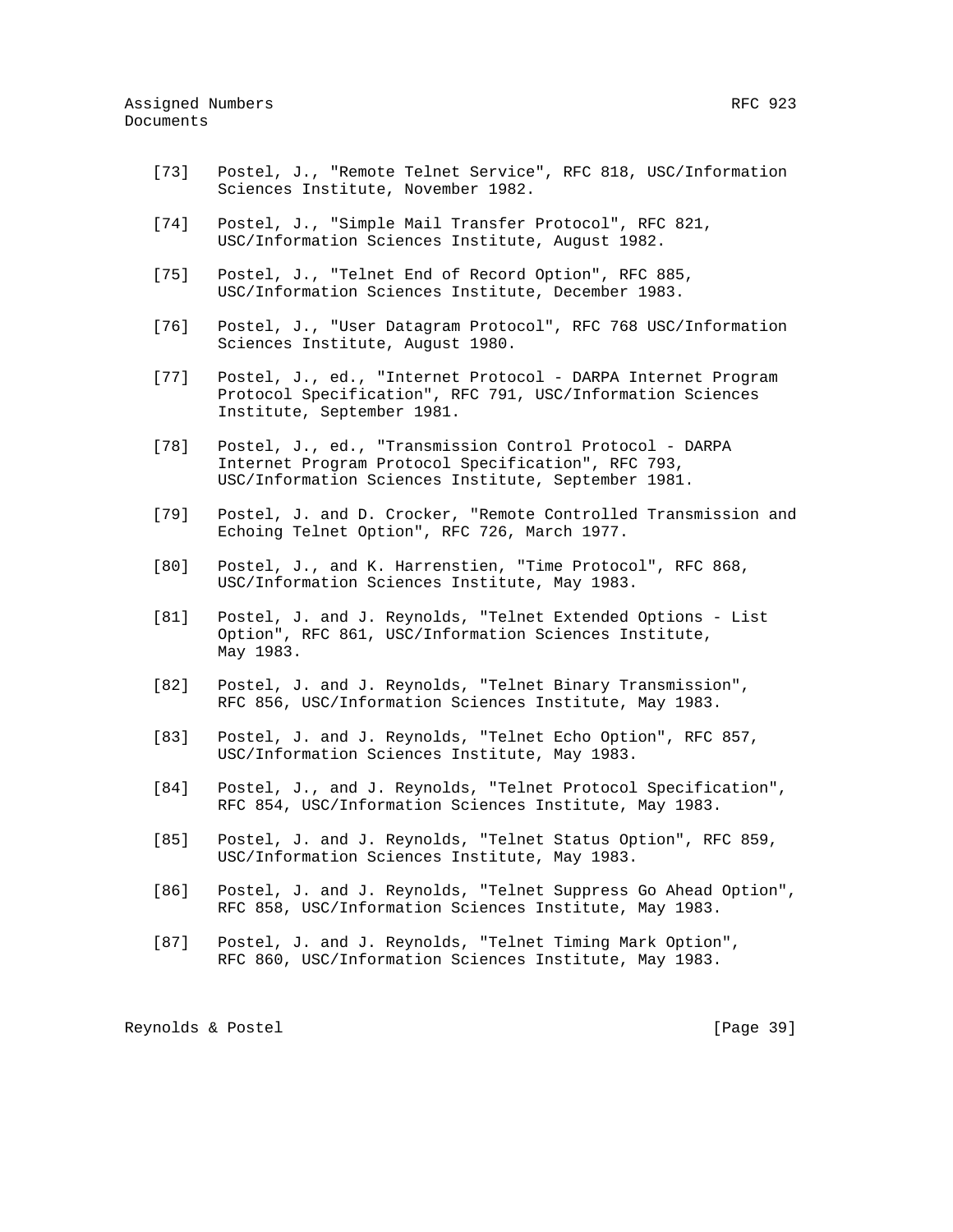- [73] Postel, J., "Remote Telnet Service", RFC 818, USC/Information Sciences Institute, November 1982.
- [74] Postel, J., "Simple Mail Transfer Protocol", RFC 821, USC/Information Sciences Institute, August 1982.
- [75] Postel, J., "Telnet End of Record Option", RFC 885, USC/Information Sciences Institute, December 1983.
- [76] Postel, J., "User Datagram Protocol", RFC 768 USC/Information Sciences Institute, August 1980.
- [77] Postel, J., ed., "Internet Protocol DARPA Internet Program Protocol Specification", RFC 791, USC/Information Sciences Institute, September 1981.
- [78] Postel, J., ed., "Transmission Control Protocol DARPA Internet Program Protocol Specification", RFC 793, USC/Information Sciences Institute, September 1981.
- [79] Postel, J. and D. Crocker, "Remote Controlled Transmission and Echoing Telnet Option", RFC 726, March 1977.
- [80] Postel, J., and K. Harrenstien, "Time Protocol", RFC 868, USC/Information Sciences Institute, May 1983.
- [81] Postel, J. and J. Reynolds, "Telnet Extended Options List Option", RFC 861, USC/Information Sciences Institute, May 1983.
- [82] Postel, J. and J. Reynolds, "Telnet Binary Transmission", RFC 856, USC/Information Sciences Institute, May 1983.
- [83] Postel, J. and J. Reynolds, "Telnet Echo Option", RFC 857, USC/Information Sciences Institute, May 1983.
- [84] Postel, J., and J. Reynolds, "Telnet Protocol Specification", RFC 854, USC/Information Sciences Institute, May 1983.
- [85] Postel, J. and J. Reynolds, "Telnet Status Option", RFC 859, USC/Information Sciences Institute, May 1983.
- [86] Postel, J. and J. Reynolds, "Telnet Suppress Go Ahead Option", RFC 858, USC/Information Sciences Institute, May 1983.
- [87] Postel, J. and J. Reynolds, "Telnet Timing Mark Option", RFC 860, USC/Information Sciences Institute, May 1983.

Reynolds & Postel [Page 39]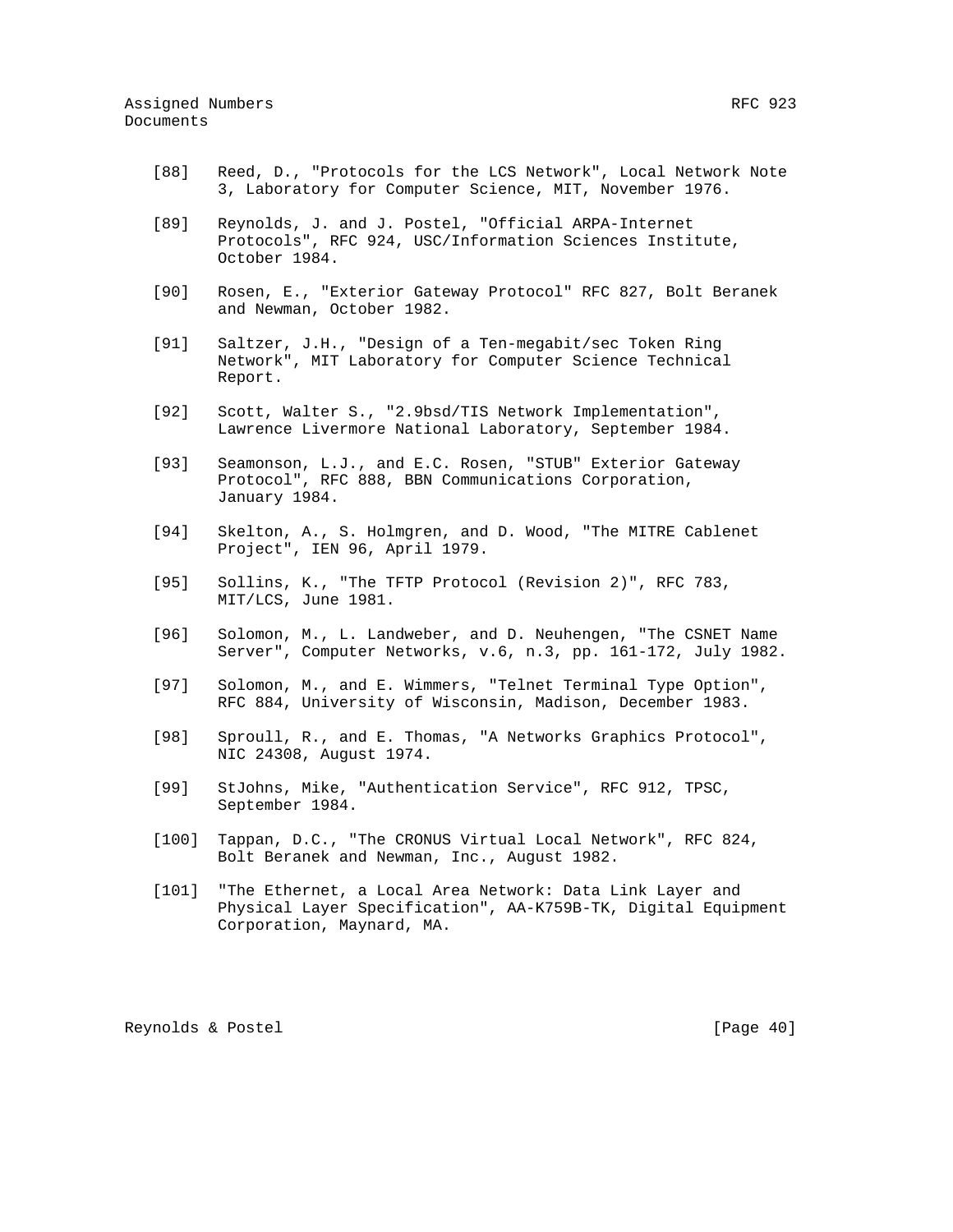- [88] Reed, D., "Protocols for the LCS Network", Local Network Note 3, Laboratory for Computer Science, MIT, November 1976.
- [89] Reynolds, J. and J. Postel, "Official ARPA-Internet Protocols", RFC 924, USC/Information Sciences Institute, October 1984.
- [90] Rosen, E., "Exterior Gateway Protocol" RFC 827, Bolt Beranek and Newman, October 1982.
- [91] Saltzer, J.H., "Design of a Ten-megabit/sec Token Ring Network", MIT Laboratory for Computer Science Technical Report.
- [92] Scott, Walter S., "2.9bsd/TIS Network Implementation", Lawrence Livermore National Laboratory, September 1984.
- [93] Seamonson, L.J., and E.C. Rosen, "STUB" Exterior Gateway Protocol", RFC 888, BBN Communications Corporation, January 1984.
- [94] Skelton, A., S. Holmgren, and D. Wood, "The MITRE Cablenet Project", IEN 96, April 1979.
- [95] Sollins, K., "The TFTP Protocol (Revision 2)", RFC 783, MIT/LCS, June 1981.
- [96] Solomon, M., L. Landweber, and D. Neuhengen, "The CSNET Name Server", Computer Networks, v.6, n.3, pp. 161-172, July 1982.
- [97] Solomon, M., and E. Wimmers, "Telnet Terminal Type Option", RFC 884, University of Wisconsin, Madison, December 1983.
- [98] Sproull, R., and E. Thomas, "A Networks Graphics Protocol", NIC 24308, August 1974.
- [99] StJohns, Mike, "Authentication Service", RFC 912, TPSC, September 1984.
- [100] Tappan, D.C., "The CRONUS Virtual Local Network", RFC 824, Bolt Beranek and Newman, Inc., August 1982.
- [101] "The Ethernet, a Local Area Network: Data Link Layer and Physical Layer Specification", AA-K759B-TK, Digital Equipment Corporation, Maynard, MA.

Reynolds & Postel [Page 40]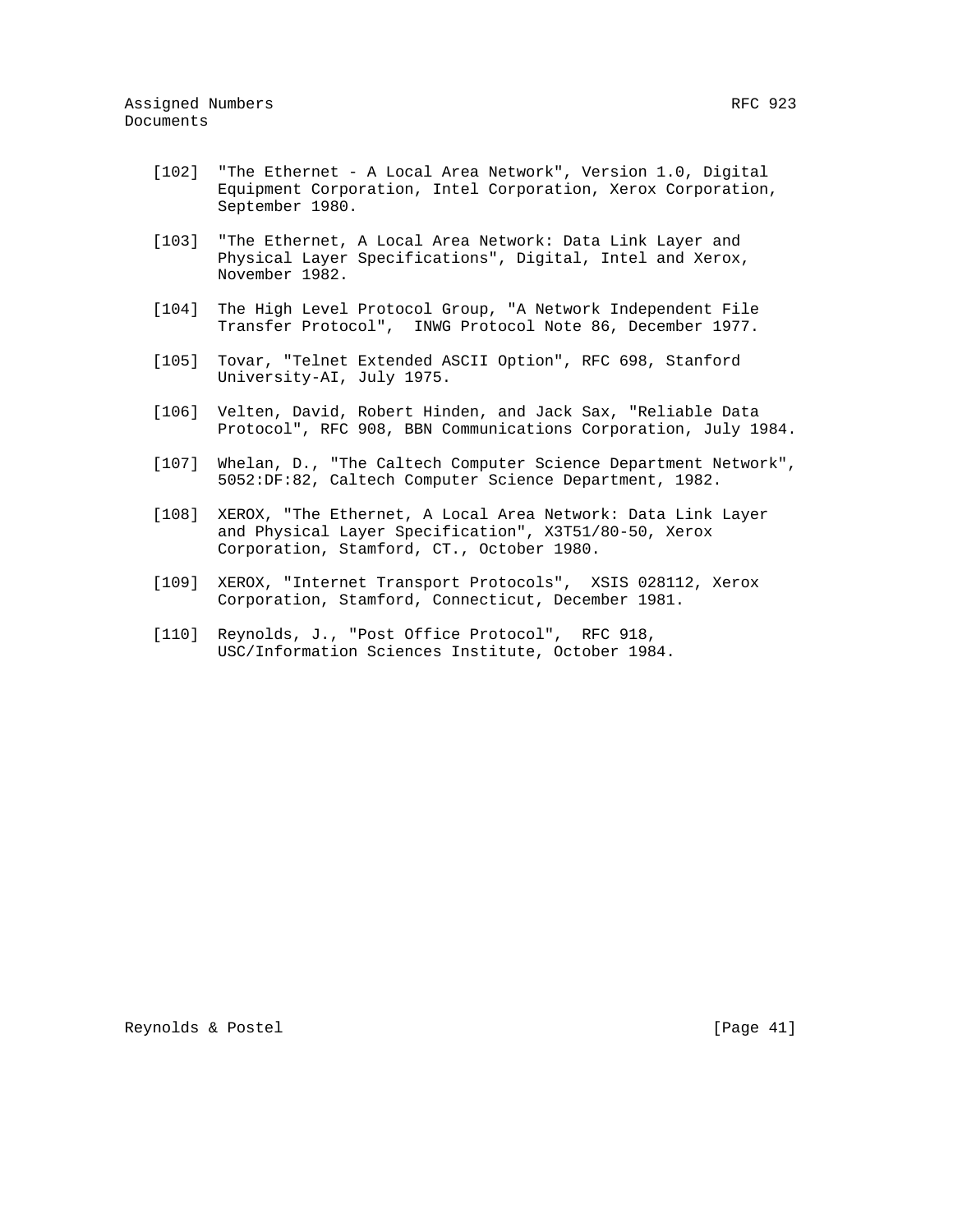- [103] "The Ethernet, A Local Area Network: Data Link Layer and Physical Layer Specifications", Digital, Intel and Xerox, November 1982.
- [104] The High Level Protocol Group, "A Network Independent File Transfer Protocol", INWG Protocol Note 86, December 1977.
- [105] Tovar, "Telnet Extended ASCII Option", RFC 698, Stanford University-AI, July 1975.
- [106] Velten, David, Robert Hinden, and Jack Sax, "Reliable Data Protocol", RFC 908, BBN Communications Corporation, July 1984.
- [107] Whelan, D., "The Caltech Computer Science Department Network", 5052:DF:82, Caltech Computer Science Department, 1982.
- [108] XEROX, "The Ethernet, A Local Area Network: Data Link Layer and Physical Layer Specification", X3T51/80-50, Xerox Corporation, Stamford, CT., October 1980.
- [109] XEROX, "Internet Transport Protocols", XSIS 028112, Xerox Corporation, Stamford, Connecticut, December 1981.
- [110] Reynolds, J., "Post Office Protocol", RFC 918, USC/Information Sciences Institute, October 1984.

Reynolds & Postel [Page 41]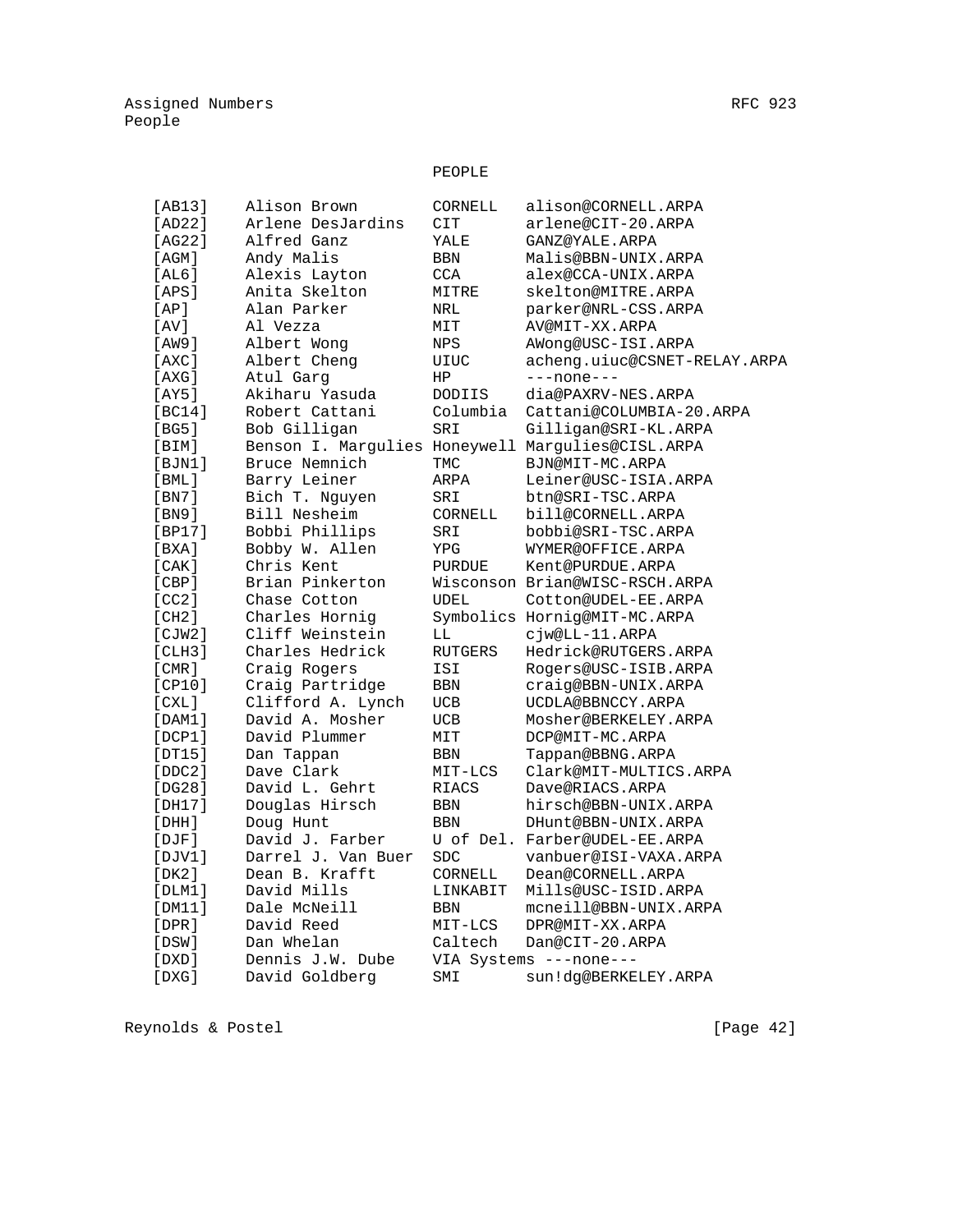# PEOPLE

| [AB13]      | Alison Brown       | CORNELL        | alison@CORNELL.ARPA                               |
|-------------|--------------------|----------------|---------------------------------------------------|
| [AD22]      | Arlene DesJardins  | CIT            | arlene@CIT-20.ARPA                                |
| [AG22]      | Alfred Ganz        | YALE           | GANZ@YALE.ARPA                                    |
| [AGM]       | Andy Malis         | BBN            | Malis@BBN-UNIX.ARPA                               |
| [AL6]       | Alexis Layton      | <b>CCA</b>     | alex@CCA-UNIX.ARPA                                |
| [APS]       | Anita Skelton      | MITRE          | skelton@MITRE.ARPA                                |
| [AP]        | Alan Parker        | NRL            | parker@NRL-CSS.ARPA                               |
| [AV]        | Al Vezza           | MIT            | AV@MIT-XX.ARPA                                    |
| [AW9]       | Albert Wong        | NPS            | AWong@USC-ISI.ARPA                                |
| [AXC]       | Albert Cheng       | UIUC           | acheng.uiuc@CSNET-RELAY.ARPA                      |
| [AXG]       | Atul Garg          | ΗP             | $---none---$                                      |
| [AY5]       | Akiharu Yasuda     | DODIIS         | dia@PAXRV-NES.ARPA                                |
| [BC14]      | Robert Cattani     | Columbia       | Cattani@COLUMBIA-20.ARPA                          |
| [BG5]       | Bob Gilligan       | SRI            | Gilligan@SRI-KL.ARPA                              |
| [BIM]       |                    |                | Benson I. Margulies Honeywell Margulies@CISL.ARPA |
| [BJN1]      | Bruce Nemnich      | TMC            | BJN@MIT-MC.ARPA                                   |
| [BML]       | Barry Leiner       | ARPA           | Leiner@USC-ISIA.ARPA                              |
| [BN7]       | Bich T. Nguyen     | SRI            | btn@SRI-TSC.ARPA                                  |
| [BN9]       | Bill Nesheim       | CORNELL        | bill@CORNELL.ARPA                                 |
| $[BP17]3$   | Bobbi Phillips     | SRI            | bobbi@SRI-TSC.ARPA                                |
| [BXA]       | Bobby W. Allen     | YPG            | WYMER@OFFICE.ARPA                                 |
| [CAK]       | Chris Kent         | <b>PURDUE</b>  | Kent@PURDUE.ARPA                                  |
| [CBP]       | Brian Pinkerton    |                | Wisconson Brian@WISC-RSCH.ARPA                    |
| [CC2]       | Chase Cotton       | UDEL           | Cotton@UDEL-EE.ARPA                               |
| [CH2]       | Charles Hornig     |                | Symbolics Hornig@MIT-MC.ARPA                      |
| [CIW2]      | Cliff Weinstein    | LL             | cjw@LL-11.ARPA                                    |
| [CLH3]      | Charles Hedrick    | <b>RUTGERS</b> | Hedrick@RUTGERS.ARPA                              |
| [CMR]       | Craig Rogers       | ISI            | Rogers@USC-ISIB.ARPA                              |
| [CP10]      | Craig Partridge    | BBN            | craig@BBN-UNIX.ARPA                               |
| [CXL]       | Clifford A. Lynch  | UCB            | UCDLA@BBNCCY.ARPA                                 |
| [DAM1]      | David A. Mosher    | <b>UCB</b>     | Mosher@BERKELEY.ARPA                              |
| [DCP1]      | David Plummer      | MIT            | DCP@MIT-MC.ARPA                                   |
| [DT15]      | Dan Tappan         | BBN            | Tappan@BBNG.ARPA                                  |
| [DDC2]      | Dave Clark         | MIT-LCS        | Clark@MIT-MULTICS.ARPA                            |
| [DG28]      | David L. Gehrt     | RIACS          | Dave@RIACS.ARPA                                   |
| [DH17]      | Douglas Hirsch     | BBN            | hirsch@BBN-UNIX.ARPA                              |
| $[$ DHH $]$ | Doug Hunt          | <b>BBN</b>     | DHunt@BBN-UNIX.ARPA                               |
| $[$ $DJF]$  | David J. Farber    |                | U of Del. Farber@UDEL-EE.ARPA                     |
| [DJV1]      | Darrel J. Van Buer | <b>SDC</b>     | vanbuer@ISI-VAXA.ARPA                             |
| [DK2]       | Dean B. Krafft     | CORNELL        | Dean@CORNELL.ARPA                                 |
| [DIM1]      | David Mills        | LINKABIT       | Mills@USC-ISID.ARPA                               |
| [DM11]      | Dale McNeill       | BBN            | mcneill@BBN-UNIX.ARPA                             |
| [DPR]       | David Reed         | MIT-LCS        | DPR@MIT-XX.ARPA                                   |
| [DSW]       | Dan Whelan         | Caltech        | Dan@CIT-20.ARPA                                   |
| [DXD]       | Dennis J.W. Dube   |                | VIA Systems ---none---                            |
| [DXG]       | David Goldberg     | SMI            | sun!dg@BERKELEY.ARPA                              |
|             |                    |                |                                                   |

Reynolds & Postel [Page 42]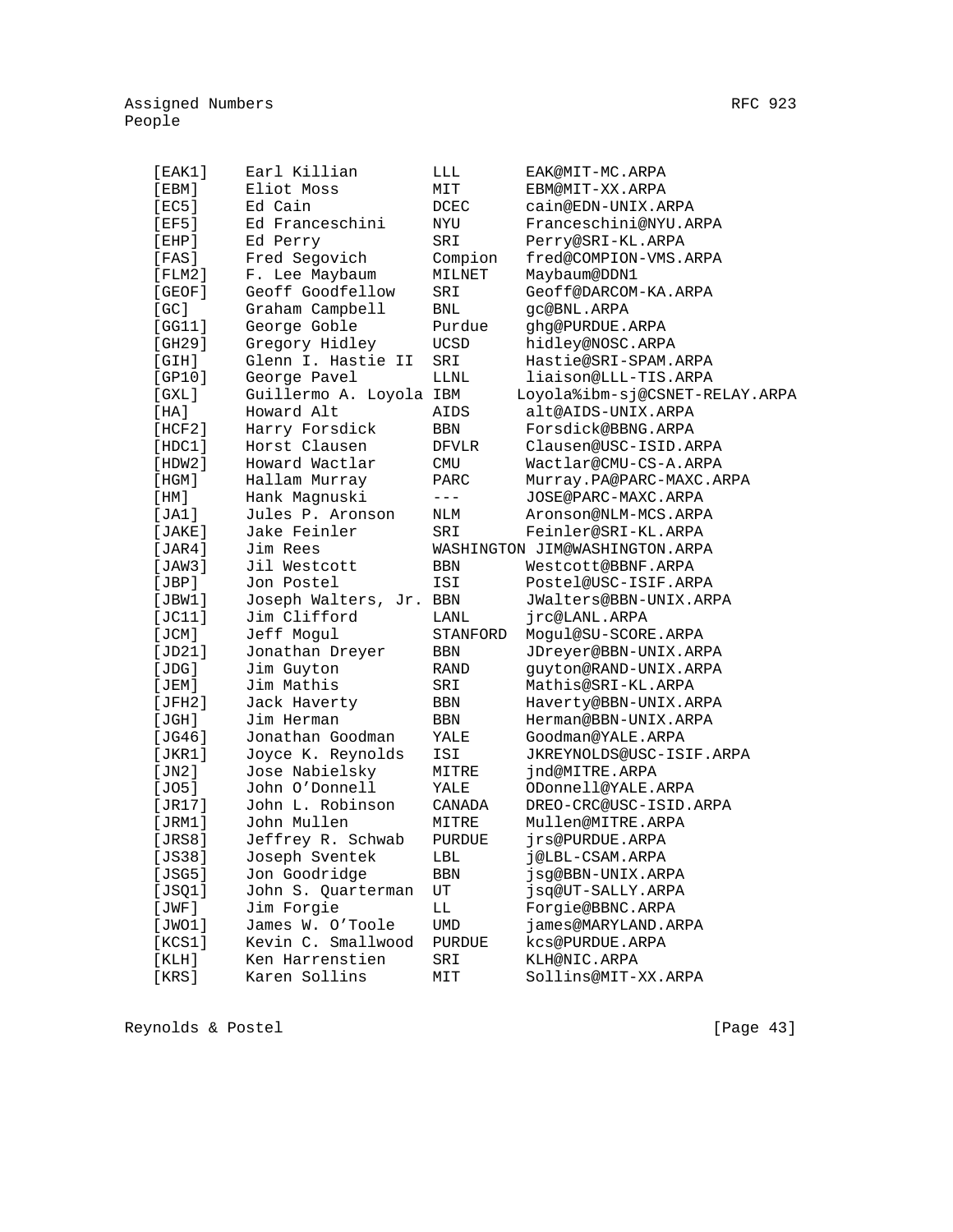| [EAK1]                 | Earl Killian            | LLL         | EAK@MIT-MC.ARPA                |
|------------------------|-------------------------|-------------|--------------------------------|
| [EBM]                  | Eliot Moss              | MIT         | EBM@MIT-XX.ARPA                |
| [EC5]                  | Ed Cain                 | DCEC        | cain@EDN-UNIX.ARPA             |
| [EF5]                  | Ed Franceschini         | NYU         | Franceschini@NYU.ARPA          |
| $[$ EHP $]$            | Ed Perry                | SRI         | Perry@SRI-KL.ARPA              |
| [FAS]                  | Fred Segovich           | Compion     | fred@COMPION-VMS.ARPA          |
| $[$ FLM $2$ ]          | F. Lee Maybaum          | MILNET      | Maybaum@DDN1                   |
| [GEOF]                 | Geoff Goodfellow        | SRI         | Geoff@DARCOM-KA.ARPA           |
| [GC]                   | Graham Campbell         | BNL         | qc@BNL.ARPA                    |
| [GG11]                 | George Goble            | Purdue      | ghg@PURDUE.ARPA                |
| [GH29]                 | Gregory Hidley          | <b>UCSD</b> | hidley@NOSC.ARPA               |
| [GH]                   | Glenn I. Hastie II      | SRI         | Hastie@SRI-SPAM.ARPA           |
| [GP10]                 | George Pavel            | LLNL        | liaison@LLL-TIS.ARPA           |
| [GXL]                  | Guillermo A. Loyola IBM |             | Loyola%ibm-sj@CSNET-RELAY.ARPA |
| [HA]                   | Howard Alt              | AIDS        | alt@AIDS-UNIX.ARPA             |
| [HCF2]                 | Harry Forsdick          | BBN         | Forsdick@BBNG.ARPA             |
| [HDC1]                 | Horst Clausen           | DFVLR       | Clausen@USC-ISID.ARPA          |
| [HDW2]                 | Howard Wactlar          | <b>CMU</b>  | Wactlar@CMU-CS-A.ARPA          |
| [HGM]                  | Hallam Murray           | PARC        | Murray.PA@PARC-MAXC.ARPA       |
| [ HM ]                 | Hank Magnuski           | $---$       | JOSE@PARC-MAXC.ARPA            |
| [JA1]                  | Jules P. Aronson        | NLM         | Aronson@NLM-MCS.ARPA           |
| [JAKE]                 | Jake Feinler            | SRI         | Feinler@SRI-KL.ARPA            |
| [JAR4]                 | Jim Rees                |             | WASHINGTON JIM@WASHINGTON.ARPA |
| [JAW3]                 | Jil Westcott            | BBN         | Westcott@BBNF.ARPA             |
| [JBP]                  | Jon Postel              | ISI         | Postel@USC-ISIF.ARPA           |
| [JBW1]                 | Joseph Walters, Jr. BBN |             | JWalters@BBN-UNIX.ARPA         |
| [JC11]                 | Jim Clifford            | LANL        | jrc@LANL.ARPA                  |
| [JCM]                  | Jeff Mogul              | STANFORD    | Mogul@SU-SCORE.ARPA            |
| [JD21]                 | Jonathan Dreyer         | BBN         | JDreyer@BBN-UNIX.ARPA          |
| [JDG]                  | Jim Guyton              | RAND        | quyton@RAND-UNIX.ARPA          |
| [JEM]                  | Jim Mathis              | SRI         | Mathis@SRI-KL.ARPA             |
| [JFH2]                 | Jack Haverty            | BBN         | Haverty@BBN-UNIX.ARPA          |
| [JGH]                  | Jim Herman              | BBN         | Herman@BBN-UNIX.ARPA           |
| [JG46]                 | Jonathan Goodman        | YALE        | Goodman@YALE.ARPA              |
| [JKR1]                 | Joyce K. Reynolds       | ISI         | JKREYNOLDS@USC-ISIF.ARPA       |
| [JN2]                  | Jose Nabielsky          | MITRE       | jnd@MITRE.ARPA                 |
| [JO5]                  | John O'Donnell          | YALE        | ODonnell@YALE.ARPA             |
| [JR17]                 | John L. Robinson        | CANADA      | DREO-CRC@USC-ISID.ARPA         |
| [JRM1]                 | John Mullen             | MITRE       | Mullen@MITRE.ARPA              |
| [JRS8]                 | Jeffrey R. Schwab       | PURDUE      | jrs@PURDUE.ARPA                |
| [JS38]                 | Joseph Sventek          | LBL         | j@LBL-CSAM.ARPA                |
| [JSG5]                 | Jon Goodridge           | BBN         | jsg@BBN-UNIX.ARPA              |
| [JSQ1]                 | John S. Quarterman      | UT          | jsq@UT-SALLY.ARPA              |
| $[\, \texttt{JWF} \,]$ | Jim Forgie              | LL          | Forgie@BBNC.ARPA               |
| [JWO1]                 | James W. O'Toole        | UMD         | james@MARYLAND.ARPA            |
| [KCS1]                 | Kevin C. Smallwood      | PURDUE      | kcs@PURDUE.ARPA                |
| [KLH]                  | Ken Harrenstien         | SRI         | KLH@NIC.ARPA                   |
| [KRS]                  | Karen Sollins           | MIT         | Sollins@MIT-XX.ARPA            |
|                        |                         |             |                                |

Reynolds & Postel [Page 43]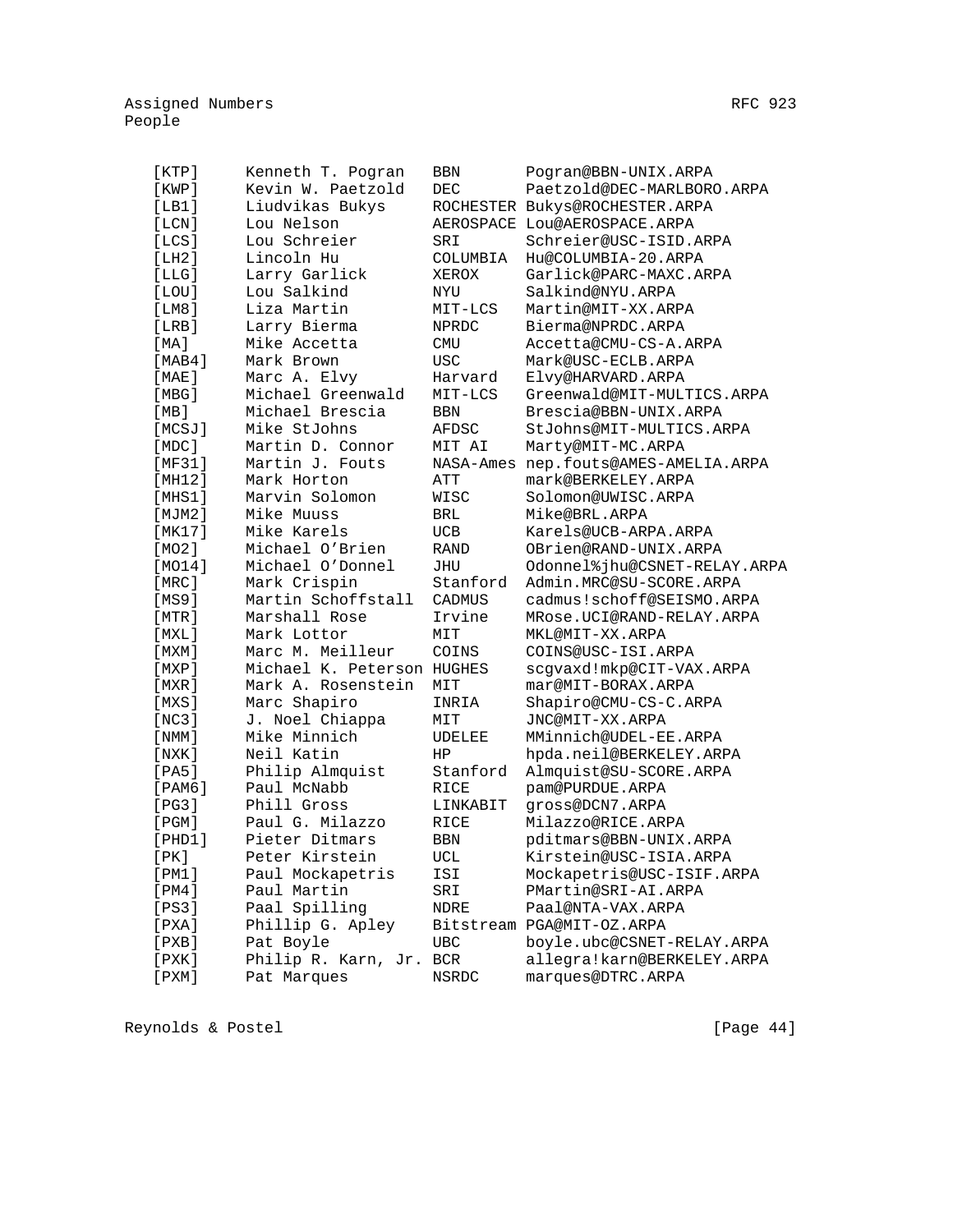| [KTP]   | Kenneth T. Pogran          | BBN           | Pogran@BBN-UNIX.ARPA           |
|---------|----------------------------|---------------|--------------------------------|
| [KWP]   | Kevin W. Paetzold          | <b>DEC</b>    | Paetzold@DEC-MARLBORO.ARPA     |
| [LB1]   | Liudvikas Bukys            |               | ROCHESTER Bukys@ROCHESTER.ARPA |
| [LCN]   | Lou Nelson                 |               | AEROSPACE LOU@AEROSPACE.ARPA   |
| [LCS]   | Lou Schreier               | SRI           | Schreier@USC-ISID.ARPA         |
| [LH2]   | Lincoln Hu                 | COLUMBIA      | Hu@COLUMBIA-20.ARPA            |
| [LLG]   | Larry Garlick              | XEROX         | Garlick@PARC-MAXC.ARPA         |
| [LOU]   | Lou Salkind                | NYU           | Salkind@NYU.ARPA               |
| [LM8]   | Liza Martin                | MIT-LCS       | Martin@MIT-XX.ARPA             |
| [LRB]   | Larry Bierma               | NPRDC         | Bierma@NPRDC.ARPA              |
| [MA]    | Mike Accetta               | <b>CMU</b>    | Accetta@CMU-CS-A.ARPA          |
| [MAB4]  | Mark Brown                 | <b>USC</b>    | Mark@USC-ECLB.ARPA             |
| [MAE]   | Marc A. Elvy               | Harvard       | Elvy@HARVARD.ARPA              |
| [MBG]   | Michael Greenwald          | MIT-LCS       | Greenwald@MIT-MULTICS.ARPA     |
| [MB]    | Michael Brescia            | BBN           | Brescia@BBN-UNIX.ARPA          |
| [MCSJ]  | Mike StJohns               | AFDSC         | StJohns@MIT-MULTICS.ARPA       |
| [MDC]   | Martin D. Connor           | MIT AI        | Marty@MIT-MC.ARPA              |
| [MF31]  | Martin J. Fouts            | NASA-Ames     | nep.fouts@AMES-AMELIA.ARPA     |
| [MH12]  | Mark Horton                | ATT           | mark@BERKELEY.ARPA             |
| [MHz1]  | Marvin Solomon             | WISC          | Solomon@UWISC.ARPA             |
| [MJM2]  | Mike Muuss                 | BRL           | Mike@BRL.ARPA                  |
| [MK17]  | Mike Karels                | UCB           | Karels@UCB-ARPA.ARPA           |
| [MO2]   | Michael O'Brien            | <b>RAND</b>   | OBrien@RAND-UNIX.ARPA          |
| [MO14]  | Michael O'Donnel           | JHU           | Odonnel%jhu@CSNET-RELAY.ARPA   |
| [MRC]   | Mark Crispin               | Stanford      | Admin.MRC@SU-SCORE.ARPA        |
| [MS9]   | Martin Schoffstall         | <b>CADMUS</b> | cadmus!schoff@SEISMO.ARPA      |
| [MTR]   | Marshall Rose              | Irvine        | MRose.UCI@RAND-RELAY.ARPA      |
| [ MXL ] | Mark Lottor                | MIT           | MKL@MIT-XX.ARPA                |
| [ MXM ] | Marc M. Meilleur           | COINS         | COINS@USC-ISI.ARPA             |
| [MXP]   | Michael K. Peterson HUGHES |               | scgvaxd!mkp@CIT-VAX.ARPA       |
| [MXR]   | Mark A. Rosenstein         | MIT           | mar@MIT-BORAX.ARPA             |
| [MXS]   | Marc Shapiro               | INRIA         | Shapiro@CMU-CS-C.ARPA          |
| [NC3]   | J. Noel Chiappa            | MIT           | JNC@MIT-XX.ARPA                |
| [ NMM ] | Mike Minnich               | UDELEE        | MMinnich@UDEL-EE.ARPA          |
| [ NXK ] | Neil Katin                 | HP            | hpda.neil@BERKELEY.ARPA        |
| [PA5]   | Philip Almquist            | Stanford      | Almquist@SU-SCORE.ARPA         |
| [PAM6]  | Paul McNabb                | RICE          | pam@PURDUE.ARPA                |
| [PG3]   | Phill Gross                | LINKABIT      | gross@DCN7.ARPA                |
| [PGM]   | Paul G. Milazzo            | RICE          | Milazzo@RICE.ARPA              |
| [PHD1]  | Pieter Ditmars             | BBN           | pditmars@BBN-UNIX.ARPA         |
| [ PK ]  | Peter Kirstein             | UCL           | Kirstein@USC-ISIA.ARPA         |
| [PM1]   | Paul Mockapetris           | ISI           | Mockapetris@USC-ISIF.ARPA      |
| [PM4]   | Paul Martin                | SRI           | PMartin@SRI-AI.ARPA            |
| [PS3]   | Paal Spilling              | NDRE          | Paal@NTA-VAX.ARPA              |
| [PXA]   | Phillip G. Apley           |               | Bitstream PGA@MIT-OZ.ARPA      |
| [PXB]   | Pat Boyle                  | UBC           | boyle.ubc@CSNET-RELAY.ARPA     |
| [ PXK ] | Philip R. Karn, Jr.        | BCR           | allegra!karn@BERKELEY.ARPA     |
| [ PXM ] | Pat Marques                | NSRDC         | marques@DTRC.ARPA              |

Reynolds & Postel [Page 44]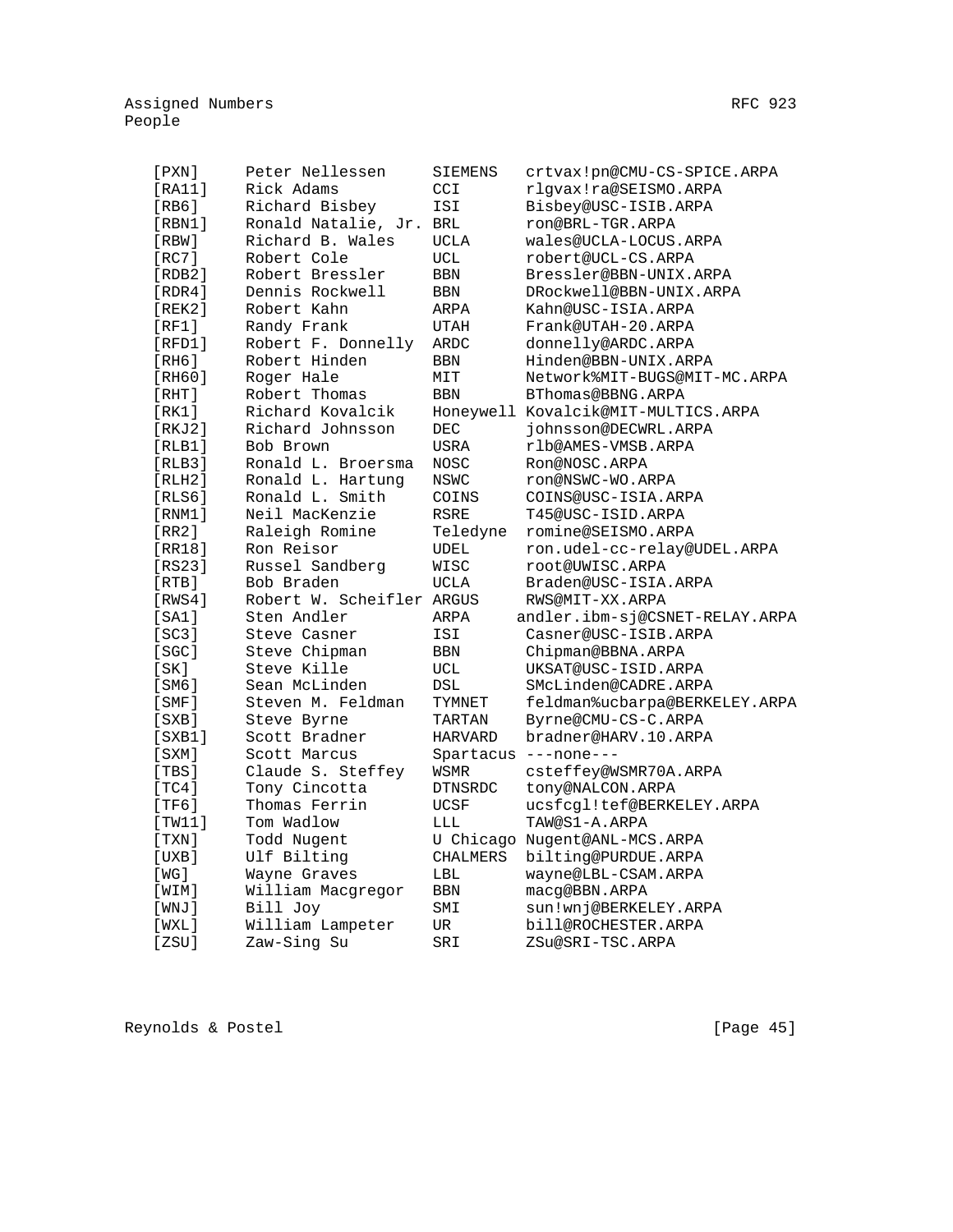| [PXN]        | Peter Nellessen           | SIEMENS         | crtvax!pn@CMU-CS-SPICE.ARPA         |
|--------------|---------------------------|-----------------|-------------------------------------|
| [RA11]       | Rick Adams                | CCI             | rlgvax!ra@SEISMO.ARPA               |
| [RB6]        | Richard Bisbey            | ISI             | Bisbey@USC-ISIB.ARPA                |
| [RBM1]       | Ronald Natalie, Jr.       | <b>BRL</b>      | ron@BRL-TGR.ARPA                    |
| $[$ RBW $]$  | Richard B. Wales          | UCLA            | wales@UCLA-LOCUS.ARPA               |
| [RC7]        | Robert Cole               | UCL             | robert@UCL-CS.ARPA                  |
| [RDB2]       | Robert Bressler           | <b>BBN</b>      | Bressler@BBN-UNIX.ARPA              |
| [RDR4]       | Dennis Rockwell           | <b>BBN</b>      | DRockwell@BBN-UNIX.ARPA             |
| [REK2]       | Robert Kahn               | ARPA            | Kahn@USC-ISIA.ARPA                  |
| [RF1]        | Randy Frank               | <b>UTAH</b>     | Frank@UTAH-20.ARPA                  |
| [RFD1]       | Robert F. Donnelly        | ARDC            | donnelly@ARDC.ARPA                  |
| [RH6]        | Robert Hinden             | <b>BBN</b>      | Hinden@BBN-UNIX.ARPA                |
| [RH60]       | Roger Hale                | MIT             | Network%MIT-BUGS@MIT-MC.ARPA        |
| [RHT]        | Robert Thomas             | <b>BBN</b>      | BThomas@BBNG.ARPA                   |
| [RK1]        | Richard Kovalcik          |                 | Honeywell Kovalcik@MIT-MULTICS.ARPA |
| [RKJ2]       | Richard Johnsson          | <b>DEC</b>      | johnsson@DECWRL.ARPA                |
| [RLB1]       | Bob Brown                 | <b>USRA</b>     | rlb@AMES-VMSB.ARPA                  |
| [RLB3]       | Ronald L. Broersma        | NOSC            | Ron@NOSC.ARPA                       |
| [RLH2]       | Ronald L. Hartung         | NSWC            | ron@NSWC-WO.ARPA                    |
| [RLS6]       | Ronald L. Smith           | COINS           | COINS@USC-ISIA.ARPA                 |
| [RNM1]       | Neil MacKenzie            | <b>RSRE</b>     | T45@USC-ISID.ARPA                   |
| [RR2]        | Raleigh Romine            | Teledyne        | romine@SEISMO.ARPA                  |
| [RR18]       | Ron Reisor                | UDEL            | ron.udel-cc-relay@UDEL.ARPA         |
| [RS23]       | Russel Sandberg           | WISC            | root@UWISC.ARPA                     |
| [RTB]        | Bob Braden                | <b>UCLA</b>     | Braden@USC-ISIA.ARPA                |
| [RWS4]       | Robert W. Scheifler ARGUS |                 | RWS@MIT-XX.ARPA                     |
| [SA1]        | Sten Andler               | ARPA            | andler.ibm-sj@CSNET-RELAY.ARPA      |
| [SC3]        | Steve Casner              | ISI             | Casner@USC-ISIB.ARPA                |
| [SGC]        | Steve Chipman             | <b>BBN</b>      | Chipman@BBNA.ARPA                   |
| [SK]         | Steve Kille               | UCL             | UKSAT@USC-ISID.ARPA                 |
| [SM6]        | Sean McLinden             | DSL             | SMcLinden@CADRE.ARPA                |
| [SMF]        | Steven M. Feldman         | TYMNET          | feldman%ucbarpa@BERKELEY.ARPA       |
| [SXB]        | Steve Byrne               | TARTAN          | Byrne@CMU-CS-C.ARPA                 |
| $[$ SXB $1]$ | Scott Bradner             | HARVARD         | bradner@HARV.10.ARPA                |
| [SXM]        | Scott Marcus              | Spartacus       | $---none---$                        |
| [TBS]        | Claude S. Steffey         | WSMR            | csteffey@WSMR70A.ARPA               |
| [ $TC4$ ]    | Tony Cincotta             | <b>DTNSRDC</b>  | tony@NALCON.ARPA                    |
| [TF6]        | Thomas Ferrin             | <b>UCSF</b>     | ucsfcgl!tef@BERKELEY.ARPA           |
| [TW11]       | Tom Wadlow                | LLL             | TAW@S1-A.ARPA                       |
| [TXN]        | Todd Nugent               |                 | U Chicago Nugent@ANL-MCS.ARPA       |
| [UXB]        | Ulf Bilting               | <b>CHALMERS</b> | bilting@PURDUE.ARPA                 |
| [ WG ]       | Wayne Graves              | LBL             | wayne@LBL-CSAM.ARPA                 |
| [WIM]        | William Macgregor         | BBN             | macq@BBN.ARPA                       |
| $[$ WNJ $]$  | Bill Joy                  | SMI             | sun!wnj@BERKELEY.ARPA               |
| [WXL]        | William Lampeter          | UR              | bill@ROCHESTER.ARPA                 |
| [ZSU]        | Zaw-Sing Su               | SRI             | ZSu@SRI-TSC.ARPA                    |

Reynolds & Postel [Page 45]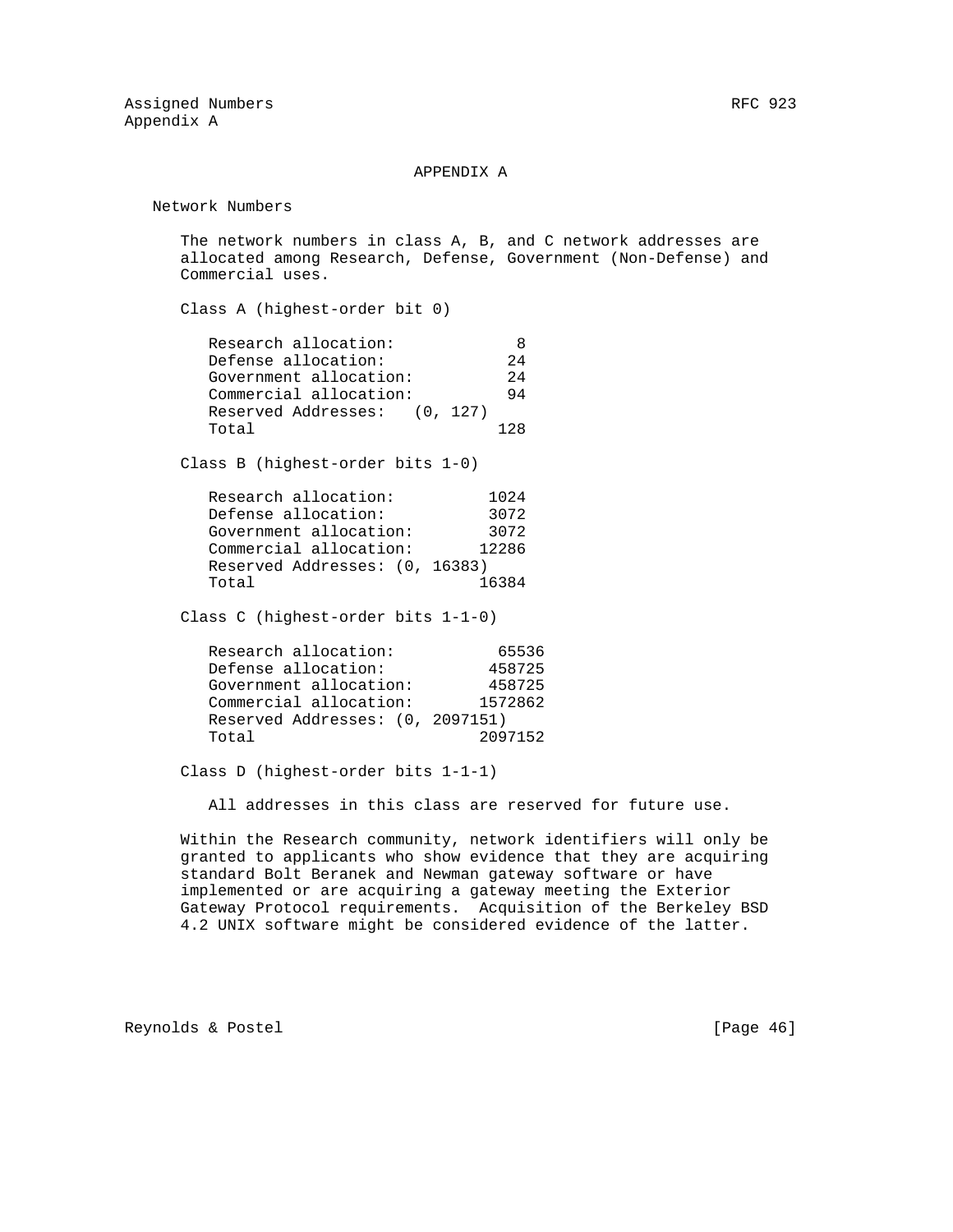#### APPENDIX A

Network Numbers

 The network numbers in class A, B, and C network addresses are allocated among Research, Defense, Government (Non-Defense) and Commercial uses.

Class A (highest-order bit 0)

| Research allocation:         |     |
|------------------------------|-----|
| Defense allocation:          | 2.4 |
| Government allocation:       | 2.4 |
| Commercial allocation:       | 94  |
| Reserved Addresses: (0, 127) |     |
| Total                        | 128 |

Class B (highest-order bits 1-0)

| Research allocation:           | 1024  |
|--------------------------------|-------|
| Defense allocation:            | 3072  |
| Government allocation:         | 3072  |
| Commercial allocation:         | 12286 |
| Reserved Addresses: (0, 16383) |       |
| Total                          | 16384 |

Class C (highest-order bits 1-1-0)

| Research allocation:             | 65536   |
|----------------------------------|---------|
| Defense allocation:              | 458725  |
| Government allocation:           | 458725  |
| Commercial allocation:           | 1572862 |
| Reserved Addresses: (0, 2097151) |         |
| Total                            | 2097152 |

Class D (highest-order bits 1-1-1)

All addresses in this class are reserved for future use.

 Within the Research community, network identifiers will only be granted to applicants who show evidence that they are acquiring standard Bolt Beranek and Newman gateway software or have implemented or are acquiring a gateway meeting the Exterior Gateway Protocol requirements. Acquisition of the Berkeley BSD 4.2 UNIX software might be considered evidence of the latter.

Reynolds & Postel [Page 46]